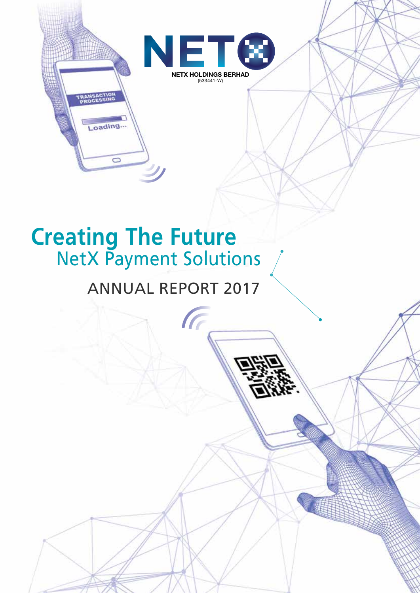

# **Creating The Future** NetX Payment Solutions

Loading...

 $\overline{\phantom{0}}$ 

# ANNUAL REPORT 2017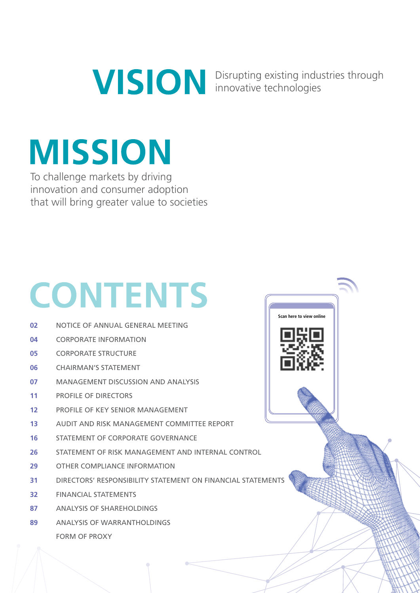Disrupting existing industries through innovative technologies

**Scan here to view online**

# **MISSION**

To challenge markets by driving innovation and consumer adoption that will bring greater value to societies

# **CONTENTS**

- NOTICE OF ANNUAL GENERAL MEETING **02**
- CORPORATE INFORMATION **04**
- CORPORATE STRUCTURE **05**
- CHAIRMAN'S STATEMENT **06**
- MANAGEMENT DISCUSSION AND ANALYSIS **07**
- PROFILE OF DIRECTORS **11**
- PROFILE OF KEY SENIOR MANAGEMENT **12**
- AUDIT AND RISK MANAGEMENT COMMITTEE REPORT **13**
- STATEMENT OF CORPORATE GOVERNANCE **16**
- STATEMENT OF RISK MANAGEMENT AND INTERNAL CONTROL **26**
- OTHER COMPLIANCE INFORMATION **29**
- DIRECTORS' RESPONSIBILITY STATEMENT ON FINANCIAL STATEMENTS **31**
- FINANCIAL STATEMENTS **32**
- ANALYSIS OF SHAREHOLDINGS **87**
- ANALYSIS OF WARRANTHOLDINGS FORM OF PROXY **89**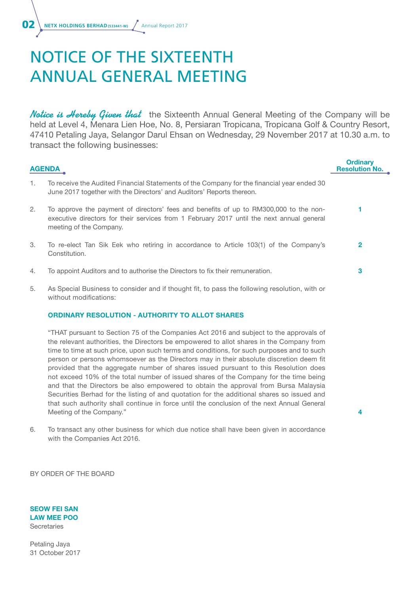# NOTICE OF THE SIXTEENTH ANNUAL GENERAL MEETING

**Notice is Hereby Given that** the Sixteenth Annual General Meeting of the Company will be held at Level 4, Menara Lien Hoe, No. 8, Persiaran Tropicana, Tropicana Golf & Country Resort, 47410 Petaling Jaya, Selangor Darul Ehsan on Wednesday, 29 November 2017 at 10.30 a.m. to transact the following businesses:

| <b>AGENDA</b> | <b>Ordinary</b><br><b>Resolution No.</b>                                                                                                                                                                      |   |
|---------------|---------------------------------------------------------------------------------------------------------------------------------------------------------------------------------------------------------------|---|
| 1.            | To receive the Audited Financial Statements of the Company for the financial year ended 30<br>June 2017 together with the Directors' and Auditors' Reports thereon.                                           |   |
| 2.            | To approve the payment of directors' fees and benefits of up to RM300,000 to the non-<br>executive directors for their services from 1 February 2017 until the next annual general<br>meeting of the Company. |   |
| 3.            | To re-elect Tan Sik Eek who retiring in accordance to Article 103(1) of the Company's<br>Constitution.                                                                                                        | 2 |
| 4.            | To appoint Auditors and to authorise the Directors to fix their remuneration.                                                                                                                                 | 3 |
| 5.            | As Special Business to consider and if thought fit, to pass the following resolution, with or<br>without modifications:                                                                                       |   |

#### ORDINARY RESOLUTION - AUTHORITY TO ALLOT SHARES

"THAT pursuant to Section 75 of the Companies Act 2016 and subject to the approvals of the relevant authorities, the Directors be empowered to allot shares in the Company from time to time at such price, upon such terms and conditions, for such purposes and to such person or persons whomsoever as the Directors may in their absolute discretion deem fit provided that the aggregate number of shares issued pursuant to this Resolution does not exceed 10% of the total number of issued shares of the Company for the time being and that the Directors be also empowered to obtain the approval from Bursa Malaysia Securities Berhad for the listing of and quotation for the additional shares so issued and that such authority shall continue in force until the conclusion of the next Annual General Meeting of the Company."

4

6. To transact any other business for which due notice shall have been given in accordance with the Companies Act 2016.

BY ORDER OF THE BOARD

SEOW FEI SAN LAW MEE POO **Secretaries** 

Petaling Jaya 31 October 2017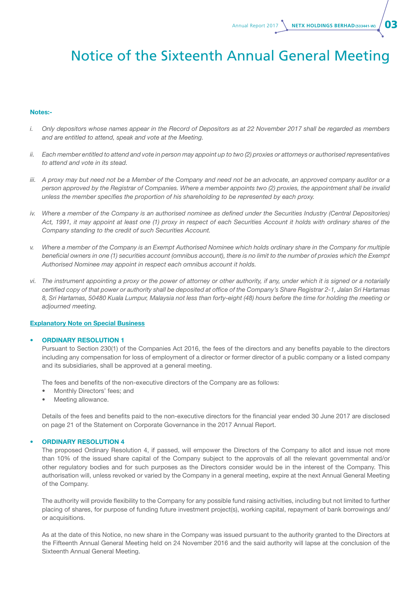Annual Report 2017 **NETX HOLDINGS BERHAD** (533441-W)  $\overline{\mathbf{O}}$ 

### Notice of the Sixteenth Annual General Meeting

#### Notes:-

- *i. Only depositors whose names appear in the Record of Depositors as at 22 November 2017 shall be regarded as members and are entitled to attend, speak and vote at the Meeting.*
- *ii.* Each member entitled to attend and vote in person may appoint up to two (2) proxies or attorneys or authorised representatives *to attend and vote in its stead.*
- *iii. A proxy may but need not be a Member of the Company and need not be an advocate, an approved company auditor or a person approved by the Registrar of Companies. Where a member appoints two (2) proxies, the appointment shall be invalid unless the member specifies the proportion of his shareholding to be represented by each proxy.*
- *iv. Where a member of the Company is an authorised nominee as defined under the Securities Industry (Central Depositories) Act, 1991, it may appoint at least one (1) proxy in respect of each Securities Account it holds with ordinary shares of the Company standing to the credit of such Securities Account.*
- *v. Where a member of the Company is an Exempt Authorised Nominee which holds ordinary share in the Company for multiple beneficial owners in one (1) securities account (omnibus account), there is no limit to the number of proxies which the Exempt Authorised Nominee may appoint in respect each omnibus account it holds.*
- *vi. The instrument appointing a proxy or the power of attorney or other authority, if any, under which it is signed or a notarially certified copy of that power or authority shall be deposited at office of the Company's Share Registrar 2-1, Jalan Sri Hartamas 8, Sri Hartamas, 50480 Kuala Lumpur, Malaysia not less than forty-eight (48) hours before the time for holding the meeting or adjourned meeting.*

#### Explanatory Note on Special Business

#### **ORDINARY RESOLUTION 1**

Pursuant to Section 230(1) of the Companies Act 2016, the fees of the directors and any benefits payable to the directors including any compensation for loss of employment of a director or former director of a public company or a listed company and its subsidiaries, shall be approved at a general meeting.

The fees and benefits of the non-executive directors of the Company are as follows:

- Monthly Directors' fees; and
- Meeting allowance.

Details of the fees and benefits paid to the non-executive directors for the financial year ended 30 June 2017 are disclosed on page 21 of the Statement on Corporate Governance in the 2017 Annual Report.

#### **ORDINARY RESOLUTION 4**

The proposed Ordinary Resolution 4, if passed, will empower the Directors of the Company to allot and issue not more than 10% of the issued share capital of the Company subject to the approvals of all the relevant governmental and/or other regulatory bodies and for such purposes as the Directors consider would be in the interest of the Company. This authorisation will, unless revoked or varied by the Company in a general meeting, expire at the next Annual General Meeting of the Company.

The authority will provide flexibility to the Company for any possible fund raising activities, including but not limited to further placing of shares, for purpose of funding future investment project(s), working capital, repayment of bank borrowings and/ or acquisitions.

As at the date of this Notice, no new share in the Company was issued pursuant to the authority granted to the Directors at the Fifteenth Annual General Meeting held on 24 November 2016 and the said authority will lapse at the conclusion of the Sixteenth Annual General Meeting.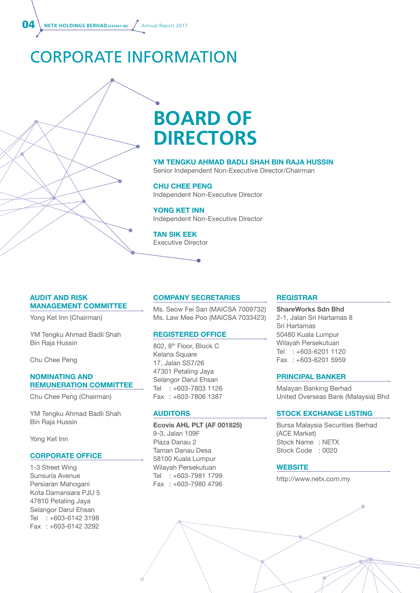**04** NETX HOLDINGS BERHAD (533441-W) Annual Report 2017

## CORPORATE INFORMATION

# **BOARD OF DIRECTORS**

#### YM TENGKU AHMAD BADLI SHAH BIN RAJA HUSSIN

Senior Independent Non-Executive Director/Chairman

#### CHU CHEE PENG

Independent Non-Executive Director

YONG KET INN Independent Non-Executive Director

TAN SIK EEK Executive Director

#### AUDIT AND RISK MANAGEMENT COMMITTEE

Yong Ket Inn (Chairman)

YM Tengku Ahmad Badli Shah Bin Raja Hussin

Chu Chee Peng

#### NOMINATING AND REMUNERATION COMMITTEE

Chu Chee Peng (Chairman)

YM Tengku Ahmad Badli Shah Bin Raja Hussin

Yong Ket Inn

#### CORPORATE OFFICE

1-3 Street Wing Sunsuria Avenue Persiaran Mahogani Kota Damansara PJU 5 47810 Petaling Jaya Selangor Darul Ehsan Tel : +603-6142 3198 Fax : +603-6142 3292

#### COMPANY SECRETARIES

Ms. Seow Fei San (MAICSA 7009732) Ms. Law Mee Poo (MAICSA 7033423)

#### REGISTERED OFFICE

802, 8<sup>th</sup> Floor, Block C Kelana Square 17, Jalan SS7/26 47301 Petaling Jaya Selangor Darul Ehsan Tel : +603-7803 1126 Fax : +603-7806 1387

#### AUDITORS

Ecovis AHL PLT (AF 001825) 9-3, Jalan 109F Plaza Danau 2 Taman Danau Desa 58100 Kuala Lumpur Wilayah Persekutuan Tel : +603-7981 1799 Fax : +603-7980 4796

#### **REGISTRAR**

ShareWorks Sdn Bhd 2-1, Jalan Sri Hartamas 8 Sri Hartamas 50480 Kuala Lumpur Wilayah Persekutuan Tel : +603-6201 1120 Fax : +603-6201 5959

#### PRINCIPAL BANKER

Malayan Banking Berhad United Overseas Bank (Malaysia) Bhd

#### STOCK EXCHANGE LISTING

Bursa Malaysia Securities Berhad (ACE Market) Stock Name : NETX Stock Code : 0020

#### **WEBSITE**

http://www.netx.com.my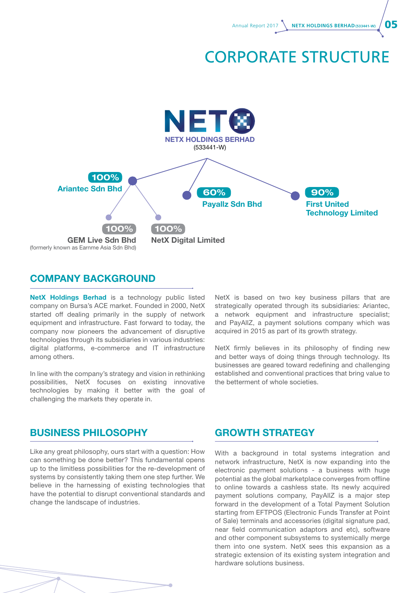

### CORPORATE STRUCTURE



#### COMPANY BACKGROUND

NetX Holdings Berhad is a technology public listed company on Bursa's ACE market. Founded in 2000, NetX started off dealing primarily in the supply of network equipment and infrastructure. Fast forward to today, the company now pioneers the advancement of disruptive technologies through its subsidiaries in various industries: digital platforms, e-commerce and IT infrastructure among others.

In line with the company's strategy and vision in rethinking possibilities, NetX focuses on existing innovative technologies by making it better with the goal of challenging the markets they operate in.

NetX is based on two key business pillars that are strategically operated through its subsidiaries: Ariantec, a network equipment and infrastructure specialist; and PayAllZ, a payment solutions company which was acquired in 2015 as part of its growth strategy.

NetX firmly believes in its philosophy of finding new and better ways of doing things through technology. Its businesses are geared toward redefining and challenging established and conventional practices that bring value to the betterment of whole societies.

#### BUSINESS PHILOSOPHY GROWTH STRATEGY

Like any great philosophy, ours start with a question: How can something be done better? This fundamental opens up to the limitless possibilities for the re-development of systems by consistently taking them one step further. We believe in the harnessing of existing technologies that have the potential to disrupt conventional standards and change the landscape of industries.

With a background in total systems integration and network infrastructure, NetX is now expanding into the electronic payment solutions - a business with huge potential as the global marketplace converges from offline to online towards a cashless state. Its newly acquired payment solutions company, PayAllZ is a major step forward in the development of a Total Payment Solution starting from EFTPOS (Electronic Funds Transfer at Point of Sale) terminals and accessories (digital signature pad, near field communication adaptors and etc), software and other component subsystems to systemically merge them into one system. NetX sees this expansion as a strategic extension of its existing system integration and hardware solutions business.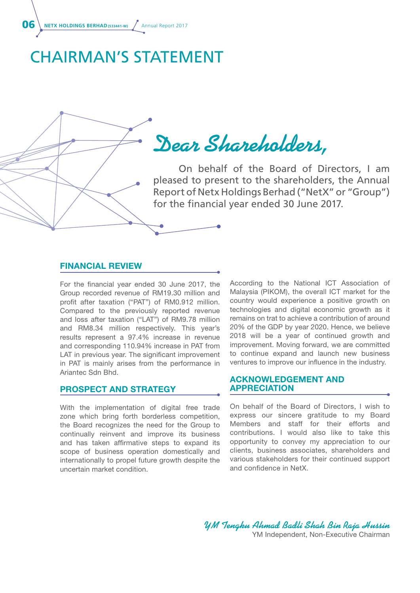**06** NETX HOLDINGS BERHAD (533441-W) Annual Report 2017

### CHAIRMAN'S STATEMENT

**Dear Shareholders,**

 On behalf of the Board of Directors, I am pleased to present to the shareholders, the Annual Report of Netx Holdings Berhad ("NetX" or "Group") for the financial year ended 30 June 2017.

#### FINANCIAL REVIEW

For the financial year ended 30 June 2017, the Group recorded revenue of RM19.30 million and profit after taxation ("PAT") of RM0.912 million. Compared to the previously reported revenue and loss after taxation ("LAT") of RM9.78 million and RM8.34 million respectively. This year's results represent a 97.4% increase in revenue and corresponding 110.94% increase in PAT from LAT in previous year. The significant improvement in PAT is mainly arises from the performance in Ariantec Sdn Bhd.

#### PROSPECT AND STRATEGY

With the implementation of digital free trade zone which bring forth borderless competition, the Board recognizes the need for the Group to continually reinvent and improve its business and has taken affirmative steps to expand its scope of business operation domestically and internationally to propel future growth despite the uncertain market condition.

According to the National ICT Association of Malaysia (PIKOM), the overall ICT market for the country would experience a positive growth on technologies and digital economic growth as it remains on trat to achieve a contribution of around 20% of the GDP by year 2020. Hence, we believe 2018 will be a year of continued growth and improvement. Moving forward, we are committed to continue expand and launch new business ventures to improve our influence in the industry.

#### ACKNOWLEDGEMENT AND APPRECIATION

On behalf of the Board of Directors, I wish to express our sincere gratitude to my Board Members and staff for their efforts and contributions. I would also like to take this opportunity to convey my appreciation to our clients, business associates, shareholders and various stakeholders for their continued support and confidence in NetX.

**YM Tengku Ahmad Badli Shah Bin Raja Hussin** YM Independent, Non-Executive Chairman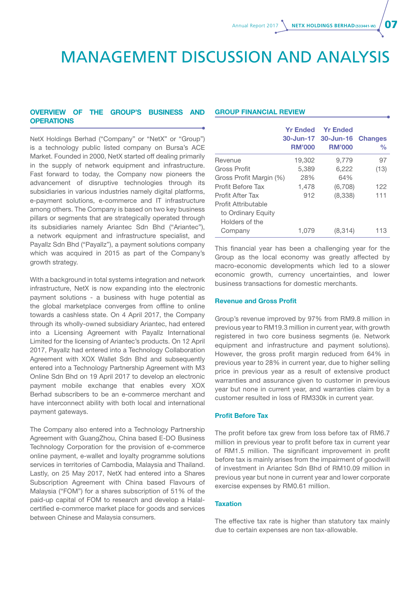### MANAGEMENT DISCUSSION AND ANALYSIS

#### Overview of the Group's Business and **OPERATIONS**

NetX Holdings Berhad ("Company" or "NetX" or "Group") is a technology public listed company on Bursa's ACE Market. Founded in 2000, NetX started off dealing primarily in the supply of network equipment and infrastructure. Fast forward to today, the Company now pioneers the advancement of disruptive technologies through its subsidiaries in various industries namely digital platforms, e-payment solutions, e-commerce and IT infrastructure among others. The Company is based on two key business pillars or segments that are strategically operated through its subsidiaries namely Ariantec Sdn Bhd ("Ariantec"), a network equipment and infrastructure specialist, and Payallz Sdn Bhd ("Payallz"), a payment solutions company which was acquired in 2015 as part of the Company's growth strategy.

With a background in total systems integration and network infrastructure, NetX is now expanding into the electronic payment solutions - a business with huge potential as the global marketplace converges from offline to online towards a cashless state. On 4 April 2017, the Company through its wholly-owned subsidiary Ariantec, had entered into a Licensing Agreement with Payallz International Limited for the licensing of Ariantec's products. On 12 April 2017, Payallz had entered into a Technology Collaboration Agreement with XOX Wallet Sdn Bhd and subsequently entered into a Technology Partnership Agreement with M3 Online Sdn Bhd on 19 April 2017 to develop an electronic payment mobile exchange that enables every XOX Berhad subscribers to be an e-commerce merchant and have interconnect ability with both local and international payment gateways.

The Company also entered into a Technology Partnership Agreement with GuangZhou, China based E-DO Business Technology Corporation for the provision of e-commerce online payment, e-wallet and loyalty programme solutions services in territories of Cambodia, Malaysia and Thailand. Lastly, on 25 May 2017, NetX had entered into a Shares Subscription Agreement with China based Flavours of Malaysia ("FOM") for a shares subscription of 51% of the paid-up capital of FOM to research and develop a Halalcertified e-commerce market place for goods and services between Chinese and Malaysia consumers.

#### Group Financial Review

|                         | <b>Yr Ended</b><br><b>RM'000</b> | <b>Yr Ended</b><br>30-Jun-17 30-Jun-16<br><b>RM'000</b> | <b>Changes</b><br>$\frac{0}{0}$ |
|-------------------------|----------------------------------|---------------------------------------------------------|---------------------------------|
| Revenue                 | 19,302                           | 9,779                                                   | 97                              |
| <b>Gross Profit</b>     | 5,389                            | 6,222                                                   | (13)                            |
| Gross Profit Margin (%) | 28%                              | 64%                                                     |                                 |
| Profit Before Tax       | 1,478                            | (6,708)                                                 | 122                             |
| <b>Profit After Tax</b> | 912                              | (8,338)                                                 | 111                             |
| Profit Attributable     |                                  |                                                         |                                 |
| to Ordinary Equity      |                                  |                                                         |                                 |
| Holders of the          |                                  |                                                         |                                 |
| Company                 | 1.079                            | (8,314)                                                 | 113                             |

This financial year has been a challenging year for the Group as the local economy was greatly affected by macro-economic developments which led to a slower economic growth, currency uncertainties, and lower business transactions for domestic merchants.

#### Revenue and Gross Profit

Group's revenue improved by 97% from RM9.8 million in previous year to RM19.3 million in current year, with growth registered in two core business segments (ie. Network equipment and infrastructure and payment solutions). However, the gross profit margin reduced from 64% in previous year to 28% in current year, due to higher selling price in previous year as a result of extensive product warranties and assurance given to customer in previous year but none in current year, and warranties claim by a customer resulted in loss of RM330k in current year.

#### Profit Before Tax

The profit before tax grew from loss before tax of RM6.7 million in previous year to profit before tax in current year of RM1.5 million. The significant improvement in profit before tax is mainly arises from the impairment of goodwill of investment in Ariantec Sdn Bhd of RM10.09 million in previous year but none in current year and lower corporate exercise expenses by RM0.61 million.

#### **Taxation**

The effective tax rate is higher than statutory tax mainly due to certain expenses are non tax-allowable.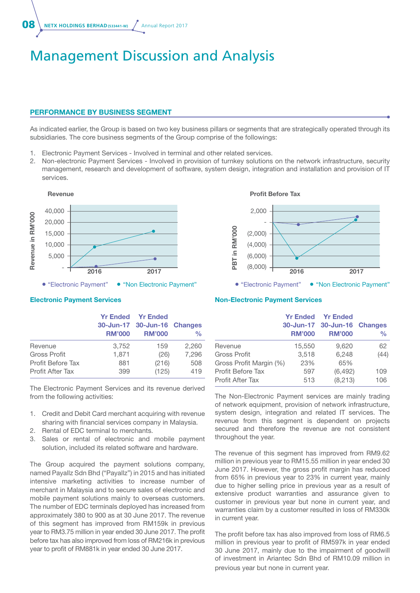**08** NETX HOLDINGS BERHAD (533441-W) Annual Report 2017

### Management Discussion and Analysis

#### Performance By Business Segment

As indicated earlier, the Group is based on two key business pillars or segments that are strategically operated through its subsidiaries. The core business segments of the Group comprise of the followings:

- 1. Electronic Payment Services Involved in terminal and other related services.
- 2. Non-electronic Payment Services Involved in provision of turnkey solutions on the network infrastructure, security management, research and development of software, system design, integration and installation and provision of IT services.



#### Electronic Payment Services

|                         | <b>RM'000</b> | <b>Yr Ended Yr Ended</b><br>30-Jun-17 30-Jun-16 Changes<br><b>RM'000</b> | $\frac{0}{0}$ |
|-------------------------|---------------|--------------------------------------------------------------------------|---------------|
| Revenue                 | 3,752         | 159                                                                      | 2,260         |
| <b>Gross Profit</b>     | 1,871         | (26)                                                                     | 7,296         |
| Profit Before Tax       | 881           | (216)                                                                    | 508           |
| <b>Profit After Tax</b> | 399           | (125)                                                                    | 419           |

The Electronic Payment Services and its revenue derived from the following activities:

- 1. Credit and Debit Card merchant acquiring with revenue sharing with financial services company in Malaysia.
- 2. Rental of EDC terminal to merchants.
- 3. Sales or rental of electronic and mobile payment solution, included its related software and hardware.

The Group acquired the payment solutions company, named Payallz Sdn Bhd ("Payallz") in 2015 and has initiated intensive marketing activities to increase number of merchant in Malaysia and to secure sales of electronic and mobile payment solutions mainly to overseas customers. The number of EDC terminals deployed has increased from approximately 380 to 900 as at 30 June 2017. The revenue of this segment has improved from RM159k in previous year to RM3.75 million in year ended 30 June 2017. The profit before tax has also improved from loss of RM216k in previous year to profit of RM881k in year ended 30 June 2017.

#### Profit Before Tax



#### Non-Electronic Payment Services

|                         | <b>RM'000</b> | <b>Yr Ended Yr Ended</b><br>30-Jun-17 30-Jun-16 Changes<br><b>RM'000</b> | $\frac{0}{0}$ |
|-------------------------|---------------|--------------------------------------------------------------------------|---------------|
| Revenue                 | 15,550        | 9,620                                                                    | 62            |
| <b>Gross Profit</b>     | 3,518         | 6,248                                                                    | (44)          |
| Gross Profit Margin (%) | 23%           | 65%                                                                      |               |
| Profit Before Tax       | 597           | (6, 492)                                                                 | 109           |
| <b>Profit After Tax</b> | 513           | (8, 213)                                                                 | 106           |

The Non-Electronic Payment services are mainly trading of network equipment, provision of network infrastructure, system design, integration and related IT services. The revenue from this segment is dependent on projects secured and therefore the revenue are not consistent throughout the year.

The revenue of this segment has improved from RM9.62 million in previous year to RM15.55 million in year ended 30 June 2017. However, the gross profit margin has reduced from 65% in previous year to 23% in current year, mainly due to higher selling price in previous year as a result of extensive product warranties and assurance given to customer in previous year but none in current year, and warranties claim by a customer resulted in loss of RM330k in current year.

The profit before tax has also improved from loss of RM6.5 million in previous year to profit of RM597k in year ended 30 June 2017, mainly due to the impairment of goodwill of investment in Ariantec Sdn Bhd of RM10.09 million in previous year but none in current year.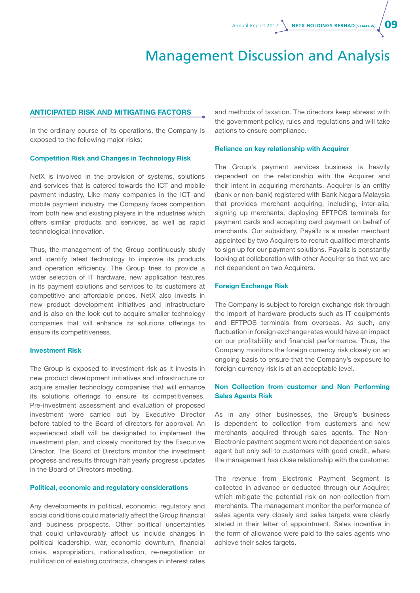### Management Discussion and Analysis

#### Anticipated Risk and Mitigating Factors

In the ordinary course of its operations, the Company is exposed to the following major risks:

#### Competition Risk and Changes in Technology Risk

NetX is involved in the provision of systems, solutions and services that is catered towards the ICT and mobile payment industry. Like many companies in the ICT and mobile payment industry, the Company faces competition from both new and existing players in the industries which offers similar products and services, as well as rapid technological innovation.

Thus, the management of the Group continuously study and identify latest technology to improve its products and operation efficiency. The Group tries to provide a wider selection of IT hardware, new application features in its payment solutions and services to its customers at competitive and affordable prices. NetX also invests in new product development initiatives and infrastructure and is also on the look-out to acquire smaller technology companies that will enhance its solutions offerings to ensure its competitiveness.

#### Investment Risk

The Group is exposed to investment risk as it invests in new product development initiatives and infrastructure or acquire smaller technology companies that will enhance its solutions offerings to ensure its competitiveness. Pre-investment assessment and evaluation of proposed investment were carried out by Executive Director before tabled to the Board of directors for approval. An experienced staff will be designated to implement the investment plan, and closely monitored by the Executive Director. The Board of Directors monitor the investment progress and results through half yearly progress updates in the Board of Directors meeting.

#### Political, economic and regulatory considerations

Any developments in political, economic, regulatory and social conditions could materially affect the Group financial and business prospects. Other political uncertainties that could unfavourably affect us include changes in political leadership, war, economic downturn, financial crisis, expropriation, nationalisation, re-negotiation or nullification of existing contracts, changes in interest rates

and methods of taxation. The directors keep abreast with the government policy, rules and regulations and will take actions to ensure compliance.

#### Reliance on key relationship with Acquirer

The Group's payment services business is heavily dependent on the relationship with the Acquirer and their intent in acquiring merchants. Acquirer is an entity (bank or non-bank) registered with Bank Negara Malaysia that provides merchant acquiring, including, inter-alia, signing up merchants, deploying EFTPOS terminals for payment cards and accepting card payment on behalf of merchants. Our subsidiary, Payallz is a master merchant appointed by two Acquirers to recruit qualified merchants to sign up for our payment solutions. Payallz is constantly looking at collaboration with other Acquirer so that we are not dependent on two Acquirers.

#### Foreign Exchange Risk

The Company is subject to foreign exchange risk through the import of hardware products such as IT equipments and EFTPOS terminals from overseas. As such, any fluctuation in foreign exchange rates would have an impact on our profitability and financial performance. Thus, the Company monitors the foreign currency risk closely on an ongoing basis to ensure that the Company's exposure to foreign currency risk is at an acceptable level.

#### Non Collection from customer and Non Performing Sales Agents Risk

As in any other businesses, the Group's business is dependent to collection from customers and new merchants acquired through sales agents. The Non-Electronic payment segment were not dependent on sales agent but only sell to customers with good credit, where the management has close relationship with the customer.

The revenue from Electronic Payment Segment is collected in advance or deducted through our Acquirer, which mitigate the potential risk on non-collection from merchants. The management monitor the performance of sales agents very closely and sales targets were clearly stated in their letter of appointment. Sales incentive in the form of allowance were paid to the sales agents who achieve their sales targets.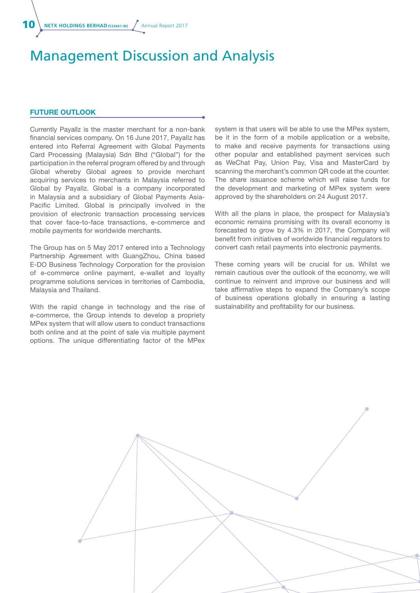### Management Discussion and Analysis

#### Future Outlook

Currently Payallz is the master merchant for a non-bank financial services company. On 16 June 2017, Payallz has entered into Referral Agreement with Global Payments Card Processing (Malaysia) Sdn Bhd ("Global") for the participation in the referral program offered by and through Global whereby Global agrees to provide merchant acquiring services to merchants in Malaysia referred to Global by Payallz. Global is a company incorporated in Malaysia and a subsidiary of Global Payments Asia-Pacific Limited. Global is principally involved in the provision of electronic transaction processing services that cover face-to-face transactions, e-commerce and mobile payments for worldwide merchants.

The Group has on 5 May 2017 entered into a Technology Partnership Agreement with GuangZhou, China based E-DO Business Technology Corporation for the provision of e-commerce online payment, e-wallet and loyalty programme solutions services in territories of Cambodia, Malaysia and Thailand.

With the rapid change in technology and the rise of e-commerce, the Group intends to develop a propriety MPex system that will allow users to conduct transactions both online and at the point of sale via multiple payment options. The unique differentiating factor of the MPex

system is that users will be able to use the MPex system, be it in the form of a mobile application or a website, to make and receive payments for transactions using other popular and established payment services such as WeChat Pay, Union Pay, Visa and MasterCard by scanning the merchant's common QR code at the counter. The share issuance scheme which will raise funds for the development and marketing of MPex system were approved by the shareholders on 24 August 2017.

With all the plans in place, the prospect for Malaysia's economic remains promising with its overall economy is forecasted to grow by 4.3% in 2017, the Company will benefit from initiatives of worldwide financial regulators to convert cash retail payments into electronic payments.

These coming years will be crucial for us. Whilst we remain cautious over the outlook of the economy, we will continue to reinvent and improve our business and will take affirmative steps to expand the Company's scope of business operations globally in ensuring a lasting sustainability and profitability for our business.

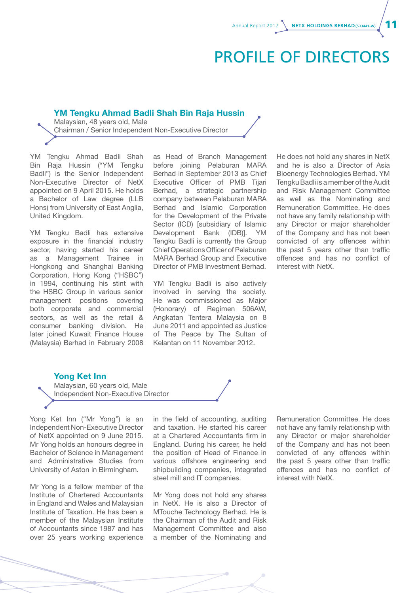### PROFILE OF DIRECTORS

#### YM Tengku Ahmad Badli Shah Bin Raja Hussin

Malaysian, 48 years old, Male Chairman / Senior Independent Non-Executive Director

YM Tengku Ahmad Badli Shah Bin Raja Hussin ("YM Tengku Badli") is the Senior Independent Non-Executive Director of NetX appointed on 9 April 2015. He holds a Bachelor of Law degree (LLB Hons) from University of East Anglia, United Kingdom.

YM Tengku Badli has extensive exposure in the financial industry sector, having started his career as a Management Trainee in Hongkong and Shanghai Banking Corporation, Hong Kong ("HSBC") in 1994, continuing his stint with the HSBC Group in various senior management positions covering both corporate and commercial sectors, as well as the retail & consumer banking division. He later joined Kuwait Finance House (Malaysia) Berhad in February 2008

as Head of Branch Management before joining Pelaburan MARA Berhad in September 2013 as Chief Executive Officer of PMB Tijari Berhad, a strategic partnership company between Pelaburan MARA Berhad and Islamic Corporation for the Development of the Private Sector (ICD) [subsidiary of Islamic Development Bank (IDB)]. YM Tengku Badli is currently the Group Chief Operations Officer of Pelaburan MARA Berhad Group and Executive Director of PMB Investment Berhad.

YM Tengku Badli is also actively involved in serving the society. He was commissioned as Major (Honorary) of Regimen 506AW, Angkatan Tentera Malaysia on 8 June 2011 and appointed as Justice of The Peace by The Sultan of Kelantan on 11 November 2012.

He does not hold any shares in NetX and he is also a Director of Asia Bioenergy Technologies Berhad. YM Tengku Badli is a member of the Audit and Risk Management Committee as well as the Nominating and Remuneration Committee. He does not have any family relationship with any Director or major shareholder of the Company and has not been convicted of any offences within the past 5 years other than traffic offences and has no conflict of interest with NetX.

#### Yong Ket Inn



Yong Ket Inn ("Mr Yong") is an Independent Non-Executive Director of NetX appointed on 9 June 2015. Mr Yong holds an honours degree in Bachelor of Science in Management and Administrative Studies from University of Aston in Birmingham.

Mr Yong is a fellow member of the Institute of Chartered Accountants in England and Wales and Malaysian Institute of Taxation. He has been a member of the Malaysian Institute of Accountants since 1987 and has over 25 years working experience in the field of accounting, auditing and taxation. He started his career at a Chartered Accountants firm in England. During his career, he held the position of Head of Finance in various offshore engineering and shipbuilding companies, integrated steel mill and IT companies.

Mr Yong does not hold any shares in NetX. He is also a Director of MTouche Technology Berhad. He is the Chairman of the Audit and Risk Management Committee and also a member of the Nominating and Remuneration Committee. He does not have any family relationship with any Director or major shareholder of the Company and has not been convicted of any offences within the past 5 years other than traffic offences and has no conflict of interest with NetX.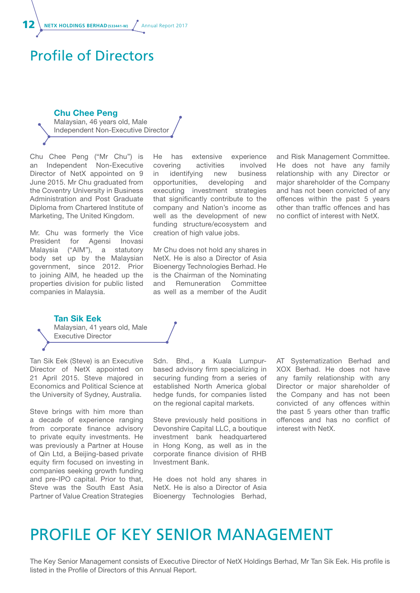NETX HOLDINGS BERHAD(533441-W) / Annual Report 2017

### Profile of Directors

#### Chu Chee Peng

Malaysian, 46 years old, Male Independent Non-Executive Director

Chu Chee Peng ("Mr Chu") is an Independent Non-Executive Director of NetX appointed on 9 June 2015. Mr Chu graduated from the Coventry University in Business Administration and Post Graduate Diploma from Chartered Institute of Marketing, The United Kingdom.

Mr. Chu was formerly the Vice President for Agensi Inovasi Malaysia ("AIM"), a statutory body set up by the Malaysian government, since 2012. Prior to joining AIM, he headed up the properties division for public listed companies in Malaysia.

He has extensive experience covering activities involved in identifying new business opportunities, developing and executing investment strategies that significantly contribute to the company and Nation's income as well as the development of new funding structure/ecosystem and creation of high value jobs.

Mr Chu does not hold any shares in NetX. He is also a Director of Asia Bioenergy Technologies Berhad. He is the Chairman of the Nominating and Remuneration Committee as well as a member of the Audit

and Risk Management Committee. He does not have any family relationship with any Director or major shareholder of the Company and has not been convicted of any offences within the past 5 years other than traffic offences and has no conflict of interest with NetX.

Tan Sik Eek Malaysian, 41 years old, Male Executive Director

Tan Sik Eek (Steve) is an Executive Director of NetX appointed on 21 April 2015. Steve majored in Economics and Political Science at the University of Sydney, Australia.

Steve brings with him more than a decade of experience ranging from corporate finance advisory to private equity investments. He was previously a Partner at House of Qin Ltd, a Beijing-based private equity firm focused on investing in companies seeking growth funding and pre-IPO capital. Prior to that, Steve was the South East Asia Partner of Value Creation Strategies

Sdn. Bhd., a Kuala Lumpurbased advisory firm specializing in securing funding from a series of established North America global hedge funds, for companies listed on the regional capital markets.

Steve previously held positions in Devonshire Capital LLC, a boutique investment bank headquartered in Hong Kong, as well as in the corporate finance division of RHB Investment Bank.

He does not hold any shares in NetX. He is also a Director of Asia Bioenergy Technologies Berhad, AT Systematization Berhad and XOX Berhad. He does not have any family relationship with any Director or major shareholder of the Company and has not been convicted of any offences within the past 5 years other than traffic offences and has no conflict of interest with NetX.

### PROFILE OF KEY SENIOR MANAGEMENT

The Key Senior Management consists of Executive Director of NetX Holdings Berhad, Mr Tan Sik Eek. His profile is listed in the Profile of Directors of this Annual Report.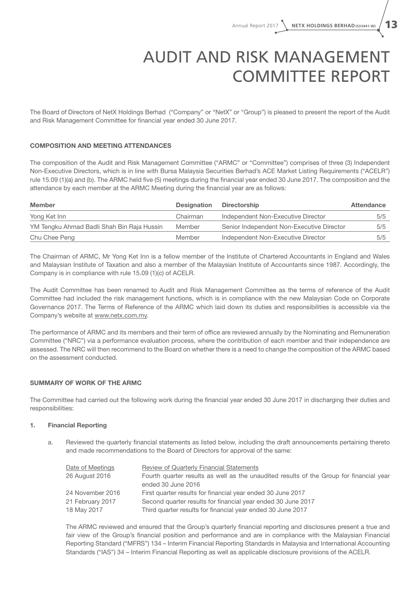# AUDIT AND RISK MANAGEMENT COMMITTEE REPORT

The Board of Directors of NetX Holdings Berhad ("Company" or "NetX" or "Group") is pleased to present the report of the Audit and Risk Management Committee for financial year ended 30 June 2017.

#### COMPOSITION AND MEETING ATTENDANCES

The composition of the Audit and Risk Management Committee ("ARMC" or "Committee") comprises of three (3) Independent Non-Executive Directors, which is in line with Bursa Malaysia Securities Berhad's ACE Market Listing Requirements ("ACELR") rule 15.09 (1)(a) and (b). The ARMC held five (5) meetings during the financial year ended 30 June 2017. The composition and the attendance by each member at the ARMC Meeting during the financial year are as follows:

| <b>Member</b>                              | <b>Designation</b> | <b>Directorship</b>                       | Attendance |
|--------------------------------------------|--------------------|-------------------------------------------|------------|
| Yong Ket Inn                               | Chairman           | Independent Non-Executive Director        | 5/5        |
| YM Tengku Ahmad Badli Shah Bin Raja Hussin | Member             | Senior Independent Non-Executive Director | 5/5        |
| Chu Chee Peng                              | Member             | Independent Non-Executive Director        | 5/5        |

The Chairman of ARMC, Mr Yong Ket Inn is a fellow member of the Institute of Chartered Accountants in England and Wales and Malaysian Institute of Taxation and also a member of the Malaysian Institute of Accountants since 1987. Accordingly, the Company is in compliance with rule 15.09 (1)(c) of ACELR.

The Audit Committee has been renamed to Audit and Risk Management Committee as the terms of reference of the Audit Committee had included the risk management functions, which is in compliance with the new Malaysian Code on Corporate Governance 2017. The Terms of Reference of the ARMC which laid down its duties and responsibilities is accessible via the Company's website at www.netx.com.my.

The performance of ARMC and its members and their term of office are reviewed annually by the Nominating and Remuneration Committee ("NRC") via a performance evaluation process, where the contribution of each member and their independence are assessed. The NRC will then recommend to the Board on whether there is a need to change the composition of the ARMC based on the assessment conducted.

#### SUMMARY OF WORK OF THE ARMC

The Committee had carried out the following work during the financial year ended 30 June 2017 in discharging their duties and responsibilities:

#### 1. Financial Reporting

a. Reviewed the quarterly financial statements as listed below, including the draft announcements pertaining thereto and made recommendations to the Board of Directors for approval of the same:

| Date of Meetings | <b>Review of Quarterly Financial Statements</b>                                         |
|------------------|-----------------------------------------------------------------------------------------|
| 26 August 2016   | Fourth quarter results as well as the unaudited results of the Group for financial year |
|                  | ended 30 June 2016                                                                      |
| 24 November 2016 | First quarter results for financial year ended 30 June 2017                             |
| 21 February 2017 | Second quarter results for financial year ended 30 June 2017                            |
| 18 May 2017      | Third quarter results for financial year ended 30 June 2017                             |

The ARMC reviewed and ensured that the Group's quarterly financial reporting and disclosures present a true and fair view of the Group's financial position and performance and are in compliance with the Malaysian Financial Reporting Standard ("MFRS") 134 – Interim Financial Reporting Standards in Malaysia and International Accounting Standards ("IAS") 34 – Interim Financial Reporting as well as applicable disclosure provisions of the ACELR.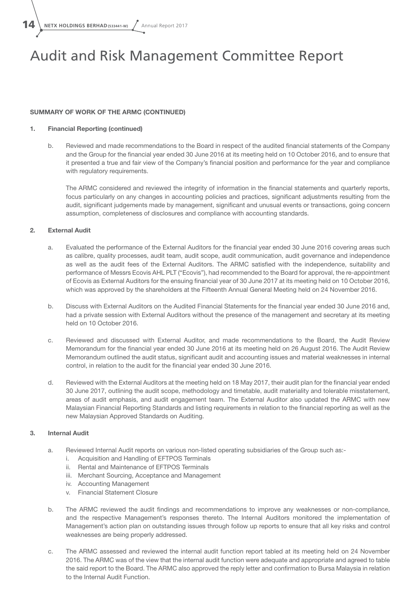$14 \setminus$  NETX HOLDINGS BERHAD (533441-W)  $\sqrt{ }$  Annual Report 2017

### Audit and Risk Management Committee Report

#### SUMMARY OF WORK OF THE ARMC (continued)

#### 1. Financial Reporting (continued)

b. Reviewed and made recommendations to the Board in respect of the audited financial statements of the Company and the Group for the financial year ended 30 June 2016 at its meeting held on 10 October 2016, and to ensure that it presented a true and fair view of the Company's financial position and performance for the year and compliance with regulatory requirements.

The ARMC considered and reviewed the integrity of information in the financial statements and quarterly reports, focus particularly on any changes in accounting policies and practices, significant adjustments resulting from the audit, significant judgements made by management, significant and unusual events or transactions, going concern assumption, completeness of disclosures and compliance with accounting standards.

#### 2. External Audit

- a. Evaluated the performance of the External Auditors for the financial year ended 30 June 2016 covering areas such as calibre, quality processes, audit team, audit scope, audit communication, audit governance and independence as well as the audit fees of the External Auditors. The ARMC satisfied with the independence, suitability and performance of Messrs Ecovis AHL PLT ("Ecovis"), had recommended to the Board for approval, the re-appointment of Ecovis as External Auditors for the ensuing financial year of 30 June 2017 at its meeting held on 10 October 2016, which was approved by the shareholders at the Fifteenth Annual General Meeting held on 24 November 2016.
- b. Discuss with External Auditors on the Audited Financial Statements for the financial year ended 30 June 2016 and, had a private session with External Auditors without the presence of the management and secretary at its meeting held on 10 October 2016.
- c. Reviewed and discussed with External Auditor, and made recommendations to the Board, the Audit Review Memorandum for the financial year ended 30 June 2016 at its meeting held on 26 August 2016. The Audit Review Memorandum outlined the audit status, significant audit and accounting issues and material weaknesses in internal control, in relation to the audit for the financial year ended 30 June 2016.
- d. Reviewed with the External Auditors at the meeting held on 18 May 2017, their audit plan for the financial year ended 30 June 2017, outlining the audit scope, methodology and timetable, audit materiality and tolerable misstatement, areas of audit emphasis, and audit engagement team. The External Auditor also updated the ARMC with new Malaysian Financial Reporting Standards and listing requirements in relation to the financial reporting as well as the new Malaysian Approved Standards on Auditing.

#### 3. Internal Audit

- a. Reviewed Internal Audit reports on various non-listed operating subsidiaries of the Group such as:
	- i. Acquisition and Handling of EFTPOS Terminals
	- ii. Rental and Maintenance of EFTPOS Terminals
	- iii. Merchant Sourcing, Acceptance and Management
	- iv. Accounting Management
	- v. Financial Statement Closure
- b. The ARMC reviewed the audit findings and recommendations to improve any weaknesses or non-compliance, and the respective Management's responses thereto. The Internal Auditors monitored the implementation of Management's action plan on outstanding issues through follow up reports to ensure that all key risks and control weaknesses are being properly addressed.
- c. The ARMC assessed and reviewed the internal audit function report tabled at its meeting held on 24 November 2016. The ARMC was of the view that the internal audit function were adequate and appropriate and agreed to table the said report to the Board. The ARMC also approved the reply letter and confirmation to Bursa Malaysia in relation to the Internal Audit Function.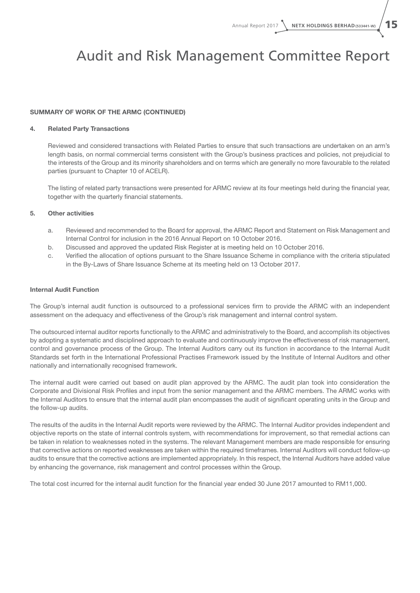### Audit and Risk Management Committee Report

#### SUMMARY OF WORK OF THE ARMC (continued)

#### 4. Related Party Transactions

Reviewed and considered transactions with Related Parties to ensure that such transactions are undertaken on an arm's length basis, on normal commercial terms consistent with the Group's business practices and policies, not prejudicial to the interests of the Group and its minority shareholders and on terms which are generally no more favourable to the related parties (pursuant to Chapter 10 of ACELR).

The listing of related party transactions were presented for ARMC review at its four meetings held during the financial year, together with the quarterly financial statements.

#### 5. Other activities

- a. Reviewed and recommended to the Board for approval, the ARMC Report and Statement on Risk Management and Internal Control for inclusion in the 2016 Annual Report on 10 October 2016.
- b. Discussed and approved the updated Risk Register at is meeting held on 10 October 2016.
- c. Verified the allocation of options pursuant to the Share Issuance Scheme in compliance with the criteria stipulated in the By-Laws of Share Issuance Scheme at its meeting held on 13 October 2017.

#### Internal Audit Function

The Group's internal audit function is outsourced to a professional services firm to provide the ARMC with an independent assessment on the adequacy and effectiveness of the Group's risk management and internal control system.

The outsourced internal auditor reports functionally to the ARMC and administratively to the Board, and accomplish its objectives by adopting a systematic and disciplined approach to evaluate and continuously improve the effectiveness of risk management, control and governance process of the Group. The Internal Auditors carry out its function in accordance to the Internal Audit Standards set forth in the International Professional Practises Framework issued by the Institute of Internal Auditors and other nationally and internationally recognised framework.

The internal audit were carried out based on audit plan approved by the ARMC. The audit plan took into consideration the Corporate and Divisional Risk Profiles and input from the senior management and the ARMC members. The ARMC works with the Internal Auditors to ensure that the internal audit plan encompasses the audit of significant operating units in the Group and the follow-up audits.

The results of the audits in the Internal Audit reports were reviewed by the ARMC. The Internal Auditor provides independent and objective reports on the state of internal controls system, with recommendations for improvement, so that remedial actions can be taken in relation to weaknesses noted in the systems. The relevant Management members are made responsible for ensuring that corrective actions on reported weaknesses are taken within the required timeframes. Internal Auditors will conduct follow-up audits to ensure that the corrective actions are implemented appropriately. In this respect, the Internal Auditors have added value by enhancing the governance, risk management and control processes within the Group.

The total cost incurred for the internal audit function for the financial year ended 30 June 2017 amounted to RM11,000.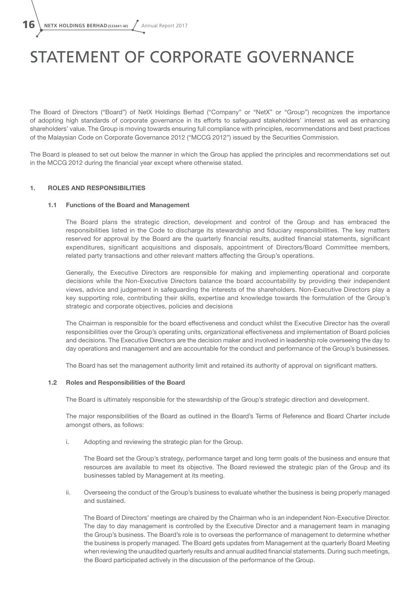# STATEMENT OF CORPORATE GOVERNANCE

The Board of Directors ("Board") of NetX Holdings Berhad ("Company" or "NetX" or "Group") recognizes the importance of adopting high standards of corporate governance in its efforts to safeguard stakeholders' interest as well as enhancing shareholders' value. The Group is moving towards ensuring full compliance with principles, recommendations and best practices of the Malaysian Code on Corporate Governance 2012 ("MCCG 2012") issued by the Securities Commission.

The Board is pleased to set out below the manner in which the Group has applied the principles and recommendations set out in the MCCG 2012 during the financial year except where otherwise stated.

#### 1. ROLES AND RESPONSIBILITIES

#### 1.1 Functions of the Board and Management

The Board plans the strategic direction, development and control of the Group and has embraced the responsibilities listed in the Code to discharge its stewardship and fiduciary responsibilities. The key matters reserved for approval by the Board are the quarterly financial results, audited financial statements, significant expenditures, significant acquisitions and disposals, appointment of Directors/Board Committee members, related party transactions and other relevant matters affecting the Group's operations.

Generally, the Executive Directors are responsible for making and implementing operational and corporate decisions while the Non-Executive Directors balance the board accountability by providing their independent views, advice and judgement in safeguarding the interests of the shareholders. Non-Executive Directors play a key supporting role, contributing their skills, expertise and knowledge towards the formulation of the Group's strategic and corporate objectives, policies and decisions

The Chairman is responsible for the board effectiveness and conduct whilst the Executive Director has the overall responsibilities over the Group's operating units, organizational effectiveness and implementation of Board policies and decisions. The Executive Directors are the decision maker and involved in leadership role overseeing the day to day operations and management and are accountable for the conduct and performance of the Group's businesses.

The Board has set the management authority limit and retained its authority of approval on significant matters.

#### 1.2 Roles and Responsibilities of the Board

The Board is ultimately responsible for the stewardship of the Group's strategic direction and development.

The major responsibilities of the Board as outlined in the Board's Terms of Reference and Board Charter include amongst others, as follows:

i. Adopting and reviewing the strategic plan for the Group.

The Board set the Group's strategy, performance target and long term goals of the business and ensure that resources are available to meet its objective. The Board reviewed the strategic plan of the Group and its businesses tabled by Management at its meeting.

ii. Overseeing the conduct of the Group's business to evaluate whether the business is being properly managed and sustained.

The Board of Directors' meetings are chaired by the Chairman who is an independent Non-Executive Director. The day to day management is controlled by the Executive Director and a management team in managing the Group's business. The Board's role is to overseas the performance of management to determine whether the business is properly managed. The Board gets updates from Management at the quarterly Board Meeting when reviewing the unaudited quarterly results and annual audited financial statements. During such meetings, the Board participated actively in the discussion of the performance of the Group.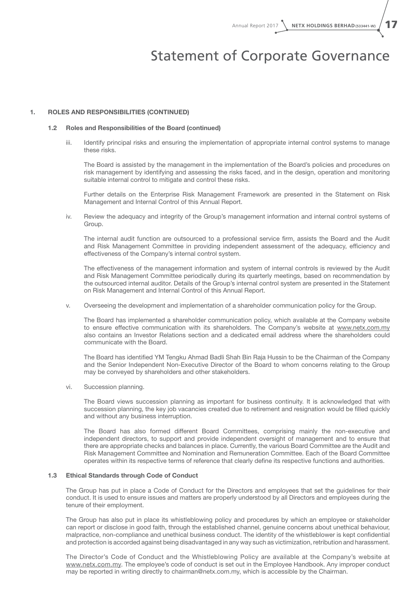### Statement of Corporate Governance

#### 1. ROLES AND RESPONSIBILITIES (continued)

#### 1.2 Roles and Responsibilities of the Board (continued)

iii. Identify principal risks and ensuring the implementation of appropriate internal control systems to manage these risks.

The Board is assisted by the management in the implementation of the Board's policies and procedures on risk management by identifying and assessing the risks faced, and in the design, operation and monitoring suitable internal control to mitigate and control these risks.

Further details on the Enterprise Risk Management Framework are presented in the Statement on Risk Management and Internal Control of this Annual Report.

iv. Review the adequacy and integrity of the Group's management information and internal control systems of Group.

The internal audit function are outsourced to a professional service firm, assists the Board and the Audit and Risk Management Committee in providing independent assessment of the adequacy, efficiency and effectiveness of the Company's internal control system.

The effectiveness of the management information and system of internal controls is reviewed by the Audit and Risk Management Committee periodically during its quarterly meetings, based on recommendation by the outsourced internal auditor. Details of the Group's internal control system are presented in the Statement on Risk Management and Internal Control of this Annual Report.

v. Overseeing the development and implementation of a shareholder communication policy for the Group.

The Board has implemented a shareholder communication policy, which available at the Company website to ensure effective communication with its shareholders. The Company's website at www.netx.com.my also contains an Investor Relations section and a dedicated email address where the shareholders could communicate with the Board.

The Board has identified YM Tengku Ahmad Badli Shah Bin Raja Hussin to be the Chairman of the Company and the Senior Independent Non-Executive Director of the Board to whom concerns relating to the Group may be conveyed by shareholders and other stakeholders.

vi. Succession planning.

The Board views succession planning as important for business continuity. It is acknowledged that with succession planning, the key job vacancies created due to retirement and resignation would be filled quickly and without any business interruption.

The Board has also formed different Board Committees, comprising mainly the non-executive and independent directors, to support and provide independent oversight of management and to ensure that there are appropriate checks and balances in place. Currently, the various Board Committee are the Audit and Risk Management Committee and Nomination and Remuneration Committee. Each of the Board Committee operates within its respective terms of reference that clearly define its respective functions and authorities.

#### 1.3 Ethical Standards through Code of Conduct

The Group has put in place a Code of Conduct for the Directors and employees that set the guidelines for their conduct. It is used to ensure issues and matters are properly understood by all Directors and employees during the tenure of their employment.

The Group has also put in place its whistleblowing policy and procedures by which an employee or stakeholder can report or disclose in good faith, through the established channel, genuine concerns about unethical behaviour, malpractice, non-compliance and unethical business conduct. The identity of the whistleblower is kept confidential and protection is accorded against being disadvantaged in any way such as victimization, retribution and harassment.

The Director's Code of Conduct and the Whistleblowing Policy are available at the Company's website at www.netx.com.my. The employee's code of conduct is set out in the Employee Handbook. Any improper conduct may be reported in writing directly to chairman@netx.com.my, which is accessible by the Chairman.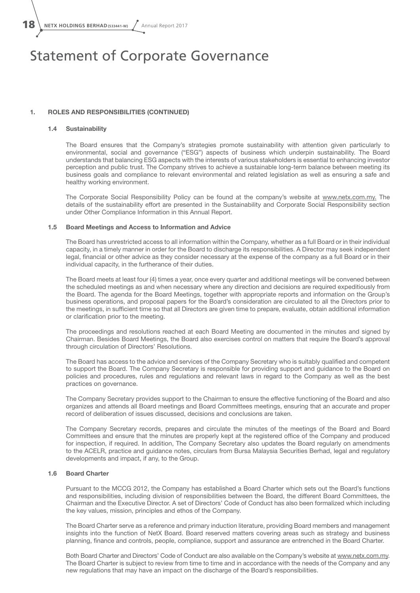**18** NETX HOLDINGS BERHAD (533441-W) Annual Report 2017

### Statement of Corporate Governance

#### 1. ROLES AND RESPONSIBILITIES (continued)

#### 1.4 Sustainability

The Board ensures that the Company's strategies promote sustainability with attention given particularly to environmental, social and governance ("ESG") aspects of business which underpin sustainability. The Board understands that balancing ESG aspects with the interests of various stakeholders is essential to enhancing investor perception and public trust. The Company strives to achieve a sustainable long-term balance between meeting its business goals and compliance to relevant environmental and related legislation as well as ensuring a safe and healthy working environment.

The Corporate Social Responsibility Policy can be found at the company's website at www.netx.com.my. The details of the sustainability effort are presented in the Sustainability and Corporate Social Responsibility section under Other Compliance Information in this Annual Report.

#### 1.5 Board Meetings and Access to Information and Advice

The Board has unrestricted access to all information within the Company, whether as a full Board or in their individual capacity, in a timely manner in order for the Board to discharge its responsibilities. A Director may seek independent legal, financial or other advice as they consider necessary at the expense of the company as a full Board or in their individual capacity, in the furtherance of their duties.

The Board meets at least four (4) times a year, once every quarter and additional meetings will be convened between the scheduled meetings as and when necessary where any direction and decisions are required expeditiously from the Board. The agenda for the Board Meetings, together with appropriate reports and information on the Group's business operations, and proposal papers for the Board's consideration are circulated to all the Directors prior to the meetings, in sufficient time so that all Directors are given time to prepare, evaluate, obtain additional information or clarification prior to the meeting.

The proceedings and resolutions reached at each Board Meeting are documented in the minutes and signed by Chairman. Besides Board Meetings, the Board also exercises control on matters that require the Board's approval through circulation of Directors' Resolutions.

The Board has access to the advice and services of the Company Secretary who is suitably qualified and competent to support the Board. The Company Secretary is responsible for providing support and guidance to the Board on policies and procedures, rules and regulations and relevant laws in regard to the Company as well as the best practices on governance.

The Company Secretary provides support to the Chairman to ensure the effective functioning of the Board and also organizes and attends all Board meetings and Board Committees meetings, ensuring that an accurate and proper record of deliberation of issues discussed, decisions and conclusions are taken.

The Company Secretary records, prepares and circulate the minutes of the meetings of the Board and Board Committees and ensure that the minutes are properly kept at the registered office of the Company and produced for inspection, if required. In addition, The Company Secretary also updates the Board regularly on amendments to the ACELR, practice and guidance notes, circulars from Bursa Malaysia Securities Berhad, legal and regulatory developments and impact, if any, to the Group.

#### 1.6 Board Charter

Pursuant to the MCCG 2012, the Company has established a Board Charter which sets out the Board's functions and responsibilities, including division of responsibilities between the Board, the different Board Committees, the Chairman and the Executive Director. A set of Directors' Code of Conduct has also been formalized which including the key values, mission, principles and ethos of the Company.

The Board Charter serve as a reference and primary induction literature, providing Board members and management insights into the function of NetX Board. Board reserved matters covering areas such as strategy and business planning, finance and controls, people, compliance, support and assurance are entrenched in the Board Charter.

Both Board Charter and Directors' Code of Conduct are also available on the Company's website at www.netx.com.my. The Board Charter is subject to review from time to time and in accordance with the needs of the Company and any new regulations that may have an impact on the discharge of the Board's responsibilities.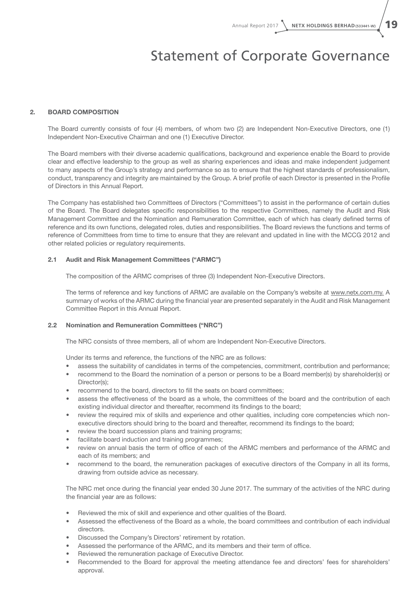### Statement of Corporate Governance

#### 2. Board Composition

The Board currently consists of four (4) members, of whom two (2) are Independent Non-Executive Directors, one (1) Independent Non-Executive Chairman and one (1) Executive Director.

The Board members with their diverse academic qualifications, background and experience enable the Board to provide clear and effective leadership to the group as well as sharing experiences and ideas and make independent judgement to many aspects of the Group's strategy and performance so as to ensure that the highest standards of professionalism, conduct, transparency and integrity are maintained by the Group. A brief profile of each Director is presented in the Profile of Directors in this Annual Report.

The Company has established two Committees of Directors ("Committees") to assist in the performance of certain duties of the Board. The Board delegates specific responsibilities to the respective Committees, namely the Audit and Risk Management Committee and the Nomination and Remuneration Committee, each of which has clearly defined terms of reference and its own functions, delegated roles, duties and responsibilities. The Board reviews the functions and terms of reference of Committees from time to time to ensure that they are relevant and updated in line with the MCCG 2012 and other related policies or regulatory requirements.

#### 2.1 Audit and Risk Management Committees ("ARMC")

The composition of the ARMC comprises of three (3) Independent Non-Executive Directors.

The terms of reference and key functions of ARMC are available on the Company's website at www.netx.com.my. A summary of works of the ARMC during the financial year are presented separately in the Audit and Risk Management Committee Report in this Annual Report.

#### 2.2 Nomination and Remuneration Committees ("NRC")

The NRC consists of three members, all of whom are Independent Non-Executive Directors.

Under its terms and reference, the functions of the NRC are as follows:

- assess the suitability of candidates in terms of the competencies, commitment, contribution and performance;
- recommend to the Board the nomination of a person or persons to be a Board member(s) by shareholder(s) or Director(s);
- recommend to the board, directors to fill the seats on board committees;
- assess the effectiveness of the board as a whole, the committees of the board and the contribution of each existing individual director and thereafter, recommend its findings to the board;
- review the required mix of skills and experience and other qualities, including core competencies which nonexecutive directors should bring to the board and thereafter, recommend its findings to the board;
- review the board succession plans and training programs;
- facilitate board induction and training programmes;
- review on annual basis the term of office of each of the ARMC members and performance of the ARMC and each of its members; and
- recommend to the board, the remuneration packages of executive directors of the Company in all its forms, drawing from outside advice as necessary.

The NRC met once during the financial year ended 30 June 2017. The summary of the activities of the NRC during the financial year are as follows:

- Reviewed the mix of skill and experience and other qualities of the Board.
- Assessed the effectiveness of the Board as a whole, the board committees and contribution of each individual directors.
- Discussed the Company's Directors' retirement by rotation.
- Assessed the performance of the ARMC, and its members and their term of office.
- Reviewed the remuneration package of Executive Director.
- Recommended to the Board for approval the meeting attendance fee and directors' fees for shareholders' approval.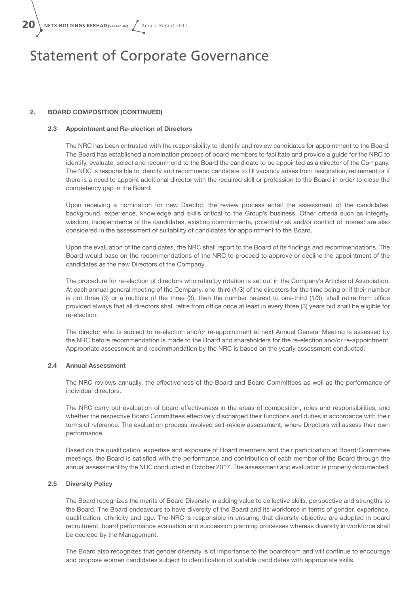$20 \setminus$  NETX HOLDINGS BERHAD (533441-W)  $\sqrt{ }$  Annual Report 2017

### Statement of Corporate Governance

#### 2. Board Composition (continued)

#### 2.3 Appointment and Re-election of Directors

The NRC has been entrusted with the responsibility to identify and review candidates for appointment to the Board. The Board has established a nomination process of board members to facilitate and provide a guide for the NRC to identify, evaluate, select and recommend to the Board the candidate to be appointed as a director of the Company. The NRC is responsible to identify and recommend candidate to fill vacancy arises from resignation, retirement or if there is a need to appoint additional director with the required skill or profession to the Board in order to close the competency gap in the Board.

Upon receiving a nomination for new Director, the review process entail the assessment of the candidates' background, experience, knowledge and skills critical to the Group's business. Other criteria such as integrity, wisdom, independence of the candidates, existing commitments, potential risk and/or conflict of interest are also considered in the assessment of suitability of candidates for appointment to the Board.

Upon the evaluation of the candidates, the NRC shall report to the Board of its findings and recommendations. The Board would base on the recommendations of the NRC to proceed to approve or decline the appointment of the candidates as the new Directors of the Company.

The procedure for re-election of directors who retire by rotation is set out in the Company's Articles of Association. At each annual general meeting of the Company, one-third (1/3) of the directors for the time being or if their number is not three (3) or a multiple of the three (3), then the number nearest to one-third (1/3), shall retire from office provided always that all directors shall retire from office once at least in every three (3) years but shall be eligible for re-election.

The director who is subject to re-election and/or re-appointment at next Annual General Meeting is assessed by the NRC before recommendation is made to the Board and shareholders for the re-election and/or re-appointment. Appropriate assessment and recommendation by the NRC is based on the yearly assessment conducted.

#### 2.4 Annual Assessment

The NRC reviews annually, the effectiveness of the Board and Board Committees as well as the performance of individual directors.

The NRC carry out evaluation of board effectiveness in the areas of composition, roles and responsibilities, and whether the respective Board Committees effectively discharged their functions and duties in accordance with their terms of reference. The evaluation process involved self-review assessment, where Directors will assess their own performance.

Based on the qualification, expertise and exposure of Board members and their participation at Board/Committee meetings, the Board is satisfied with the performance and contribution of each member of the Board through the annual assessment by the NRC conducted in October 2017. The assessment and evaluation is properly documented.

#### 2.5 Diversity Policy

The Board recognizes the merits of Board Diversity in adding value to collective skills, perspective and strengths to the Board. The Board endeavours to have diversity of the Board and its workforce in terms of gender, experience, qualification, ethnicity and age. The NRC is responsible in ensuring that diversity objective are adopted in board recruitment, board performance evaluation and succession planning processes whereas diversity in workforce shall be decided by the Management.

The Board also recognizes that gender diversity is of importance to the boardroom and will continue to encourage and propose women candidates subject to identification of suitable candidates with appropriate skills.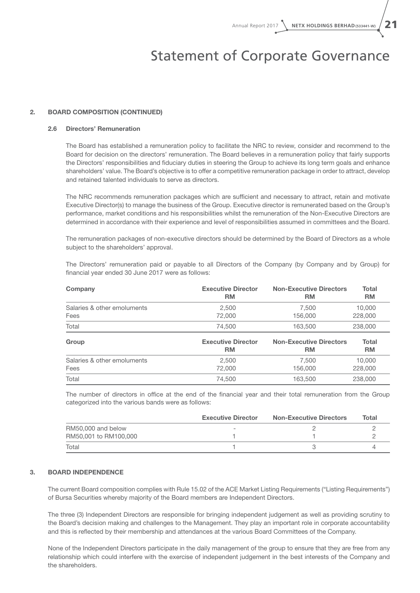### Statement of Corporate Governance

#### 2. Board Composition (continued)

#### 2.6 Directors' Remuneration

The Board has established a remuneration policy to facilitate the NRC to review, consider and recommend to the Board for decision on the directors' remuneration. The Board believes in a remuneration policy that fairly supports the Directors' responsibilities and fiduciary duties in steering the Group to achieve its long term goals and enhance shareholders' value. The Board's objective is to offer a competitive remuneration package in order to attract, develop and retained talented individuals to serve as directors.

The NRC recommends remuneration packages which are sufficient and necessary to attract, retain and motivate Executive Director(s) to manage the business of the Group. Executive director is remunerated based on the Group's performance, market conditions and his responsibilities whilst the remuneration of the Non-Executive Directors are determined in accordance with their experience and level of responsibilities assumed in committees and the Board.

The remuneration packages of non-executive directors should be determined by the Board of Directors as a whole subject to the shareholders' approval.

The Directors' remuneration paid or payable to all Directors of the Company (by Company and by Group) for financial year ended 30 June 2017 were as follows:

| Company                     | <b>Executive Director</b> | <b>Non-Executive Directors</b> | <b>Total</b> |
|-----------------------------|---------------------------|--------------------------------|--------------|
|                             | <b>RM</b>                 | <b>RM</b>                      | <b>RM</b>    |
| Salaries & other emoluments | 2,500                     | 7,500                          | 10,000       |
| Fees                        | 72,000                    | 156,000                        | 228,000      |
| Total                       | 74.500                    | 163,500                        | 238,000      |
| Group                       | <b>Executive Director</b> | <b>Non-Executive Directors</b> | Total        |
|                             | <b>RM</b>                 | RM                             | <b>RM</b>    |
| Salaries & other emoluments | 2,500                     | 7,500                          | 10,000       |
| Fees                        | 72,000                    | 156,000                        | 228,000      |
| Total                       | 74.500                    | 163,500                        | 238,000      |

The number of directors in office at the end of the financial year and their total remuneration from the Group categorized into the various bands were as follows:

|                       | <b>Executive Director</b> | <b>Non-Executive Directors</b> | Total |
|-----------------------|---------------------------|--------------------------------|-------|
| RM50,000 and below    |                           |                                |       |
| RM50,001 to RM100,000 |                           |                                |       |
| Total                 |                           |                                |       |

#### 3. Board Independence

The current Board composition complies with Rule 15.02 of the ACE Market Listing Requirements ("Listing Requirements") of Bursa Securities whereby majority of the Board members are Independent Directors.

The three (3) Independent Directors are responsible for bringing independent judgement as well as providing scrutiny to the Board's decision making and challenges to the Management. They play an important role in corporate accountability and this is reflected by their membership and attendances at the various Board Committees of the Company.

None of the Independent Directors participate in the daily management of the group to ensure that they are free from any relationship which could interfere with the exercise of independent judgement in the best interests of the Company and the shareholders.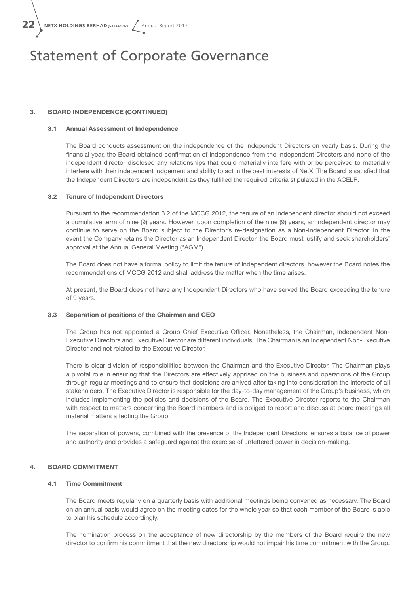**22** NETX HOLDINGS BERHAD (533441-W) Annual Report 2017

### Statement of Corporate Governance

#### 3. Board Independence (continued)

#### 3.1 Annual Assessment of Independence

The Board conducts assessment on the independence of the Independent Directors on yearly basis. During the financial year, the Board obtained confirmation of independence from the Independent Directors and none of the independent director disclosed any relationships that could materially interfere with or be perceived to materially interfere with their independent judgement and ability to act in the best interests of NetX. The Board is satisfied that the Independent Directors are independent as they fulfilled the required criteria stipulated in the ACELR.

#### 3.2 Tenure of Independent Directors

Pursuant to the recommendation 3.2 of the MCCG 2012, the tenure of an independent director should not exceed a cumulative term of nine (9) years. However, upon completion of the nine (9) years, an independent director may continue to serve on the Board subject to the Director's re-designation as a Non-Independent Director. In the event the Company retains the Director as an Independent Director, the Board must justify and seek shareholders' approval at the Annual General Meeting ("AGM").

The Board does not have a formal policy to limit the tenure of independent directors, however the Board notes the recommendations of MCCG 2012 and shall address the matter when the time arises.

At present, the Board does not have any Independent Directors who have served the Board exceeding the tenure of 9 years.

#### 3.3 Separation of positions of the Chairman and CEO

The Group has not appointed a Group Chief Executive Officer. Nonetheless, the Chairman, Independent Non-Executive Directors and Executive Director are different individuals. The Chairman is an Independent Non-Executive Director and not related to the Executive Director.

There is clear division of responsibilities between the Chairman and the Executive Director. The Chairman plays a pivotal role in ensuring that the Directors are effectively apprised on the business and operations of the Group through regular meetings and to ensure that decisions are arrived after taking into consideration the interests of all stakeholders. The Executive Director is responsible for the day-to-day management of the Group's business, which includes implementing the policies and decisions of the Board. The Executive Director reports to the Chairman with respect to matters concerning the Board members and is obliged to report and discuss at board meetings all material matters affecting the Group.

The separation of powers, combined with the presence of the Independent Directors, ensures a balance of power and authority and provides a safeguard against the exercise of unfettered power in decision-making.

#### 4. Board Commitment

#### 4.1 Time Commitment

The Board meets regularly on a quarterly basis with additional meetings being convened as necessary. The Board on an annual basis would agree on the meeting dates for the whole year so that each member of the Board is able to plan his schedule accordingly.

The nomination process on the acceptance of new directorship by the members of the Board require the new director to confirm his commitment that the new directorship would not impair his time commitment with the Group.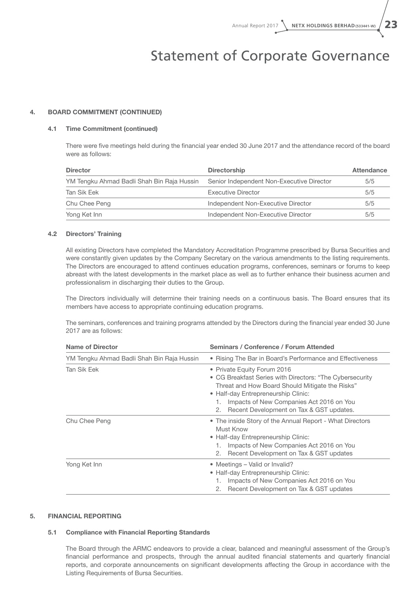### Statement of Corporate Governance

#### 4. Board Commitment (continued)

#### 4.1 Time Commitment (continued)

There were five meetings held during the financial year ended 30 June 2017 and the attendance record of the board were as follows:

| <b>Director</b>                            | <b>Directorship</b>                       | Attendance |
|--------------------------------------------|-------------------------------------------|------------|
| YM Tengku Ahmad Badli Shah Bin Raja Hussin | Senior Independent Non-Executive Director | 5/5        |
| Tan Sik Eek                                | Executive Director                        | 5/5        |
| Chu Chee Peng                              | Independent Non-Executive Director        | 5/5        |
| Yong Ket Inn                               | Independent Non-Executive Director        | 5/5        |

#### 4.2 Directors' Training

All existing Directors have completed the Mandatory Accreditation Programme prescribed by Bursa Securities and were constantly given updates by the Company Secretary on the various amendments to the listing requirements. The Directors are encouraged to attend continues education programs, conferences, seminars or forums to keep abreast with the latest developments in the market place as well as to further enhance their business acumen and professionalism in discharging their duties to the Group.

The Directors individually will determine their training needs on a continuous basis. The Board ensures that its members have access to appropriate continuing education programs.

The seminars, conferences and training programs attended by the Directors during the financial year ended 30 June 2017 are as follows:

| <b>Name of Director</b>                    | Seminars / Conference / Forum Attended                                                                                                                                                                                                                                                |  |  |  |
|--------------------------------------------|---------------------------------------------------------------------------------------------------------------------------------------------------------------------------------------------------------------------------------------------------------------------------------------|--|--|--|
| YM Tengku Ahmad Badli Shah Bin Raja Hussin | • Rising The Bar in Board's Performance and Effectiveness                                                                                                                                                                                                                             |  |  |  |
| Tan Sik Eek                                | • Private Equity Forum 2016<br>• CG Breakfast Series with Directors: "The Cybersecurity<br>Threat and How Board Should Mitigate the Risks"<br>• Half-day Entrepreneurship Clinic:<br>Impacts of New Companies Act 2016 on You<br>1.<br>Recent Development on Tax & GST updates.<br>2. |  |  |  |
| Chu Chee Peng                              | • The inside Story of the Annual Report - What Directors<br>Must Know<br>• Half-day Entrepreneurship Clinic:<br>Impacts of New Companies Act 2016 on You<br>1.<br>Recent Development on Tax & GST updates<br>2.                                                                       |  |  |  |
| Yong Ket Inn                               | • Meetings – Valid or Invalid?<br>• Half-day Entrepreneurship Clinic:<br>Impacts of New Companies Act 2016 on You<br>1.<br>Recent Development on Tax & GST updates<br>2.                                                                                                              |  |  |  |

#### 5. Financial Reporting

#### 5.1 Compliance with Financial Reporting Standards

The Board through the ARMC endeavors to provide a clear, balanced and meaningful assessment of the Group's financial performance and prospects, through the annual audited financial statements and quarterly financial reports, and corporate announcements on significant developments affecting the Group in accordance with the Listing Requirements of Bursa Securities.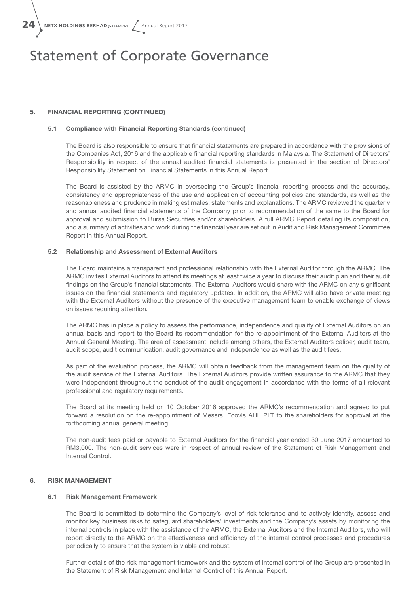$24 \setminus$  NETX HOLDINGS BERHAD (533441-W)  $\big/$  Annual Report 2017

### Statement of Corporate Governance

#### 5. Financial Reporting (continued)

#### 5.1 Compliance with Financial Reporting Standards (continued)

The Board is also responsible to ensure that financial statements are prepared in accordance with the provisions of the Companies Act, 2016 and the applicable financial reporting standards in Malaysia. The Statement of Directors' Responsibility in respect of the annual audited financial statements is presented in the section of Directors' Responsibility Statement on Financial Statements in this Annual Report.

The Board is assisted by the ARMC in overseeing the Group's financial reporting process and the accuracy, consistency and appropriateness of the use and application of accounting policies and standards, as well as the reasonableness and prudence in making estimates, statements and explanations. The ARMC reviewed the quarterly and annual audited financial statements of the Company prior to recommendation of the same to the Board for approval and submission to Bursa Securities and/or shareholders. A full ARMC Report detailing its composition, and a summary of activities and work during the financial year are set out in Audit and Risk Management Committee Report in this Annual Report.

#### 5.2 Relationship and Assessment of External Auditors

The Board maintains a transparent and professional relationship with the External Auditor through the ARMC. The ARMC invites External Auditors to attend its meetings at least twice a year to discuss their audit plan and their audit findings on the Group's financial statements. The External Auditors would share with the ARMC on any significant issues on the financial statements and regulatory updates. In addition, the ARMC will also have private meeting with the External Auditors without the presence of the executive management team to enable exchange of views on issues requiring attention.

The ARMC has in place a policy to assess the performance, independence and quality of External Auditors on an annual basis and report to the Board its recommendation for the re-appointment of the External Auditors at the Annual General Meeting. The area of assessment include among others, the External Auditors caliber, audit team, audit scope, audit communication, audit governance and independence as well as the audit fees.

As part of the evaluation process, the ARMC will obtain feedback from the management team on the quality of the audit service of the External Auditors. The External Auditors provide written assurance to the ARMC that they were independent throughout the conduct of the audit engagement in accordance with the terms of all relevant professional and regulatory requirements.

The Board at its meeting held on 10 October 2016 approved the ARMC's recommendation and agreed to put forward a resolution on the re-appointment of Messrs. Ecovis AHL PLT to the shareholders for approval at the forthcoming annual general meeting.

The non-audit fees paid or payable to External Auditors for the financial year ended 30 June 2017 amounted to RM3,000. The non-audit services were in respect of annual review of the Statement of Risk Management and Internal Control.

#### 6. Risk Management

#### 6.1 Risk Management Framework

The Board is committed to determine the Company's level of risk tolerance and to actively identify, assess and monitor key business risks to safeguard shareholders' investments and the Company's assets by monitoring the internal controls in place with the assistance of the ARMC, the External Auditors and the Internal Auditors, who will report directly to the ARMC on the effectiveness and efficiency of the internal control processes and procedures periodically to ensure that the system is viable and robust.

Further details of the risk management framework and the system of internal control of the Group are presented in the Statement of Risk Management and Internal Control of this Annual Report.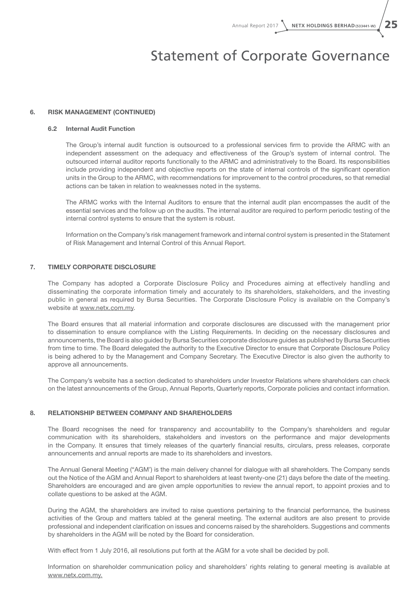### Statement of Corporate Governance

#### 6. Risk Management (continued)

#### 6.2 Internal Audit Function

The Group's internal audit function is outsourced to a professional services firm to provide the ARMC with an independent assessment on the adequacy and effectiveness of the Group's system of internal control. The outsourced internal auditor reports functionally to the ARMC and administratively to the Board. Its responsibilities include providing independent and objective reports on the state of internal controls of the significant operation units in the Group to the ARMC, with recommendations for improvement to the control procedures, so that remedial actions can be taken in relation to weaknesses noted in the systems.

The ARMC works with the Internal Auditors to ensure that the internal audit plan encompasses the audit of the essential services and the follow up on the audits. The internal auditor are required to perform periodic testing of the internal control systems to ensure that the system is robust.

Information on the Company's risk management framework and internal control system is presented in the Statement of Risk Management and Internal Control of this Annual Report.

#### 7. Timely Corporate Disclosure

The Company has adopted a Corporate Disclosure Policy and Procedures aiming at effectively handling and disseminating the corporate information timely and accurately to its shareholders, stakeholders, and the investing public in general as required by Bursa Securities. The Corporate Disclosure Policy is available on the Company's website at www.netx.com.my.

The Board ensures that all material information and corporate disclosures are discussed with the management prior to dissemination to ensure compliance with the Listing Requirements. In deciding on the necessary disclosures and announcements, the Board is also guided by Bursa Securities corporate disclosure guides as published by Bursa Securities from time to time. The Board delegated the authority to the Executive Director to ensure that Corporate Disclosure Policy is being adhered to by the Management and Company Secretary. The Executive Director is also given the authority to approve all announcements.

The Company's website has a section dedicated to shareholders under Investor Relations where shareholders can check on the latest announcements of the Group, Annual Reports, Quarterly reports, Corporate policies and contact information.

#### 8. Relationship Between Company and Shareholders

The Board recognises the need for transparency and accountability to the Company's shareholders and regular communication with its shareholders, stakeholders and investors on the performance and major developments in the Company. It ensures that timely releases of the quarterly financial results, circulars, press releases, corporate announcements and annual reports are made to its shareholders and investors.

The Annual General Meeting ("AGM') is the main delivery channel for dialogue with all shareholders. The Company sends out the Notice of the AGM and Annual Report to shareholders at least twenty-one (21) days before the date of the meeting. Shareholders are encouraged and are given ample opportunities to review the annual report, to appoint proxies and to collate questions to be asked at the AGM.

During the AGM, the shareholders are invited to raise questions pertaining to the financial performance, the business activities of the Group and matters tabled at the general meeting. The external auditors are also present to provide professional and independent clarification on issues and concerns raised by the shareholders. Suggestions and comments by shareholders in the AGM will be noted by the Board for consideration.

With effect from 1 July 2016, all resolutions put forth at the AGM for a vote shall be decided by poll.

Information on shareholder communication policy and shareholders' rights relating to general meeting is available at www.netx.com.my.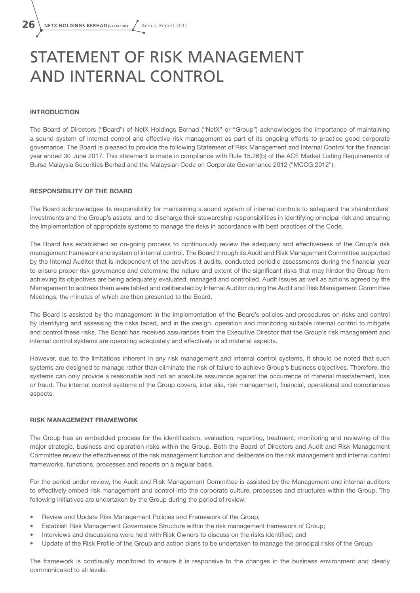# STATEMENT OF RISK MANAGEMENT AND INTERNAL CONTROL

#### **INTRODUCTION**

The Board of Directors ("Board") of NetX Holdings Berhad ("NetX" or "Group") acknowledges the importance of maintaining a sound system of internal control and effective risk management as part of its ongoing efforts to practice good corporate governance. The Board is pleased to provide the following Statement of Risk Management and Internal Control for the financial year ended 30 June 2017. This statement is made in compliance with Rule 15.26(b) of the ACE Market Listing Requirements of Bursa Malaysia Securities Berhad and the Malaysian Code on Corporate Governance 2012 ("MCCG 2012").

#### RESPONSIBILITY OF THE BOARD

The Board acknowledges its responsibility for maintaining a sound system of internal controls to safeguard the shareholders' investments and the Group's assets, and to discharge their stewardship responsibilities in identifying principal risk and ensuring the implementation of appropriate systems to manage the risks in accordance with best practices of the Code.

The Board has established an on-going process to continuously review the adequacy and effectiveness of the Group's risk management framework and system of internal control. The Board through its Audit and Risk Management Committee supported by the Internal Auditor that is independent of the activities it audits, conducted periodic assessments during the financial year to ensure proper risk governance and determine the nature and extent of the significant risks that may hinder the Group from achieving its objectives are being adequately evaluated, managed and controlled. Audit Issues as well as actions agreed by the Management to address them were tabled and deliberated by Internal Auditor during the Audit and Risk Management Committee Meetings, the minutes of which are then presented to the Board.

The Board is assisted by the management in the implementation of the Board's policies and procedures on risks and control by identifying and assessing the risks faced, and in the design, operation and monitoring suitable internal control to mitigate and control these risks. The Board has received assurances from the Executive Director that the Group's risk management and internal control systems are operating adequately and effectively in all material aspects.

However, due to the limitations inherent in any risk management and internal control systems, it should be noted that such systems are designed to manage rather than eliminate the risk of failure to achieve Group's business objectives. Therefore, the systems can only provide a reasonable and not an absolute assurance against the occurrence of material misstatement, loss or fraud. The internal control systems of the Group covers, inter alia, risk management, financial, operational and compliances aspects.

#### RISK MANAGEMENT FRAMEWORK

The Group has an embedded process for the identification, evaluation, reporting, treatment, monitoring and reviewing of the major strategic, business and operation risks within the Group. Both the Board of Directors and Audit and Risk Management Committee review the effectiveness of the risk management function and deliberate on the risk management and internal control frameworks, functions, processes and reports on a regular basis.

For the period under review, the Audit and Risk Management Committee is assisted by the Management and internal auditors to effectively embed risk management and control into the corporate culture, processes and structures within the Group. The following initiatives are undertaken by the Group during the period of review:

- Review and Update Risk Management Policies and Framework of the Group;
- Establish Risk Management Governance Structure within the risk management framework of Group;
- Interviews and discussions were held with Risk Owners to discuss on the risks identified; and
- Update of the Risk Profile of the Group and action plans to be undertaken to manage the principal risks of the Group.

The framework is continually monitored to ensure it is responsive to the changes in the business environment and clearly communicated to all levels.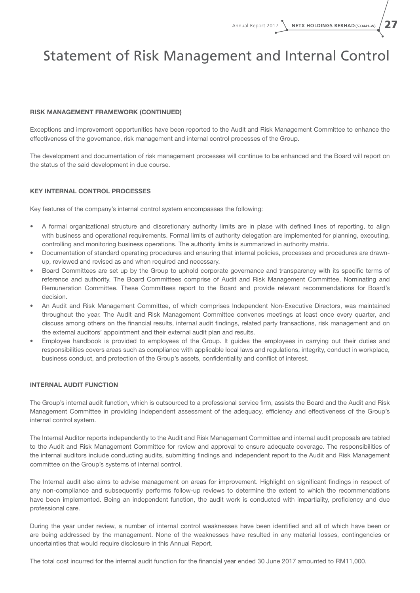### Statement of Risk Management and Internal Control

#### RISK MANAGEMENT FRAMEWORK (CONTINUED)

Exceptions and improvement opportunities have been reported to the Audit and Risk Management Committee to enhance the effectiveness of the governance, risk management and internal control processes of the Group.

The development and documentation of risk management processes will continue to be enhanced and the Board will report on the status of the said development in due course.

#### KEY INTERNAL CONTROL PROCESSES

Key features of the company's internal control system encompasses the following:

- • A formal organizational structure and discretionary authority limits are in place with defined lines of reporting, to align with business and operational requirements. Formal limits of authority delegation are implemented for planning, executing, controlling and monitoring business operations. The authority limits is summarized in authority matrix.
- Documentation of standard operating procedures and ensuring that internal policies, processes and procedures are drawnup, reviewed and revised as and when required and necessary.
- Board Committees are set up by the Group to uphold corporate governance and transparency with its specific terms of reference and authority. The Board Committees comprise of Audit and Risk Management Committee, Nominating and Remuneration Committee. These Committees report to the Board and provide relevant recommendations for Board's decision.
- An Audit and Risk Management Committee, of which comprises Independent Non-Executive Directors, was maintained throughout the year. The Audit and Risk Management Committee convenes meetings at least once every quarter, and discuss among others on the financial results, internal audit findings, related party transactions, risk management and on the external auditors' appointment and their external audit plan and results.
- Employee handbook is provided to employees of the Group. It guides the employees in carrying out their duties and responsibilities covers areas such as compliance with applicable local laws and regulations, integrity, conduct in workplace, business conduct, and protection of the Group's assets, confidentiality and conflict of interest.

#### INTERNAL AUDIT FUNCTION

The Group's internal audit function, which is outsourced to a professional service firm, assists the Board and the Audit and Risk Management Committee in providing independent assessment of the adequacy, efficiency and effectiveness of the Group's internal control system.

The Internal Auditor reports independently to the Audit and Risk Management Committee and internal audit proposals are tabled to the Audit and Risk Management Committee for review and approval to ensure adequate coverage. The responsibilities of the internal auditors include conducting audits, submitting findings and independent report to the Audit and Risk Management committee on the Group's systems of internal control.

The Internal audit also aims to advise management on areas for improvement. Highlight on significant findings in respect of any non-compliance and subsequently performs follow-up reviews to determine the extent to which the recommendations have been implemented. Being an independent function, the audit work is conducted with impartiality, proficiency and due professional care.

During the year under review, a number of internal control weaknesses have been identified and all of which have been or are being addressed by the management. None of the weaknesses have resulted in any material losses, contingencies or uncertainties that would require disclosure in this Annual Report.

The total cost incurred for the internal audit function for the financial year ended 30 June 2017 amounted to RM11,000.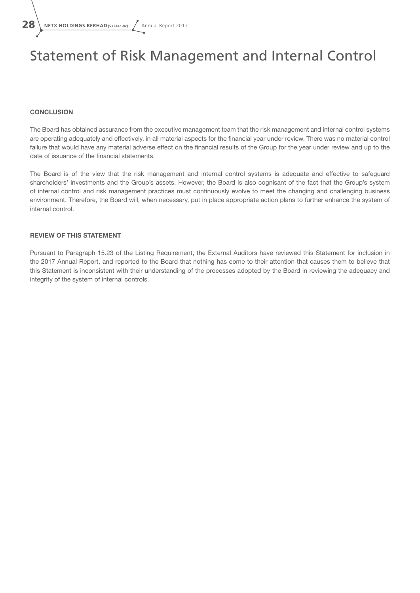### Statement of Risk Management and Internal Control

#### **CONCLUSION**

The Board has obtained assurance from the executive management team that the risk management and internal control systems are operating adequately and effectively, in all material aspects for the financial year under review. There was no material control failure that would have any material adverse effect on the financial results of the Group for the year under review and up to the date of issuance of the financial statements.

The Board is of the view that the risk management and internal control systems is adequate and effective to safeguard shareholders' investments and the Group's assets. However, the Board is also cognisant of the fact that the Group's system of internal control and risk management practices must continuously evolve to meet the changing and challenging business environment. Therefore, the Board will, when necessary, put in place appropriate action plans to further enhance the system of internal control.

#### REVIEW OF THIS STATEMENT

Pursuant to Paragraph 15.23 of the Listing Requirement, the External Auditors have reviewed this Statement for inclusion in the 2017 Annual Report, and reported to the Board that nothing has come to their attention that causes them to believe that this Statement is inconsistent with their understanding of the processes adopted by the Board in reviewing the adequacy and integrity of the system of internal controls.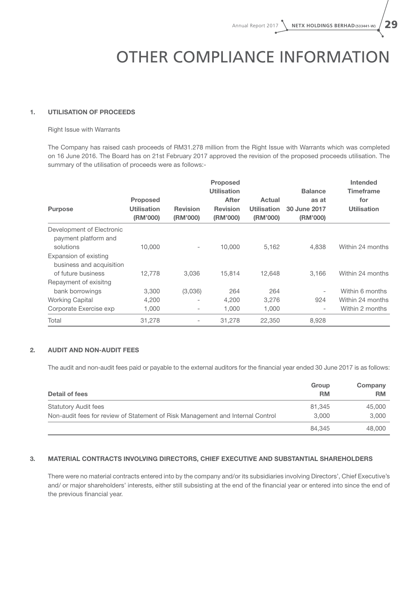# OTHER COMPLIANCE INFORMATION

#### 1. UTILISATION OF PROCEEDS

#### Right Issue with Warrants

The Company has raised cash proceeds of RM31.278 million from the Right Issue with Warrants which was completed on 16 June 2016. The Board has on 21st February 2017 approved the revision of the proposed proceeds utilisation. The summary of the utilisation of proceeds were as follows:-

|                                                   |                                |                             | <b>Proposed</b>             |                                |                          | <b>Intended</b>         |
|---------------------------------------------------|--------------------------------|-----------------------------|-----------------------------|--------------------------------|--------------------------|-------------------------|
|                                                   | <b>Proposed</b>                |                             | <b>Utilisation</b><br>After | Actual                         | <b>Balance</b><br>as at  | <b>Timeframe</b><br>for |
| <b>Purpose</b>                                    | <b>Utilisation</b><br>(RM'000) | <b>Revision</b><br>(RM'000) | <b>Revision</b><br>(RM'000) | <b>Utilisation</b><br>(RM'000) | 30 June 2017<br>(RM'000) | <b>Utilisation</b>      |
| Development of Electronic<br>payment platform and |                                |                             |                             |                                |                          |                         |
| solutions                                         | 10,000                         | $\overline{\phantom{0}}$    | 10,000                      | 5,162                          | 4,838                    | Within 24 months        |
| Expansion of existing<br>business and acquisition |                                |                             |                             |                                |                          |                         |
| of future business                                | 12,778                         | 3.036                       | 15,814                      | 12.648                         | 3.166                    | Within 24 months        |
| Repayment of exisitng                             |                                |                             |                             |                                |                          |                         |
| bank borrowings                                   | 3,300                          | (3,036)                     | 264                         | 264                            | $\overline{\phantom{a}}$ | Within 6 months         |
| <b>Working Capital</b>                            | 4,200                          | $\overline{\phantom{0}}$    | 4,200                       | 3,276                          | 924                      | Within 24 months        |
| Corporate Exercise exp                            | 1,000                          | -                           | 1,000                       | 1,000                          | $\overline{\phantom{a}}$ | Within 2 months         |
| Total                                             | 31.278                         | $\qquad \qquad$             | 31,278                      | 22,350                         | 8,928                    |                         |

#### 2. AUDIT AND NON-AUDIT FEES

The audit and non-audit fees paid or payable to the external auditors for the financial year ended 30 June 2017 is as follows:

| Detail of fees                                                                 | Group<br><b>RM</b> | Company<br><b>RM</b> |
|--------------------------------------------------------------------------------|--------------------|----------------------|
| <b>Statutory Audit fees</b>                                                    | 81.345             | 45,000               |
| Non-audit fees for review of Statement of Risk Management and Internal Control | 3.000              | 3.000                |
|                                                                                | 84.345             | 48,000               |

#### 3. MATERIAL CONTRACTS INVOLVING DIRECTORS, CHIEF EXECUTIVE AND SUBSTANTIAL SHAREHOLDERS

There were no material contracts entered into by the company and/or its subsidiaries involving Directors', Chief Executive's and/ or major shareholders' interests, either still subsisting at the end of the financial year or entered into since the end of the previous financial year.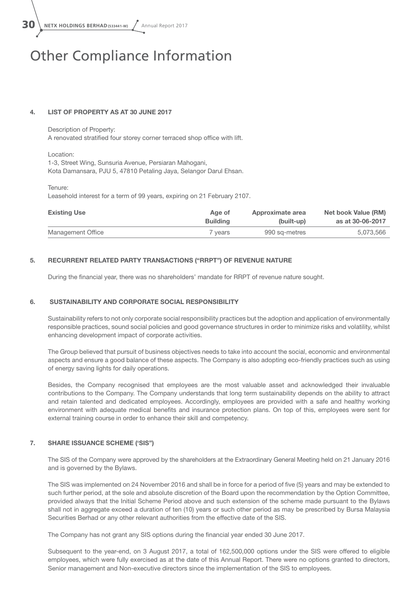$30 \setminus$  NETX HOLDINGS BERHAD (533441-W)  $\sqrt{ }$  Annual Report 2017

### Other Compliance Information

#### 4. LIST OF PROPERTY AS AT 30 JUNE 2017

#### Description of Property: A renovated stratified four storey corner terraced shop office with lift.

#### Location:

1-3, Street Wing, Sunsuria Avenue, Persiaran Mahogani, Kota Damansara, PJU 5, 47810 Petaling Jaya, Selangor Darul Ehsan.

#### Tenure:

Leasehold interest for a term of 99 years, expiring on 21 February 2107.

| <b>Existing Use</b> | Age of             | Approximate area | Net book Value (RM) |
|---------------------|--------------------|------------------|---------------------|
|                     | <b>Building</b>    | (built-up)       | as at 30-06-2017    |
| Management Office   | <sup>7</sup> vears | 990 sa-metres    | 5.073.566           |

#### 5. RECURRENT RELATED PARTY TRANSACTIONS ("RRPT") OF REVENUE NATURE

During the financial year, there was no shareholders' mandate for RRPT of revenue nature sought.

#### 6. SUSTAINABILITY AND CORPORATE SOCIAL RESPONSIBILITY

Sustainability refers to not only corporate social responsibility practices but the adoption and application of environmentally responsible practices, sound social policies and good governance structures in order to minimize risks and volatility, whilst enhancing development impact of corporate activities.

The Group believed that pursuit of business objectives needs to take into account the social, economic and environmental aspects and ensure a good balance of these aspects. The Company is also adopting eco-friendly practices such as using of energy saving lights for daily operations.

Besides, the Company recognised that employees are the most valuable asset and acknowledged their invaluable contributions to the Company. The Company understands that long term sustainability depends on the ability to attract and retain talented and dedicated employees. Accordingly, employees are provided with a safe and healthy working environment with adequate medical benefits and insurance protection plans. On top of this, employees were sent for external training course in order to enhance their skill and competency.

#### 7. SHARE ISSUANCE SCHEME ('SIS")

The SIS of the Company were approved by the shareholders at the Extraordinary General Meeting held on 21 January 2016 and is governed by the Bylaws.

The SIS was implemented on 24 November 2016 and shall be in force for a period of five (5) years and may be extended to such further period, at the sole and absolute discretion of the Board upon the recommendation by the Option Committee, provided always that the Initial Scheme Period above and such extension of the scheme made pursuant to the Bylaws shall not in aggregate exceed a duration of ten (10) years or such other period as may be prescribed by Bursa Malaysia Securities Berhad or any other relevant authorities from the effective date of the SIS.

The Company has not grant any SIS options during the financial year ended 30 June 2017.

Subsequent to the year-end, on 3 August 2017, a total of 162,500,000 options under the SIS were offered to eligible employees, which were fully exercised as at the date of this Annual Report. There were no options granted to directors, Senior management and Non-executive directors since the implementation of the SIS to employees.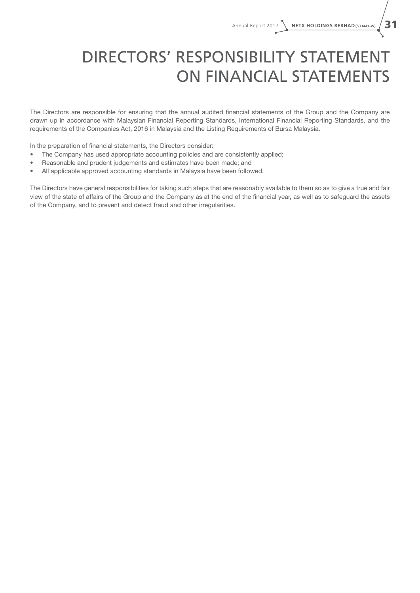# DIRECTORS' RESPONSIBILITY STATEMENT ON FINANCIAL STATEMENTS

The Directors are responsible for ensuring that the annual audited financial statements of the Group and the Company are drawn up in accordance with Malaysian Financial Reporting Standards, International Financial Reporting Standards, and the requirements of the Companies Act, 2016 in Malaysia and the Listing Requirements of Bursa Malaysia.

In the preparation of financial statements, the Directors consider:

- The Company has used appropriate accounting policies and are consistently applied;
- Reasonable and prudent judgements and estimates have been made; and
- All applicable approved accounting standards in Malaysia have been followed.

The Directors have general responsibilities for taking such steps that are reasonably available to them so as to give a true and fair view of the state of affairs of the Group and the Company as at the end of the financial year, as well as to safeguard the assets of the Company, and to prevent and detect fraud and other irregularities.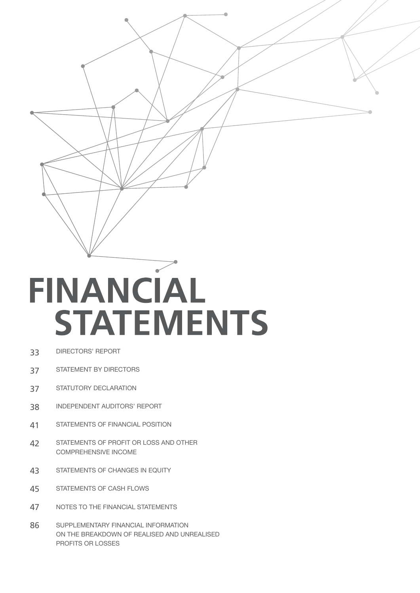# FINANCIAL **STATEMENTS**

- DIRECTORS' REPORT 33
- STATEMENT BY DIRECTORS 37
- STATUTORY DECLARATION 37
- INDEPENDENT AUDITORS' REPORT 38
- STATEMENTS OF FINANCIAL POSITION 41
- STATEMENTS OF PROFIT OR LOSS AND OTHER COMPREHENSIVE INCOME 42
- STATEMENTS OF CHANGES IN EQUITY 43
- STATEMENTS OF CASH FLOWS 45
- NOTES TO THE FINANCIAL STATEMENTS 47
- SUPPLEMENTARY FINANCIAL INFORMATION ON THE BREAKDOWN OF REALISED AND UNREALISED PROFITS OR LOSSES 86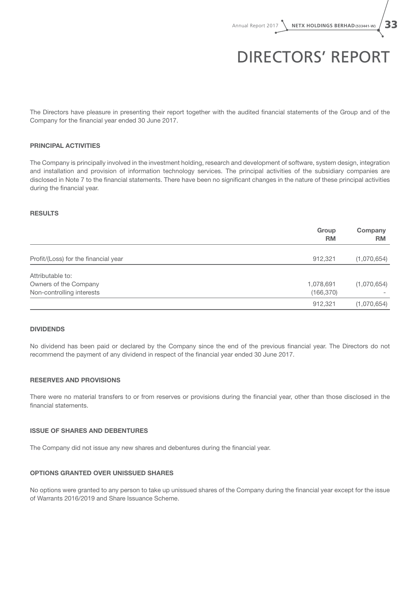## DIRECTORS' REPORT

The Directors have pleasure in presenting their report together with the audited financial statements of the Group and of the Company for the financial year ended 30 June 2017.

#### PRINCIPAL ACTIVITIES

The Company is principally involved in the investment holding, research and development of software, system design, integration and installation and provision of information technology services. The principal activities of the subsidiary companies are disclosed in Note 7 to the financial statements. There have been no significant changes in the nature of these principal activities during the financial year.

#### RESULTS

|                                      | Group<br><b>RM</b> | Company<br><b>RM</b> |
|--------------------------------------|--------------------|----------------------|
| Profit/(Loss) for the financial year | 912,321            | (1,070,654)          |
| Attributable to:                     |                    |                      |
| Owners of the Company                | 1,078,691          | (1,070,654)          |
| Non-controlling interests            | (166, 370)         |                      |
|                                      | 912,321            | (1,070,654)          |

#### DIVIDENDS

No dividend has been paid or declared by the Company since the end of the previous financial year. The Directors do not recommend the payment of any dividend in respect of the financial year ended 30 June 2017.

#### RESERVES AND PROVISIONS

There were no material transfers to or from reserves or provisions during the financial year, other than those disclosed in the financial statements.

#### ISSUE OF SHARES AND DEBENTURES

The Company did not issue any new shares and debentures during the financial year.

#### OPTIONS GRANTED OVER UNISSUED SHARES

No options were granted to any person to take up unissued shares of the Company during the financial year except for the issue of Warrants 2016/2019 and Share Issuance Scheme.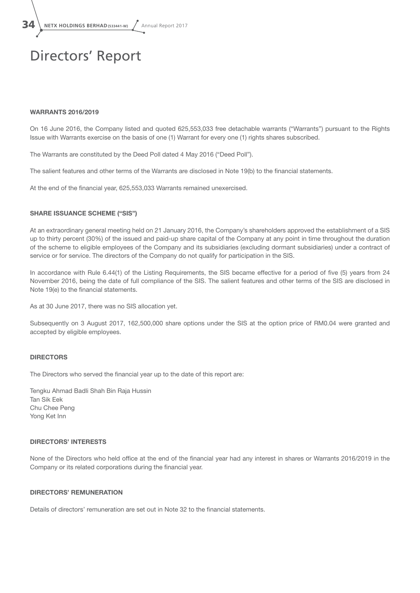$34 \setminus$  NETX HOLDINGS BERHAD (533441-W)  $\sqrt{ }$  Annual Report 2017

### Directors' Report

#### WARRANTS 2016/2019

On 16 June 2016, the Company listed and quoted 625,553,033 free detachable warrants ("Warrants") pursuant to the Rights Issue with Warrants exercise on the basis of one (1) Warrant for every one (1) rights shares subscribed.

The Warrants are constituted by the Deed Poll dated 4 May 2016 ("Deed Poll").

The salient features and other terms of the Warrants are disclosed in Note 19(b) to the financial statements.

At the end of the financial year, 625,553,033 Warrants remained unexercised.

#### SHARE ISSUANCE SCHEME ("SIS")

At an extraordinary general meeting held on 21 January 2016, the Company's shareholders approved the establishment of a SIS up to thirty percent (30%) of the issued and paid-up share capital of the Company at any point in time throughout the duration of the scheme to eligible employees of the Company and its subsidiaries (excluding dormant subsidiaries) under a contract of service or for service. The directors of the Company do not qualify for participation in the SIS.

In accordance with Rule 6.44(1) of the Listing Requirements, the SIS became effective for a period of five (5) years from 24 November 2016, being the date of full compliance of the SIS. The salient features and other terms of the SIS are disclosed in Note 19(e) to the financial statements.

As at 30 June 2017, there was no SIS allocation yet.

Subsequently on 3 August 2017, 162,500,000 share options under the SIS at the option price of RM0.04 were granted and accepted by eligible employees.

#### **DIRECTORS**

The Directors who served the financial year up to the date of this report are:

Tengku Ahmad Badli Shah Bin Raja Hussin Tan Sik Eek Chu Chee Peng Yong Ket Inn

#### DIRECTORS' INTERESTS

None of the Directors who held office at the end of the financial year had any interest in shares or Warrants 2016/2019 in the Company or its related corporations during the financial year.

#### DIRECTORS' REMUNERATION

Details of directors' remuneration are set out in Note 32 to the financial statements.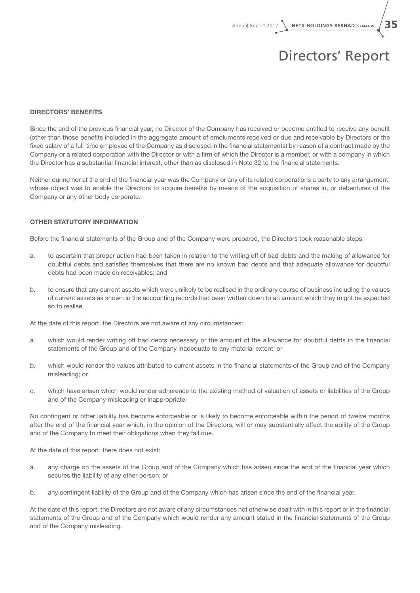Annual Report 2017 **NETX HOLDINGS BERHAD(533441-W)** 35

# Directors' Report

#### DIRECTORS' BENEFITS

Since the end of the previous financial year, no Director of the Company has received or become entitled to receive any benefit (other than those benefits included in the aggregate amount of emoluments received or due and receivable by Directors or the fixed salary of a full-time employee of the Company as disclosed in the financial statements) by reason of a contract made by the Company or a related corporation with the Director or with a firm of which the Director is a member, or with a company in which the Director has a substantial financial interest, other than as disclosed in Note 32 to the financial statements.

Neither during nor at the end of the financial year was the Company or any of its related corporations a party to any arrangement, whose object was to enable the Directors to acquire benefits by means of the acquisition of shares in, or debentures of the Company or any other body corporate.

#### OTHER STATUTORY INFORMATION

Before the financial statements of the Group and of the Company were prepared, the Directors took reasonable steps:

- a. to ascertain that proper action had been taken in relation to the writing off of bad debts and the making of allowance for doubtful debts and satisfies themselves that there are no known bad debts and that adequate allowance for doubtful debts had been made on receivables; and
- b. to ensure that any current assets which were unlikely to be realised in the ordinary course of business including the values of current assets as shown in the accounting records had been written down to an amount which they might be expected so to realise.

At the date of this report, the Directors are not aware of any circumstances:

- a. which would render writing off bad debts necessary or the amount of the allowance for doubtful debts in the financial statements of the Group and of the Company inadequate to any material extent; or
- b. which would render the values attributed to current assets in the financial statements of the Group and of the Company misleading; or
- c. which have arisen which would render adherence to the existing method of valuation of assets or liabilities of the Group and of the Company misleading or inappropriate.

No contingent or other liability has become enforceable or is likely to become enforceable within the period of twelve months after the end of the financial year which, in the opinion of the Directors, will or may substantially affect the ability of the Group and of the Company to meet their obligations when they fall due.

At the date of this report, there does not exist:

- a. any charge on the assets of the Group and of the Company which has arisen since the end of the financial year which secures the liability of any other person; or
- b. any contingent liability of the Group and of the Company which has arisen since the end of the financial year.

At the date of this report, the Directors are not aware of any circumstances not otherwise dealt with in this report or in the financial statements of the Group and of the Company which would render any amount stated in the financial statements of the Group and of the Company misleading.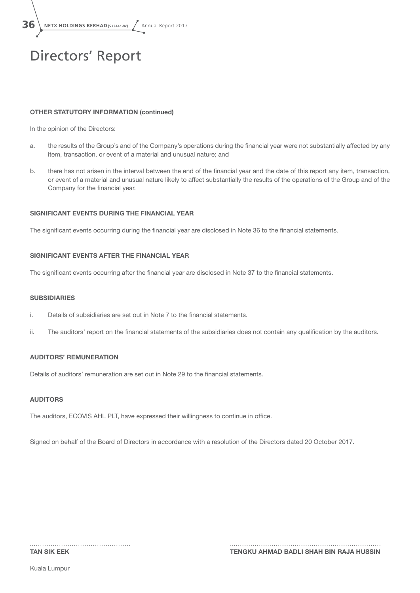$36$  **NETX HOLDINGS BERHAD(533441-W)**  $\sqrt{ }$  Annual Report 2017

# Directors' Report

### OTHER STATUTORY INFORMATION (continued)

In the opinion of the Directors:

- a. the results of the Group's and of the Company's operations during the financial year were not substantially affected by any item, transaction, or event of a material and unusual nature; and
- b. there has not arisen in the interval between the end of the financial year and the date of this report any item, transaction, or event of a material and unusual nature likely to affect substantially the results of the operations of the Group and of the Company for the financial year.

### SIGNIFICANT EVENTS DURING THE FINANCIAL YEAR

The significant events occurring during the financial year are disclosed in Note 36 to the financial statements.

### SIGNIFICANT EVENTS AFTER THE FINANCIAL YEAR

The significant events occurring after the financial year are disclosed in Note 37 to the financial statements.

#### **SUBSIDIARIES**

- i. Details of subsidiaries are set out in Note 7 to the financial statements.
- ii. The auditors' report on the financial statements of the subsidiaries does not contain any qualification by the auditors.

### AUDITORS' REMUNERATION

Details of auditors' remuneration are set out in Note 29 to the financial statements.

#### AUDITORS

The auditors, ECOVIS AHL PLT, have expressed their willingness to continue in office.

Signed on behalf of the Board of Directors in accordance with a resolution of the Directors dated 20 October 2017.

Kuala Lumpur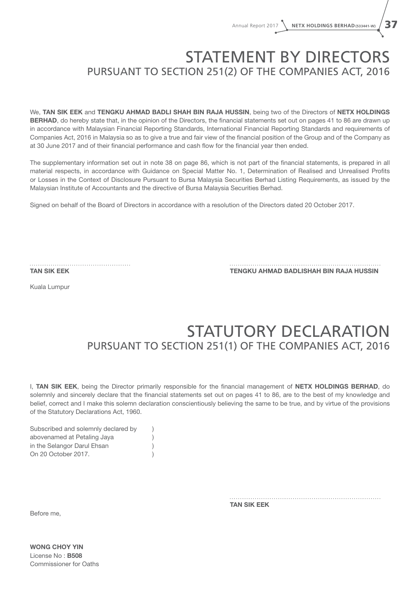## STATEMENT BY DIRECTORS PURSUANT TO SECTION 251(2) OF THE COMPANIES ACT, 2016

We, TAN SIK EEK and TENGKU AHMAD BADLI SHAH BIN RAJA HUSSIN, being two of the Directors of NETX HOLDINGS BERHAD, do hereby state that, in the opinion of the Directors, the financial statements set out on pages 41 to 86 are drawn up in accordance with Malaysian Financial Reporting Standards, International Financial Reporting Standards and requirements of Companies Act, 2016 in Malaysia so as to give a true and fair view of the financial position of the Group and of the Company as at 30 June 2017 and of their financial performance and cash flow for the financial year then ended.

The supplementary information set out in note 38 on page 86, which is not part of the financial statements, is prepared in all material respects, in accordance with Guidance on Special Matter No. 1, Determination of Realised and Unrealised Profits or Losses in the Context of Disclosure Pursuant to Bursa Malaysia Securities Berhad Listing Requirements, as issued by the Malaysian Institute of Accountants and the directive of Bursa Malaysia Securities Berhad.

Signed on behalf of the Board of Directors in accordance with a resolution of the Directors dated 20 October 2017.

TAN SIK EEK TENGKU AHMAD BADLISHAH BIN RAJA HUSSIN

Kuala Lumpur

# STATUTORY DECLARATION PURSUANT TO SECTION 251(1) OF THE COMPANIES ACT, 2016

I, TAN SIK EEK, being the Director primarily responsible for the financial management of NETX HOLDINGS BERHAD, do solemnly and sincerely declare that the financial statements set out on pages 41 to 86, are to the best of my knowledge and belief, correct and I make this solemn declaration conscientiously believing the same to be true, and by virtue of the provisions of the Statutory Declarations Act, 1960.

| Subscribed and solemnly declared by |  |
|-------------------------------------|--|
| abovenamed at Petaling Jaya         |  |
| in the Selangor Darul Ehsan         |  |
| On 20 October 2017.                 |  |

TAN SIK EEK

Before me,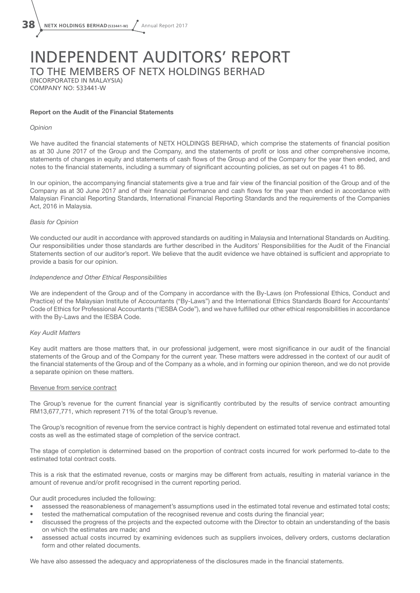# INDEPENDENT AUDITORS' REPORT TO THE MEMBERS OF NETX HOLDINGS BERHAD

(INCORPORATED IN MALAYSIA) COMPANY NO: 533441-W

#### Report on the Audit of the Financial Statements

#### *Opinion*

We have audited the financial statements of NETX HOLDINGS BERHAD, which comprise the statements of financial position as at 30 June 2017 of the Group and the Company, and the statements of profit or loss and other comprehensive income, statements of changes in equity and statements of cash flows of the Group and of the Company for the year then ended, and notes to the financial statements, including a summary of significant accounting policies, as set out on pages 41 to 86.

In our opinion, the accompanying financial statements give a true and fair view of the financial position of the Group and of the Company as at 30 June 2017 and of their financial performance and cash flows for the year then ended in accordance with Malaysian Financial Reporting Standards, International Financial Reporting Standards and the requirements of the Companies Act, 2016 in Malaysia.

#### *Basis for Opinion*

We conducted our audit in accordance with approved standards on auditing in Malaysia and International Standards on Auditing. Our responsibilities under those standards are further described in the Auditors' Responsibilities for the Audit of the Financial Statements section of our auditor's report. We believe that the audit evidence we have obtained is sufficient and appropriate to provide a basis for our opinion.

#### *Independence and Other Ethical Responsibilities*

We are independent of the Group and of the Company in accordance with the By-Laws (on Professional Ethics, Conduct and Practice) of the Malaysian Institute of Accountants ("By-Laws") and the International Ethics Standards Board for Accountants' Code of Ethics for Professional Accountants ("IESBA Code"), and we have fulfilled our other ethical responsibilities in accordance with the By-Laws and the IESBA Code.

#### *Key Audit Matters*

Key audit matters are those matters that, in our professional judgement, were most significance in our audit of the financial statements of the Group and of the Company for the current year. These matters were addressed in the context of our audit of the financial statements of the Group and of the Company as a whole, and in forming our opinion thereon, and we do not provide a separate opinion on these matters.

#### Revenue from service contract

The Group's revenue for the current financial year is significantly contributed by the results of service contract amounting RM13,677,771, which represent 71% of the total Group's revenue.

The Group's recognition of revenue from the service contract is highly dependent on estimated total revenue and estimated total costs as well as the estimated stage of completion of the service contract.

The stage of completion is determined based on the proportion of contract costs incurred for work performed to-date to the estimated total contract costs.

This is a risk that the estimated revenue, costs or margins may be different from actuals, resulting in material variance in the amount of revenue and/or profit recognised in the current reporting period.

Our audit procedures included the following:

- assessed the reasonableness of management's assumptions used in the estimated total revenue and estimated total costs;
- tested the mathematical computation of the recognised revenue and costs during the financial year;
- discussed the progress of the projects and the expected outcome with the Director to obtain an understanding of the basis on which the estimates are made; and
- assessed actual costs incurred by examining evidences such as suppliers invoices, delivery orders, customs declaration form and other related documents.

We have also assessed the adequacy and appropriateness of the disclosures made in the financial statements.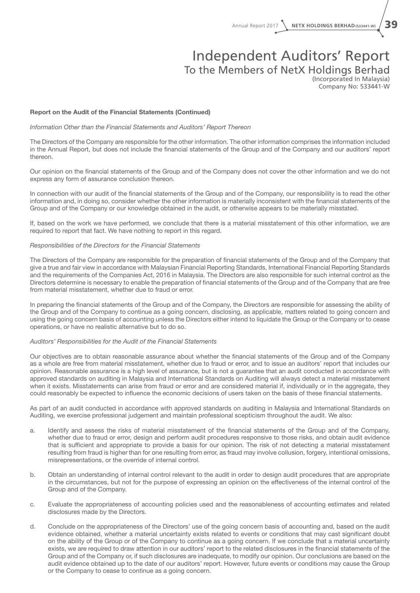Annual Report 2017 **NETX HOLDINGS BERHAD(533441-W)** 39

### Independent Auditors' Report To the Members of NetX Holdings Berhad

(Incorporated In Malaysia) Company No: 533441-W

#### Report on the Audit of the Financial Statements (Continued)

*Information Other than the Financial Statements and Auditors' Report Thereon*

The Directors of the Company are responsible for the other information. The other information comprises the information included in the Annual Report, but does not include the financial statements of the Group and of the Company and our auditors' report thereon.

Our opinion on the financial statements of the Group and of the Company does not cover the other information and we do not express any form of assurance conclusion thereon.

In connection with our audit of the financial statements of the Group and of the Company, our responsibility is to read the other information and, in doing so, consider whether the other information is materially inconsistent with the financial statements of the Group and of the Company or our knowledge obtained in the audit, or otherwise appears to be materially misstated.

If, based on the work we have performed, we conclude that there is a material misstatement of this other information, we are required to report that fact. We have nothing to report in this regard.

#### *Responsibilities of the Directors for the Financial Statements*

The Directors of the Company are responsible for the preparation of financial statements of the Group and of the Company that give a true and fair view in accordance with Malaysian Financial Reporting Standards, International Financial Reporting Standards and the requirements of the Companies Act, 2016 in Malaysia. The Directors are also responsible for such internal control as the Directors determine is necessary to enable the preparation of financial statements of the Group and of the Company that are free from material misstatement, whether due to fraud or error.

In preparing the financial statements of the Group and of the Company, the Directors are responsible for assessing the ability of the Group and of the Company to continue as a going concern, disclosing, as applicable, matters related to going concern and using the going concern basis of accounting unless the Directors either intend to liquidate the Group or the Company or to cease operations, or have no realistic alternative but to do so.

#### *Auditors' Responsibilities for the Audit of the Financial Statements*

Our objectives are to obtain reasonable assurance about whether the financial statements of the Group and of the Company as a whole are free from material misstatement, whether due to fraud or error, and to issue an auditors' report that includes our opinion. Reasonable assurance is a high level of assurance, but is not a guarantee that an audit conducted in accordance with approved standards on auditing in Malaysia and International Standards on Auditing will always detect a material misstatement when it exists. Misstatements can arise from fraud or error and are considered material if, individually or in the aggregate, they could reasonably be expected to influence the economic decisions of users taken on the basis of these financial statements.

As part of an audit conducted in accordance with approved standards on auditing in Malaysia and International Standards on Auditing, we exercise professional judgement and maintain professional scepticism throughout the audit. We also:

- a. Identify and assess the risks of material misstatement of the financial statements of the Group and of the Company, whether due to fraud or error, design and perform audit procedures responsive to those risks, and obtain audit evidence that is sufficient and appropriate to provide a basis for our opinion. The risk of not detecting a material misstatement resulting from fraud is higher than for one resulting from error, as fraud may involve collusion, forgery, intentional omissions, misrepresentations, or the override of internal control.
- b. Obtain an understanding of internal control relevant to the audit in order to design audit procedures that are appropriate in the circumstances, but not for the purpose of expressing an opinion on the effectiveness of the internal control of the Group and of the Company.
- c. Evaluate the appropriateness of accounting policies used and the reasonableness of accounting estimates and related disclosures made by the Directors.
- d. Conclude on the appropriateness of the Directors' use of the going concern basis of accounting and, based on the audit evidence obtained, whether a material uncertainty exists related to events or conditions that may cast significant doubt on the ability of the Group or of the Company to continue as a going concern. If we conclude that a material uncertainty exists, we are required to draw attention in our auditors' report to the related disclosures in the financial statements of the Group and of the Company or, if such disclosures are inadequate, to modify our opinion. Our conclusions are based on the audit evidence obtained up to the date of our auditors' report. However, future events or conditions may cause the Group or the Company to cease to continue as a going concern.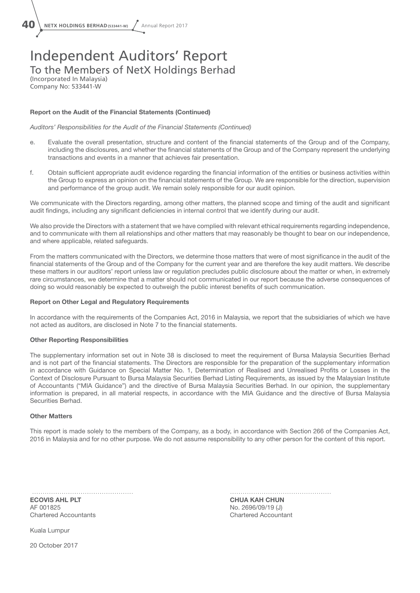

### Independent Auditors' Report To the Members of NetX Holdings Berhad (Incorporated In Malaysia)

Company No: 533441-W

#### Report on the Audit of the Financial Statements (Continued)

*Auditors' Responsibilities for the Audit of the Financial Statements (Continued)*

- e. Evaluate the overall presentation, structure and content of the financial statements of the Group and of the Company, including the disclosures, and whether the financial statements of the Group and of the Company represent the underlying transactions and events in a manner that achieves fair presentation.
- f. Obtain sufficient appropriate audit evidence regarding the financial information of the entities or business activities within the Group to express an opinion on the financial statements of the Group. We are responsible for the direction, supervision and performance of the group audit. We remain solely responsible for our audit opinion.

We communicate with the Directors regarding, among other matters, the planned scope and timing of the audit and significant audit findings, including any significant deficiencies in internal control that we identify during our audit.

We also provide the Directors with a statement that we have complied with relevant ethical requirements regarding independence, and to communicate with them all relationships and other matters that may reasonably be thought to bear on our independence, and where applicable, related safeguards.

From the matters communicated with the Directors, we determine those matters that were of most significance in the audit of the financial statements of the Group and of the Company for the current year and are therefore the key audit matters. We describe these matters in our auditors' report unless law or regulation precludes public disclosure about the matter or when, in extremely rare circumstances, we determine that a matter should not communicated in our report because the adverse consequences of doing so would reasonably be expected to outweigh the public interest benefits of such communication.

#### Report on Other Legal and Regulatory Requirements

In accordance with the requirements of the Companies Act, 2016 in Malaysia, we report that the subsidiaries of which we have not acted as auditors, are disclosed in Note 7 to the financial statements.

#### Other Reporting Responsibilities

The supplementary information set out in Note 38 is disclosed to meet the requirement of Bursa Malaysia Securities Berhad and is not part of the financial statements. The Directors are responsible for the preparation of the supplementary information in accordance with Guidance on Special Matter No. 1, Determination of Realised and Unrealised Profits or Losses in the Context of Disclosure Pursuant to Bursa Malaysia Securities Berhad Listing Requirements, as issued by the Malaysian Institute of Accountants ("MIA Guidance") and the directive of Bursa Malaysia Securities Berhad. In our opinion, the supplementary information is prepared, in all material respects, in accordance with the MIA Guidance and the directive of Bursa Malaysia Securities Berhad.

#### Other Matters

This report is made solely to the members of the Company, as a body, in accordance with Section 266 of the Companies Act, 2016 in Malaysia and for no other purpose. We do not assume responsibility to any other person for the content of this report.

AF 001825 No. 2696/09/19 (J) Chartered Accountants Chartered Accountant

ECOVIS AHL PLT **CHUA KAH CHUN CHUA KAH CHUN** 

Kuala Lumpur

20 October 2017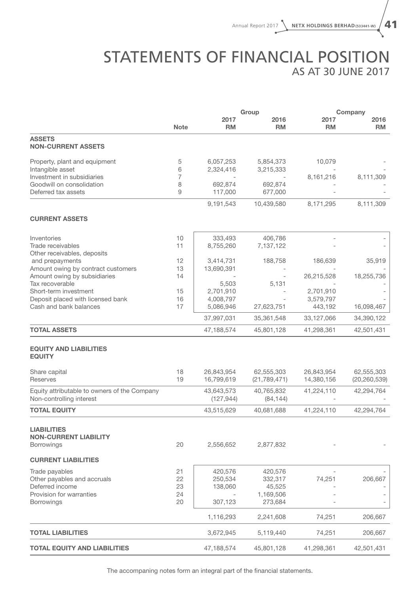## STATEMENTS OF FINANCIAL POSITION AS AT 30 JUNE 2017

|                                                                          |             |                          | Group                   | Company           |                   |  |
|--------------------------------------------------------------------------|-------------|--------------------------|-------------------------|-------------------|-------------------|--|
|                                                                          | <b>Note</b> | 2017<br><b>RM</b>        | 2016<br><b>RM</b>       | 2017<br><b>RM</b> | 2016<br><b>RM</b> |  |
| <b>ASSETS</b><br><b>NON-CURRENT ASSETS</b>                               |             |                          |                         |                   |                   |  |
| Property, plant and equipment<br>Intangible asset                        | 5<br>6      | 6,057,253<br>2,324,416   | 5,854,373<br>3,215,333  | 10,079            |                   |  |
| Investment in subsidiaries                                               | 7           |                          |                         | 8,161,216         | 8,111,309         |  |
| Goodwill on consolidation<br>Deferred tax assets                         | 8<br>9      | 692,874<br>117,000       | 692,874<br>677,000      |                   |                   |  |
|                                                                          |             | 9,191,543                | 10,439,580              | 8,171,295         | 8,111,309         |  |
| <b>CURRENT ASSETS</b>                                                    |             |                          |                         |                   |                   |  |
| Inventories                                                              | 10          | 333,493                  | 406,786                 |                   |                   |  |
| Trade receivables<br>Other receivables, deposits                         | 11          | 8,755,260                | 7,137,122               |                   |                   |  |
| and prepayments                                                          | 12          | 3,414,731                | 188,758                 | 186,639           | 35,919            |  |
| Amount owing by contract customers<br>Amount owing by subsidiaries       | 13<br>14    | 13,690,391               |                         | 26,215,528        | 18,255,736        |  |
| Tax recoverable                                                          |             | 5,503                    | 5,131                   |                   |                   |  |
| Short-term investment                                                    | 15          | 2,701,910                |                         | 2,701,910         |                   |  |
| Deposit placed with licensed bank                                        | 16          | 4,008,797                |                         | 3,579,797         |                   |  |
| Cash and bank balances                                                   | 17          | 5,086,946                | 27,623,751              | 443,192           | 16,098,467        |  |
|                                                                          |             | 37,997,031               | 35,361,548              | 33,127,066        | 34,390,122        |  |
| <b>TOTAL ASSETS</b>                                                      |             | 47,188,574               | 45,801,128              | 41,298,361        | 42,501,431        |  |
| <b>EQUITY AND LIABILITIES</b><br><b>EQUITY</b>                           |             |                          |                         |                   |                   |  |
| Share capital                                                            | 18          | 26,843,954               | 62,555,303              | 26,843,954        | 62,555,303        |  |
| <b>Reserves</b>                                                          | 19          | 16,799,619               | (21, 789, 471)          | 14,380,156        | (20, 260, 539)    |  |
| Equity attributable to owners of the Company<br>Non-controlling interest |             | 43,643,573<br>(127, 944) | 40,765,832<br>(84, 144) | 41,224,110        | 42,294,764        |  |
| <b>TOTAL EQUITY</b>                                                      |             | 43,515,629               | 40,681,688              | 41,224,110        | 42,294,764        |  |
| <b>LIABILITIES</b><br><b>NON-CURRENT LIABILITY</b><br><b>Borrowings</b>  | 20          | 2,556,652                | 2,877,832               |                   |                   |  |
| <b>CURRENT LIABILITIES</b>                                               |             |                          |                         |                   |                   |  |
| Trade payables                                                           | 21          | 420,576                  | 420,576                 |                   |                   |  |
| Other payables and accruals                                              | 22          | 250,534                  | 332,317                 | 74,251            | 206,667           |  |
| Deferred income                                                          | 23          | 138,060                  | 45,525                  |                   |                   |  |
| Provision for warranties<br>Borrowings                                   | 24<br>20    | 307,123                  | 1,169,506<br>273,684    |                   |                   |  |
|                                                                          |             |                          |                         |                   |                   |  |
|                                                                          |             | 1,116,293                | 2,241,608               | 74,251            | 206,667           |  |
| <b>TOTAL LIABILITIES</b>                                                 |             | 3,672,945                | 5,119,440               | 74,251            | 206,667           |  |
| <b>TOTAL EQUITY AND LIABILITIES</b>                                      |             | 47,188,574               | 45,801,128              | 41,298,361        | 42,501,431        |  |

The accompaning notes form an integral part of the financial statements.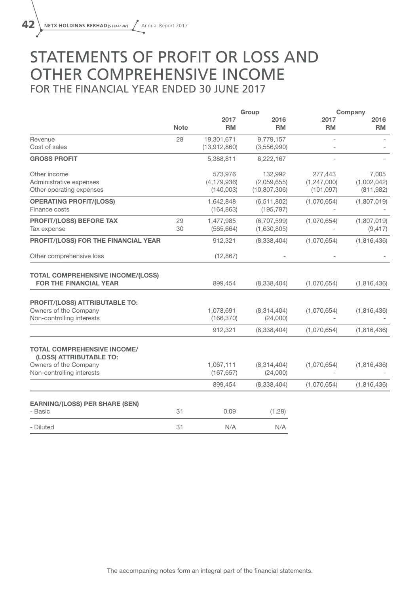## STATEMENTS OF PROFIT OR LOSS AND OTHER COMPREHENSIVE INCOME FOR THE FINANCIAL YEAR ENDED 30 JUNE 2017

|                                                                                      |             |                                       | Group                                    |                                        | Company                            |
|--------------------------------------------------------------------------------------|-------------|---------------------------------------|------------------------------------------|----------------------------------------|------------------------------------|
|                                                                                      | <b>Note</b> | 2017<br><b>RM</b>                     | 2016<br><b>RM</b>                        | 2017<br><b>RM</b>                      | 2016<br><b>RM</b>                  |
| Revenue<br>Cost of sales                                                             | 28          | 19,301,671<br>(13,912,860)            | 9,779,157<br>(3,556,990)                 |                                        |                                    |
| <b>GROSS PROFIT</b>                                                                  |             | 5,388,811                             | 6,222,167                                |                                        |                                    |
| Other income<br>Administrative expenses<br>Other operating expenses                  |             | 573,976<br>(4, 179, 936)<br>(140,003) | 132,992<br>(2,059,655)<br>(10, 807, 306) | 277,443<br>(1, 247, 000)<br>(101, 097) | 7,005<br>(1,002,042)<br>(811, 982) |
| <b>OPERATING PROFIT/(LOSS)</b><br>Finance costs                                      |             | 1,642,848<br>(164, 863)               | (6, 511, 802)<br>(195, 797)              | (1,070,654)                            | (1,807,019)                        |
| <b>PROFIT/(LOSS) BEFORE TAX</b><br>Tax expense                                       | 29<br>30    | 1,477,985<br>(565, 664)               | (6,707,599)<br>(1,630,805)               | (1,070,654)                            | (1,807,019)<br>(9, 417)            |
| PROFIT/(LOSS) FOR THE FINANCIAL YEAR                                                 |             | 912,321                               | (8,338,404)                              | (1,070,654)                            | (1,816,436)                        |
| Other comprehensive loss                                                             |             | (12, 867)                             |                                          |                                        |                                    |
| <b>TOTAL COMPREHENSIVE INCOME/(LOSS)</b><br><b>FOR THE FINANCIAL YEAR</b>            |             | 899,454                               | (8,338,404)                              | (1,070,654)                            | (1,816,436)                        |
| PROFIT/(LOSS) ATTRIBUTABLE TO:<br>Owners of the Company<br>Non-controlling interests |             | 1,078,691<br>(166, 370)               | (8,314,404)<br>(24,000)                  | (1,070,654)                            | (1,816,436)                        |
|                                                                                      |             | 912,321                               | (8,338,404)                              | (1,070,654)                            | (1,816,436)                        |
| <b>TOTAL COMPREHENSIVE INCOME/</b><br>(LOSS) ATTRIBUTABLE TO:                        |             |                                       |                                          |                                        |                                    |
| Owners of the Company<br>Non-controlling interests                                   |             | 1,067,111<br>(167, 657)               | (8,314,404)<br>(24,000)                  | (1,070,654)                            | (1,816,436)                        |
|                                                                                      |             | 899,454                               | (8,338,404)                              | (1,070,654)                            | (1,816,436)                        |
| <b>EARNING/(LOSS) PER SHARE (SEN)</b><br>- Basic                                     | 31          | 0.09                                  | (1.28)                                   |                                        |                                    |
| - Diluted                                                                            | 31          | N/A                                   | N/A                                      |                                        |                                    |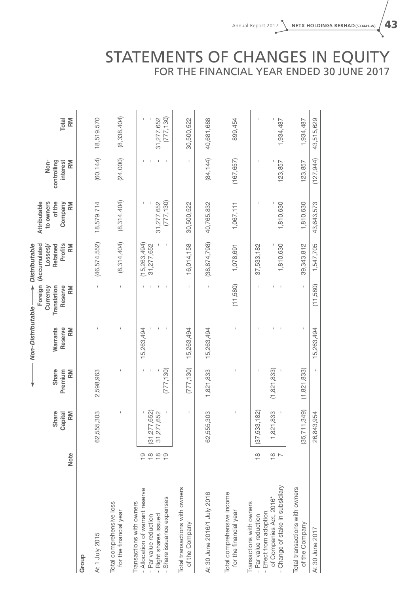## STATEMENTS OF CHANGES IN EQUITY FOR THE FINANCIAL YEAR ENDED 30 JUNE 2017

|                                                      |                                                           |                        |                        | Non-Distributable -              |                                                     | <b>Distributable</b>                                  |                                                      |                                       |             |
|------------------------------------------------------|-----------------------------------------------------------|------------------------|------------------------|----------------------------------|-----------------------------------------------------|-------------------------------------------------------|------------------------------------------------------|---------------------------------------|-------------|
|                                                      | Note                                                      | Share<br>Capital<br>RM | Share<br>Premium<br>RM | <b>Warrants</b><br>Reserve<br>RM | Foreign<br>Translation<br>Reserve<br>RM<br>Currency | Profits<br>RM<br>(Accumulated<br>Retained<br>Losses)/ | Attributable<br>to owners<br>of the<br>Company<br>RM | Non-<br>controlling<br>interest<br>RM | Total<br>RM |
| Group                                                |                                                           |                        |                        |                                  |                                                     |                                                       |                                                      |                                       |             |
| At 1 July 2015                                       |                                                           | 5,303<br>62,555        | 2,598,963              |                                  |                                                     | (46,574,552)                                          | 18,579,714                                           | (60, 144)                             | 18,519,570  |
| Total comprehensive loss<br>for the financial year   |                                                           |                        |                        |                                  | Ţ                                                   | (8,314,404)                                           | (8, 314, 404)                                        | (24,000)                              | (8,338,404) |
| Transactions with owners                             |                                                           |                        |                        |                                  |                                                     |                                                       |                                                      |                                       |             |
| - Allocation of warrant reserve                      | $\frac{0}{1}$                                             |                        |                        | 15,263,494                       |                                                     | (15, 263, 494)                                        |                                                      |                                       |             |
| - Par value reduction                                | $\frac{\infty}{1}$                                        | 7,652)<br>(31, 277)    |                        |                                  |                                                     | 31,277,652                                            |                                                      |                                       |             |
| - Right shares issued                                | $\overset{\text{\tiny \textsf{co}}}{\mathord{\text{--}}}$ | ,652<br>31,277         |                        |                                  |                                                     |                                                       | 31,277,652                                           |                                       | 31,277,652  |
| Share issuance expenses                              | $\frac{0}{1}$                                             |                        | (777, 130)             |                                  |                                                     |                                                       | (777, 130)                                           |                                       | (777, 130)  |
| Total transactions with owners<br>of the Company     |                                                           | $\mathbf I$            | (777, 130)             | 15,263,494                       |                                                     | 16,014,158                                            | 30,500,522                                           |                                       | 30,500,522  |
|                                                      |                                                           |                        |                        |                                  |                                                     |                                                       |                                                      |                                       |             |
| At 30 June 2016/1 July 2016                          |                                                           | ,303<br>62,555         | 1,821,833              | 15,263,494                       |                                                     | (38, 874, 798)                                        | 40,765,832                                           | (84, 144)                             | 40,681,688  |
| Total comprehensive income<br>for the financial year |                                                           | I                      | I.                     |                                  | (11,580)                                            | 1,078,691                                             | 1,067,111                                            | (167, 657)                            | 899,454     |
| Transactions with owners                             |                                                           |                        |                        |                                  |                                                     |                                                       |                                                      |                                       |             |
| - Effect from adoption<br>- Par value reduction      | $\frac{8}{1}$                                             | (37,533,182)           | J.                     |                                  |                                                     | 37,533,182                                            |                                                      |                                       |             |
| of Companies Act, 2016*                              |                                                           | ,833<br>1,821          | (1, 821, 833)          |                                  |                                                     |                                                       |                                                      |                                       |             |
| Change of stake in subsidiary                        | $\frac{8}{7}$                                             |                        |                        |                                  | f,                                                  | 1,810,630                                             | 1,810,630                                            | 123,857                               | 1,934,487   |
| Total transactions with owners<br>of the Company     |                                                           | ,349)<br>(35, 711)     | (1, 821, 833)          |                                  |                                                     | 39,343,812                                            | 1,810,630                                            | 123,857                               | 1,934,487   |
| At 30 June 2017                                      |                                                           | 1,954<br>26,843        |                        | 15,263,494                       | (11,580)                                            | 1,547,705                                             | 43,643,573                                           | (127, 944)                            | 43,515,629  |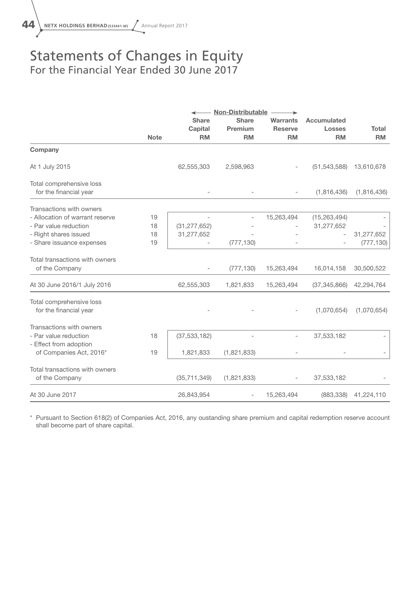## Statements of Changes in Equity For the Financial Year Ended 30 June 2017

|                                 |             |                          | <b>Non-Distributable</b> |                          |                          |              |  |
|---------------------------------|-------------|--------------------------|--------------------------|--------------------------|--------------------------|--------------|--|
|                                 |             | <b>Share</b>             | <b>Share</b>             | <b>Warrants</b>          | <b>Accumulated</b>       |              |  |
|                                 |             | Capital                  | Premium                  | <b>Reserve</b>           | <b>Losses</b>            | <b>Total</b> |  |
|                                 | <b>Note</b> | <b>RM</b>                | <b>RM</b>                | <b>RM</b>                | <b>RM</b>                | <b>RM</b>    |  |
| Company                         |             |                          |                          |                          |                          |              |  |
| At 1 July 2015                  |             | 62,555,303               | 2,598,963                |                          | (51, 543, 588)           | 13,610,678   |  |
| Total comprehensive loss        |             |                          |                          |                          |                          |              |  |
| for the financial year          |             |                          |                          | $\overline{\phantom{a}}$ | (1,816,436)              | (1,816,436)  |  |
| Transactions with owners        |             |                          |                          |                          |                          |              |  |
| - Allocation of warrant reserve | 19          |                          |                          | 15,263,494               | (15, 263, 494)           |              |  |
| - Par value reduction           | 18          | (31, 277, 652)           |                          |                          | 31,277,652               |              |  |
| - Right shares issued           | 18          | 31,277,652               |                          |                          | $\overline{\phantom{a}}$ | 31,277,652   |  |
| - Share issuance expenses       | 19          | $\overline{\phantom{a}}$ | (777, 130)               | $\overline{\phantom{a}}$ |                          | (777, 130)   |  |
| Total transactions with owners  |             |                          |                          |                          |                          |              |  |
| of the Company                  |             |                          | (777, 130)               | 15,263,494               | 16,014,158               | 30,500,522   |  |
| At 30 June 2016/1 July 2016     |             | 62,555,303               | 1,821,833                | 15,263,494               | (37, 345, 866)           | 42,294,764   |  |
| Total comprehensive loss        |             |                          |                          |                          |                          |              |  |
| for the financial year          |             |                          |                          |                          | (1,070,654)              | (1,070,654)  |  |
| Transactions with owners        |             |                          |                          |                          |                          |              |  |
| - Par value reduction           | 18          | (37, 533, 182)           |                          | $\overline{\phantom{a}}$ | 37,533,182               |              |  |
| - Effect from adoption          |             |                          |                          |                          |                          |              |  |
| of Companies Act, 2016*         | 19          | 1,821,833                | (1,821,833)              |                          |                          |              |  |
| Total transactions with owners  |             |                          |                          |                          |                          |              |  |
| of the Company                  |             | (35, 711, 349)           | (1,821,833)              |                          | 37,533,182               |              |  |
| At 30 June 2017                 |             | 26,843,954               | $\overline{\phantom{0}}$ | 15,263,494               | (883, 338)               | 41,224,110   |  |

\* Pursuant to Section 618(2) of Companies Act, 2016, any oustanding share premium and capital redemption reserve account shall become part of share capital.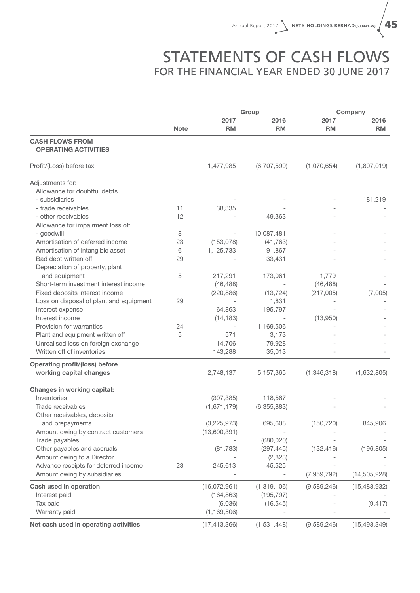## STATEMENTS OF CASH FLOWS FOR THE FINANCIAL YEAR ENDED 30 JUNE 2017

|                                                       |             | Group          | Company     |             |                |
|-------------------------------------------------------|-------------|----------------|-------------|-------------|----------------|
|                                                       |             | 2017           | 2016        | 2017        | 2016           |
|                                                       | <b>Note</b> | <b>RM</b>      | <b>RM</b>   | <b>RM</b>   | <b>RM</b>      |
| <b>CASH FLOWS FROM</b><br><b>OPERATING ACTIVITIES</b> |             |                |             |             |                |
| Profit/(Loss) before tax                              |             | 1,477,985      | (6,707,599) | (1,070,654) | (1,807,019)    |
| Adjustments for:                                      |             |                |             |             |                |
| Allowance for doubtful debts                          |             |                |             |             |                |
| - subsidiaries                                        |             |                |             |             | 181,219        |
| - trade receivables                                   | 11          | 38,335         |             |             |                |
| - other receivables                                   | 12          |                | 49,363      |             |                |
| Allowance for impairment loss of:                     |             |                |             |             |                |
| - goodwill                                            | 8           |                | 10,087,481  |             |                |
| Amortisation of deferred income                       | 23          | (153,078)      | (41, 763)   |             |                |
| Amortisation of intangible asset                      | 6           | 1,125,733      | 91,867      |             |                |
| Bad debt written off                                  | 29          |                | 33,431      |             |                |
| Depreciation of property, plant                       |             |                |             |             |                |
| and equipment                                         | 5           | 217,291        | 173,061     | 1,779       |                |
| Short-term investment interest income                 |             | (46, 488)      |             | (46, 488)   |                |
| Fixed deposits interest income                        |             | (220, 886)     | (13, 724)   | (217,005)   | (7,005)        |
| Loss on disposal of plant and equipment               | 29          |                | 1,831       |             |                |
| Interest expense                                      |             | 164,863        | 195,797     |             |                |
| Interest income                                       |             | (14, 183)      |             | (13,950)    |                |
| Provision for warranties                              | 24          |                | 1,169,506   |             |                |
| Plant and equipment written off                       | 5           | 571            | 3,173       |             |                |
| Unrealised loss on foreign exchange                   |             | 14,706         | 79,928      |             |                |
| Written off of inventories                            |             | 143,288        | 35,013      |             |                |
| <b>Operating profit/(loss) before</b>                 |             |                |             |             |                |
| working capital changes                               |             | 2,748,137      | 5,157,365   | (1,346,318) | (1,632,805)    |
| <b>Changes in working capital:</b>                    |             |                |             |             |                |
| Inventories                                           |             | (397, 385)     | 118,567     |             |                |
| Trade receivables                                     |             | (1,671,179)    | (6,355,883) |             |                |
| Other receivables, deposits                           |             |                |             |             |                |
| and prepayments                                       |             | (3,225,973)    | 695,608     | (150, 720)  | 845,906        |
| Amount owing by contract customers                    |             | (13,690,391)   |             |             |                |
| Trade payables                                        |             |                | (680, 020)  |             |                |
| Other payables and accruals                           |             | (81, 783)      | (297, 445)  | (132, 416)  | (196, 805)     |
| Amount owing to a Director                            |             |                | (2,823)     |             |                |
| Advance receipts for deferred income                  | 23          | 245,613        | 45,525      |             |                |
| Amount owing by subsidiaries                          |             |                |             | (7,959,792) | (14, 505, 228) |
|                                                       |             |                |             |             |                |
| Cash used in operation                                |             | (16,072,961)   | (1,319,106) | (9,589,246) | (15, 488, 932) |
| Interest paid                                         |             | (164, 863)     | (195, 797)  |             |                |
| Tax paid                                              |             | (6,036)        | (16, 545)   |             | (9, 417)       |
| Warranty paid                                         |             | (1, 169, 506)  |             |             |                |
| Net cash used in operating activities                 |             | (17, 413, 366) | (1,531,448) | (9,589,246) | (15, 498, 349) |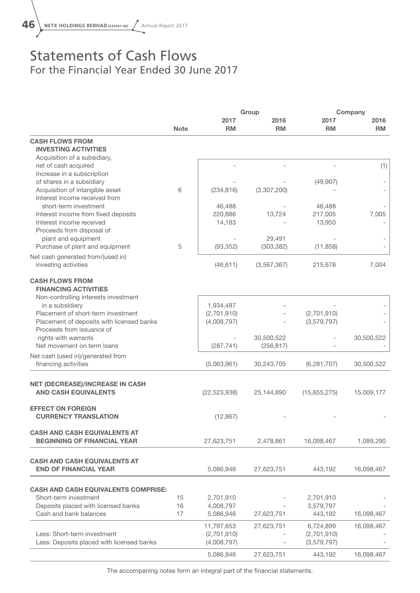## Statements of Cash Flows For the Financial Year Ended 30 June 2017

|                                                                           |             | Group                    | Company       |                   |            |
|---------------------------------------------------------------------------|-------------|--------------------------|---------------|-------------------|------------|
|                                                                           |             | 2017                     | 2016          | 2017              | 2016       |
|                                                                           | <b>Note</b> | <b>RM</b>                | <b>RM</b>     | <b>RM</b>         | <b>RM</b>  |
| <b>CASH FLOWS FROM</b>                                                    |             |                          |               |                   |            |
| <b>INVESTING ACTIVITIES</b><br>Acquisition of a subsidiary,               |             |                          |               |                   |            |
| net of cash acquired                                                      |             |                          |               |                   | (1)        |
| Increase in a subscription                                                |             |                          |               |                   |            |
| of shares in a subsidiary                                                 |             |                          |               | (49, 907)         |            |
| Acquisition of intangible asset                                           | 6           | (234, 816)               | (3,307,200)   |                   |            |
| Interest income received from                                             |             |                          |               |                   |            |
| short-term investment                                                     |             | 46,488                   |               | 46,488            |            |
| Interest income from fixed deposits<br>Interest income received           |             | 220,886                  | 13,724        | 217,005<br>13,950 | 7,005      |
| Proceeds from disposal of                                                 |             | 14,183                   |               |                   |            |
| plant and equipment                                                       |             |                          | 29,491        |                   |            |
| Purchase of plant and equipment                                           | 5           | (93, 352)                | (303, 382)    | (11, 858)         |            |
| Net cash generated from/(used in)                                         |             |                          |               |                   |            |
| investing activities                                                      |             | (46, 611)                | (3, 567, 367) | 215,678           | 7,004      |
| <b>CASH FLOWS FROM</b>                                                    |             |                          |               |                   |            |
| <b>FINANCING ACTIVITIES</b>                                               |             |                          |               |                   |            |
| Non-controlling interests investment                                      |             |                          |               |                   |            |
| in a subsidiary<br>Placement of short-term investment                     |             | 1,934,487<br>(2,701,910) |               | (2,701,910)       |            |
| Placement of deposits with licensed banks                                 |             | (4,008,797)              |               | (3,579,797)       |            |
| Proceeds from issuance of                                                 |             |                          |               |                   |            |
| rights with warrants                                                      |             |                          | 30,500,522    |                   | 30,500,522 |
| Net movement on term loans                                                |             | (287, 741)               | (256, 817)    |                   |            |
| Net cash (used in)/generated from<br>financing activities                 |             | (5,063,961)              | 30,243,705    | (6, 281, 707)     | 30,500,522 |
|                                                                           |             |                          |               |                   |            |
| <b>NET (DECREASE)/INCREASE IN CASH</b>                                    |             |                          |               |                   |            |
| <b>AND CASH EQUIVALENTS</b>                                               |             | (22, 523, 938)           | 25,144,890    | (15,655,275)      | 15,009,177 |
| <b>EFFECT ON FOREIGN</b>                                                  |             |                          |               |                   |            |
| <b>CURRENCY TRANSLATION</b>                                               |             | (12, 867)                |               |                   |            |
| <b>CASH AND CASH EQUIVALENTS AT</b><br><b>BEGINNING OF FINANCIAL YEAR</b> |             | 27,623,751               | 2,478,861     | 16,098,467        | 1,089,290  |
|                                                                           |             |                          |               |                   |            |
| <b>CASH AND CASH EQUIVALENTS AT</b>                                       |             |                          |               |                   |            |
| <b>END OF FINANCIAL YEAR</b>                                              |             | 5,086,946                | 27,623,751    | 443,192           | 16,098,467 |
| <b>CASH AND CASH EQUIVALENTS COMPRISE:</b>                                |             |                          |               |                   |            |
| Short-term investment                                                     | 15          | 2,701,910                |               | 2,701,910         |            |
| Deposits placed with licensed banks                                       | 16          | 4,008,797                |               | 3,579,797         |            |
| Cash and bank balances                                                    | 17          | 5,086,946                | 27,623,751    | 443,192           | 16,098,467 |
|                                                                           |             | 11,797,653               | 27,623,751    | 6,724,899         | 16,098,467 |
| Less: Short-term investment                                               |             | (2,701,910)              |               | (2,701,910)       |            |
| Less: Deposits placed with licensed banks                                 |             | (4,008,797)              |               | (3,579,797)       |            |
|                                                                           |             | 5,086,946                | 27,623,751    | 443,192           | 16,098,467 |

The accompaning notes form an integral part of the financial statements.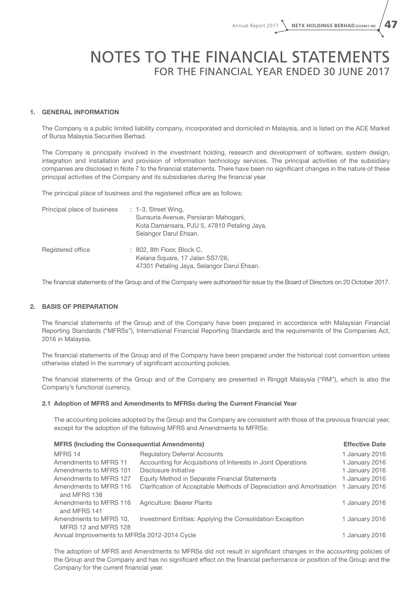## NOTES TO THE FINANCIAL STATEMENTS For the Financial Year Ended 30 June 2017

#### 1. GENERAL INFORMATION

The Company is a public limited liability company, incorporated and domiciled in Malaysia, and is listed on the ACE Market of Bursa Malaysia Securities Berhad.

The Company is principally involved in the investment holding, research and development of software, system design, integration and installation and provision of information technology services. The principal activities of the subsidiary companies are disclosed in Note 7 to the financial statements. There have been no significant changes in the nature of these principal activities of the Company and its subsidiaries during the financial year.

The principal place of business and the registered office are as follows:

| Principal place of business | $: 1-3$ , Street Wing,<br>Sunsuria Avenue, Persiaran Mahogani,<br>Kota Damansara, PJU 5, 47810 Petaling Jaya,<br>Selangor Darul Ehsan. |
|-----------------------------|----------------------------------------------------------------------------------------------------------------------------------------|
| Registered office           | $: 802$ , 8th Floor, Block C,<br>Kelana Square, 17 Jalan SS7/26,<br>47301 Petaling Jaya, Selangor Darul Ehsan.                         |

The financial statements of the Group and of the Company were authorised for issue by the Board of Directors on 20 October 2017.

#### 2. BASIS OF PREPARATION

The financial statements of the Group and of the Company have been prepared in accordance with Malaysian Financial Reporting Standards ("MFRSs"), International Financial Reporting Standards and the requirements of the Companies Act, 2016 in Malaysia.

The financial statements of the Group and of the Company have been prepared under the historical cost convention unless otherwise stated in the summary of significant accounting policies.

The financial statements of the Group and of the Company are presented in Ringgit Malaysia ("RM"), which is also the Company's functional currency.

#### 2.1 Adoption of MFRS and Amendments to MFRSs during the Current Financial Year

The accounting policies adopted by the Group and the Company are consistent with those of the previous financial year, except for the adoption of the following MFRS and Amendments to MFRSs:

| <b>MFRS (Including the Consequential Amendments)</b> |                                                                      |                |  |  |
|------------------------------------------------------|----------------------------------------------------------------------|----------------|--|--|
| MFRS 14                                              | <b>Regulatory Deferral Accounts</b>                                  | 1 January 2016 |  |  |
| Amendments to MFRS 11                                | Accounting for Acquisitions of Interests in Joint Operations         | 1 January 2016 |  |  |
| Amendments to MFRS 101                               | Disclosure Initiative                                                | 1 January 2016 |  |  |
| Amendments to MFRS 127                               | Equity Method in Separate Financial Statements                       | 1 January 2016 |  |  |
| Amendments to MFRS 116                               | Clarification of Acceptable Methods of Depreciation and Amortisation | 1 January 2016 |  |  |
| and MFRS 138                                         |                                                                      |                |  |  |
| Amendments to MFRS 116                               | Agriculture: Bearer Plants                                           | 1 January 2016 |  |  |
| and MFRS 141                                         |                                                                      |                |  |  |
| Amendments to MFRS 10,                               | Investment Entities: Applying the Consolidation Exception            | 1 January 2016 |  |  |
| MFRS 12 and MFRS 128                                 |                                                                      |                |  |  |
| Annual Improvements to MFRSs 2012-2014 Cycle         |                                                                      | 1 January 2016 |  |  |

The adoption of MFRS and Amendments to MFRSs did not result in significant changes in the accounting policies of the Group and the Company and has no significant effect on the financial performance or position of the Group and the Company for the current financial year.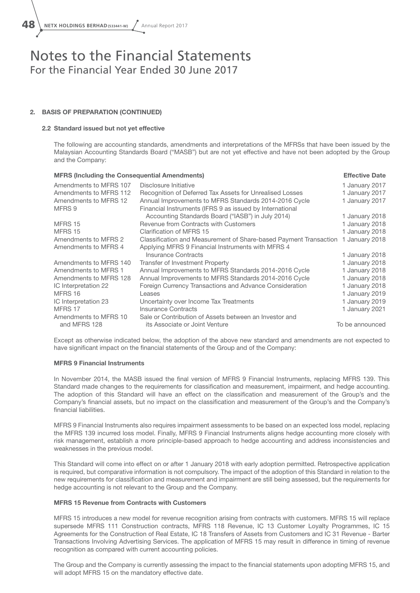48 **NETX HOLDINGS BERHAD (533441-W)** Annual Report 2017

### Notes to the Financial Statements For the Financial Year Ended 30 June 2017

#### 2. BASIS OF PREPARATION (CONTINUED)

#### 2.2 Standard issued but not yet effective

The following are accounting standards, amendments and interpretations of the MFRSs that have been issued by the Malaysian Accounting Standards Board ("MASB") but are not yet effective and have not been adopted by the Group and the Company:

| <b>MFRS (Including the Consequential Amendments)</b> |                                                                   | <b>Effective Date</b> |
|------------------------------------------------------|-------------------------------------------------------------------|-----------------------|
| Amendments to MFRS 107                               | Disclosure Initiative                                             | 1 January 2017        |
| Amendments to MFRS 112                               | Recognition of Deferred Tax Assets for Unrealised Losses          | 1 January 2017        |
| Amendments to MFRS 12                                | Annual Improvements to MFRS Standards 2014-2016 Cycle             | 1 January 2017        |
| MFRS 9                                               | Financial Instruments (IFRS 9 as issued by International          |                       |
|                                                      | Accounting Standards Board ("IASB") in July 2014)                 | 1 January 2018        |
| MFRS 15                                              | Revenue from Contracts with Customers                             | 1 January 2018        |
| MFRS 15                                              | Clarification of MFRS 15                                          | 1 January 2018        |
| Amendments to MFRS 2                                 | Classification and Measurement of Share-based Payment Transaction | 1 January 2018        |
| Amendments to MFRS 4                                 | Applying MFRS 9 Financial Instruments with MFRS 4                 |                       |
|                                                      | Insurance Contracts                                               | 1 January 2018        |
| Amendments to MFRS 140                               | Transfer of Investment Property                                   | 1 January 2018        |
| Amendments to MFRS 1                                 | Annual Improvements to MFRS Standards 2014-2016 Cycle             | 1 January 2018        |
| Amendments to MFRS 128                               | Annual Improvements to MFRS Standards 2014-2016 Cycle             | 1 January 2018        |
| IC Interpretation 22                                 | Foreign Currency Transactions and Advance Consideration           | 1 January 2018        |
| MFRS 16                                              | Leases                                                            | 1 January 2019        |
| IC Interpretation 23                                 | Uncertainty over Income Tax Treatments                            | 1 January 2019        |
| MFRS 17                                              | <b>Insurance Contracts</b>                                        | 1 January 2021        |
| Amendments to MFRS 10                                | Sale or Contribution of Assets between an Investor and            |                       |
| and MFRS 128                                         | its Associate or Joint Venture                                    | To be announced       |

Except as otherwise indicated below, the adoption of the above new standard and amendments are not expected to have significant impact on the financial statements of the Group and of the Company:

#### MFRS 9 Financial Instruments

In November 2014, the MASB issued the final version of MFRS 9 Financial Instruments, replacing MFRS 139. This Standard made changes to the requirements for classification and measurement, impairment, and hedge accounting. The adoption of this Standard will have an effect on the classification and measurement of the Group's and the Company's financial assets, but no impact on the classification and measurement of the Group's and the Company's financial liabilities.

MFRS 9 Financial Instruments also requires impairment assessments to be based on an expected loss model, replacing the MFRS 139 incurred loss model. Finally, MFRS 9 Financial Instruments aligns hedge accounting more closely with risk management, establish a more principle-based approach to hedge accounting and address inconsistencies and weaknesses in the previous model.

This Standard will come into effect on or after 1 January 2018 with early adoption permitted. Retrospective application is required, but comparative information is not compulsory. The impact of the adoption of this Standard in relation to the new requirements for classification and measurement and impairment are still being assessed, but the requirements for hedge accounting is not relevant to the Group and the Company.

#### MFRS 15 Revenue from Contracts with Customers

MFRS 15 introduces a new model for revenue recognition arising from contracts with customers. MFRS 15 will replace supersede MFRS 111 Construction contracts, MFRS 118 Revenue, IC 13 Customer Loyalty Programmes, IC 15 Agreements for the Construction of Real Estate, IC 18 Transfers of Assets from Customers and IC 31 Revenue - Barter Transactions Involving Advertising Services. The application of MFRS 15 may result in difference in timing of revenue recognition as compared with current accounting policies.

The Group and the Company is currently assessing the impact to the financial statements upon adopting MFRS 15, and will adopt MFRS 15 on the mandatory effective date.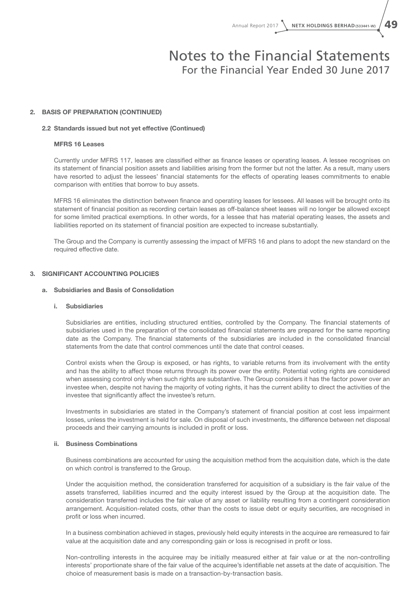#### 2. BASIS OF PREPARATION (CONTINUED)

#### 2.2 Standards issued but not yet effective (Continued)

#### MFRS 16 Leases

Currently under MFRS 117, leases are classified either as finance leases or operating leases. A lessee recognises on its statement of financial position assets and liabilities arising from the former but not the latter. As a result, many users have resorted to adjust the lessees' financial statements for the effects of operating leases commitments to enable comparison with entities that borrow to buy assets.

MFRS 16 eliminates the distinction between finance and operating leases for lessees. All leases will be brought onto its statement of financial position as recording certain leases as off-balance sheet leases will no longer be allowed except for some limited practical exemptions. In other words, for a lessee that has material operating leases, the assets and liabilities reported on its statement of financial position are expected to increase substantially.

The Group and the Company is currently assessing the impact of MFRS 16 and plans to adopt the new standard on the required effective date.

#### 3. SIGNIFICANT ACCOUNTING POLICIES

#### a. Subsidiaries and Basis of Consolidation

#### i. Subsidiaries

Subsidiaries are entities, including structured entities, controlled by the Company. The financial statements of subsidiaries used in the preparation of the consolidated financial statements are prepared for the same reporting date as the Company. The financial statements of the subsidiaries are included in the consolidated financial statements from the date that control commences until the date that control ceases.

Control exists when the Group is exposed, or has rights, to variable returns from its involvement with the entity and has the ability to affect those returns through its power over the entity. Potential voting rights are considered when assessing control only when such rights are substantive. The Group considers it has the factor power over an investee when, despite not having the majority of voting rights, it has the current ability to direct the activities of the investee that significantly affect the investee's return.

Investments in subsidiaries are stated in the Company's statement of financial position at cost less impairment losses, unless the investment is held for sale. On disposal of such investments, the difference between net disposal proceeds and their carrying amounts is included in profit or loss.

#### ii. Business Combinations

Business combinations are accounted for using the acquisition method from the acquisition date, which is the date on which control is transferred to the Group.

Under the acquisition method, the consideration transferred for acquisition of a subsidiary is the fair value of the assets transferred, liabilities incurred and the equity interest issued by the Group at the acquisition date. The consideration transferred includes the fair value of any asset or liability resulting from a contingent consideration arrangement. Acquisition-related costs, other than the costs to issue debt or equity securities, are recognised in profit or loss when incurred.

In a business combination achieved in stages, previously held equity interests in the acquiree are remeasured to fair value at the acquisition date and any corresponding gain or loss is recognised in profit or loss.

Non-controlling interests in the acquiree may be initially measured either at fair value or at the non-controlling interests' proportionate share of the fair value of the acquiree's identifiable net assets at the date of acquisition. The choice of measurement basis is made on a transaction-by-transaction basis.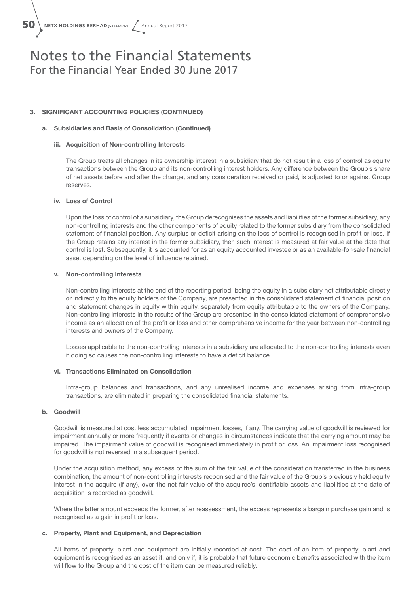$50$  **NETX HOLDINGS BERHAD (533441-W)**  $\sqrt{ }$  Annual Report 2017

## Notes to the Financial Statements For the Financial Year Ended 30 June 2017

#### 3. SIGNIFICANT ACCOUNTING POLICIES (CONTINUED)

#### a. Subsidiaries and Basis of Consolidation (Continued)

#### iii. Acquisition of Non-controlling Interests

The Group treats all changes in its ownership interest in a subsidiary that do not result in a loss of control as equity transactions between the Group and its non-controlling interest holders. Any difference between the Group's share of net assets before and after the change, and any consideration received or paid, is adjusted to or against Group reserves.

#### iv. Loss of Control

Upon the loss of control of a subsidiary, the Group derecognises the assets and liabilities of the former subsidiary, any non-controlling interests and the other components of equity related to the former subsidiary from the consolidated statement of financial position. Any surplus or deficit arising on the loss of control is recognised in profit or loss. If the Group retains any interest in the former subsidiary, then such interest is measured at fair value at the date that control is lost. Subsequently, it is accounted for as an equity accounted investee or as an available-for-sale financial asset depending on the level of influence retained.

#### v. Non-controlling Interests

Non-controlling interests at the end of the reporting period, being the equity in a subsidiary not attributable directly or indirectly to the equity holders of the Company, are presented in the consolidated statement of financial position and statement changes in equity within equity, separately from equity attributable to the owners of the Company. Non-controlling interests in the results of the Group are presented in the consolidated statement of comprehensive income as an allocation of the profit or loss and other comprehensive income for the year between non-controlling interests and owners of the Company.

Losses applicable to the non-controlling interests in a subsidiary are allocated to the non-controlling interests even if doing so causes the non-controlling interests to have a deficit balance.

#### vi. Transactions Eliminated on Consolidation

Intra-group balances and transactions, and any unrealised income and expenses arising from intra-group transactions, are eliminated in preparing the consolidated financial statements.

#### b. Goodwill

Goodwill is measured at cost less accumulated impairment losses, if any. The carrying value of goodwill is reviewed for impairment annually or more frequently if events or changes in circumstances indicate that the carrying amount may be impaired. The impairment value of goodwill is recognised immediately in profit or loss. An impairment loss recognised for goodwill is not reversed in a subsequent period.

Under the acquisition method, any excess of the sum of the fair value of the consideration transferred in the business combination, the amount of non-controlling interests recognised and the fair value of the Group's previously held equity interest in the acquire (if any), over the net fair value of the acquiree's identifiable assets and liabilities at the date of acquisition is recorded as goodwill.

Where the latter amount exceeds the former, after reassessment, the excess represents a bargain purchase gain and is recognised as a gain in profit or loss.

#### c. Property, Plant and Equipment, and Depreciation

All items of property, plant and equipment are initially recorded at cost. The cost of an item of property, plant and equipment is recognised as an asset if, and only if, it is probable that future economic benefits associated with the item will flow to the Group and the cost of the item can be measured reliably.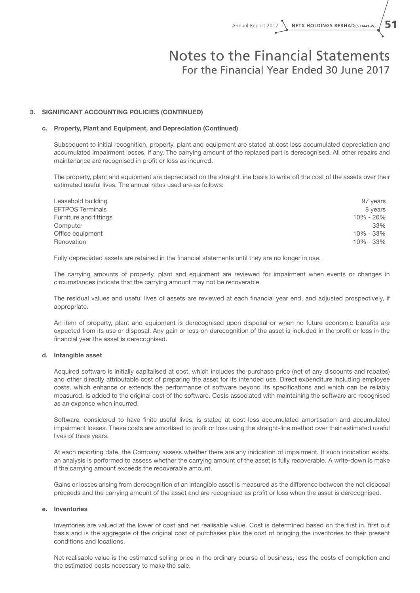#### 3. SIGNIFICANT ACCOUNTING POLICIES (CONTINUED)

#### c. Property, Plant and Equipment, and Depreciation (Continued)

Subsequent to initial recognition, property, plant and equipment are stated at cost less accumulated depreciation and accumulated impairment losses, if any. The carrying amount of the replaced part is derecognised. All other repairs and maintenance are recognised in profit or loss as incurred.

The property, plant and equipment are depreciated on the straight line basis to write off the cost of the assets over their estimated useful lives. The annual rates used are as follows:

| Leasehold building      | 97 years  |
|-------------------------|-----------|
| <b>EFTPOS Terminals</b> | 8 years   |
| Furniture and fittings  | 10% - 20% |
| Computer                | 33%       |
| Office equipment        | 10% - 33% |
| Renovation              | 10% - 33% |

Fully depreciated assets are retained in the financial statements until they are no longer in use.

The carrying amounts of property, plant and equipment are reviewed for impairment when events or changes in circumstances indicate that the carrying amount may not be recoverable.

The residual values and useful lives of assets are reviewed at each financial year end, and adjusted prospectively, if appropriate.

An item of property, plant and equipment is derecognised upon disposal or when no future economic benefits are expected from its use or disposal. Any gain or loss on derecognition of the asset is included in the profit or loss in the financial year the asset is derecognised.

#### d. Intangible asset

Acquired software is initially capitalised at cost, which includes the purchase price (net of any discounts and rebates) and other directly attributable cost of preparing the asset for its intended use. Direct expenditure including employee costs, which enhance or extends the performance of software beyond its specifications and which can be reliably measured, is added to the original cost of the software. Costs associated with maintaining the software are recognised as an expense when incurred.

Software, considered to have finite useful lives, is stated at cost less accumulated amortisation and accumulated impairment losses. These costs are amortised to profit or loss using the straight-line method over their estimated useful lives of three years.

At each reporting date, the Company assess whether there are any indication of impairment. If such indication exists, an analysis is performed to assess whether the carrying amount of the asset is fully recoverable. A write-down is make if the carrying amount exceeds the recoverable amount.

Gains or losses arising from derecognition of an intangible asset is measured as the difference between the net disposal proceeds and the carrying amount of the asset and are recognised as profit or loss when the asset is derecognised.

#### e. Inventories

Inventories are valued at the lower of cost and net realisable value. Cost is determined based on the first in, first out basis and is the aggregate of the original cost of purchases plus the cost of bringing the inventories to their present conditions and locations.

Net realisable value is the estimated selling price in the ordinary course of business, less the costs of completion and the estimated costs necessary to make the sale.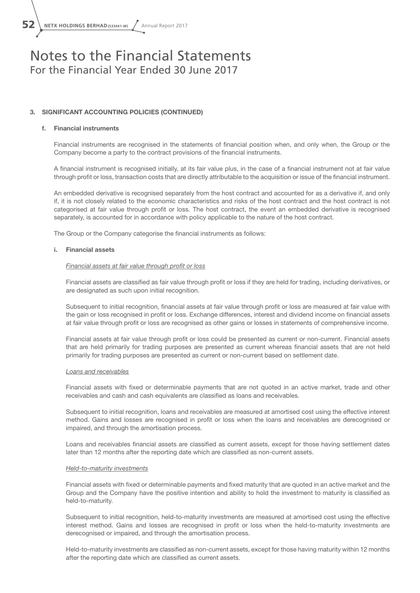**52** NETX HOLDINGS BERHAD (533441-W) Annual Report 2017

### Notes to the Financial Statements For the Financial Year Ended 30 June 2017

#### 3. SIGNIFICANT ACCOUNTING POLICIES (CONTINUED)

#### f. Financial instruments

Financial instruments are recognised in the statements of financial position when, and only when, the Group or the Company become a party to the contract provisions of the financial instruments.

A financial instrument is recognised initially, at its fair value plus, in the case of a financial instrument not at fair value through profit or loss, transaction costs that are directly attributable to the acquisition or issue of the financial instrument.

An embedded derivative is recognised separately from the host contract and accounted for as a derivative if, and only if, it is not closely related to the economic characteristics and risks of the host contract and the host contract is not categorised at fair value through profit or loss. The host contract, the event an embedded derivative is recognised separately, is accounted for in accordance with policy applicable to the nature of the host contract.

The Group or the Company categorise the financial instruments as follows:

#### i. Financial assets

#### *Financial assets at fair value through profit or loss*

Financial assets are classified as fair value through profit or loss if they are held for trading, including derivatives, or are designated as such upon initial recognition.

Subsequent to initial recognition, financial assets at fair value through profit or loss are measured at fair value with the gain or loss recognised in profit or loss. Exchange differences, interest and dividend income on financial assets at fair value through profit or loss are recognised as other gains or losses in statements of comprehensive income.

Financial assets at fair value through profit or loss could be presented as current or non-current. Financial assets that are held primarily for trading purposes are presented as current whereas financial assets that are not held primarily for trading purposes are presented as current or non-current based on settlement date.

#### *Loans and receivables*

Financial assets with fixed or determinable payments that are not quoted in an active market, trade and other receivables and cash and cash equivalents are classified as loans and receivables.

Subsequent to initial recognition, loans and receivables are measured at amortised cost using the effective interest method. Gains and losses are recognised in profit or loss when the loans and receivables are derecognised or impaired, and through the amortisation process.

Loans and receivables financial assets are classified as current assets, except for those having settlement dates later than 12 months after the reporting date which are classified as non-current assets.

#### *Held-to-maturity investments*

Financial assets with fixed or determinable payments and fixed maturity that are quoted in an active market and the Group and the Company have the positive intention and ability to hold the investment to maturity is classified as held-to-maturity.

Subsequent to initial recognition, held-to-maturity investments are measured at amortised cost using the effective interest method. Gains and losses are recognised in profit or loss when the held-to-maturity investments are derecognised or impaired, and through the amortisation process.

Held-to-maturity investments are classified as non-current assets, except for those having maturity within 12 months after the reporting date which are classified as current assets.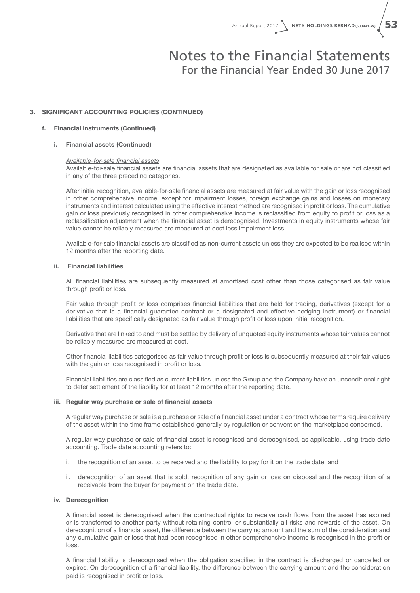#### 3. SIGNIFICANT ACCOUNTING POLICIES (CONTINUED)

#### f. Financial instruments (Continued)

#### i. Financial assets (Continued)

#### *Available-for-sale financial assets*

Available-for-sale financial assets are financial assets that are designated as available for sale or are not classified in any of the three preceding categories.

After initial recognition, available-for-sale financial assets are measured at fair value with the gain or loss recognised in other comprehensive income, except for impairment losses, foreign exchange gains and losses on monetary instruments and interest calculated using the effective interest method are recognised in profit or loss. The cumulative gain or loss previously recognised in other comprehensive income is reclassified from equity to profit or loss as a reclassification adjustment when the financial asset is derecognised. Investments in equity instruments whose fair value cannot be reliably measured are measured at cost less impairment loss.

Available-for-sale financial assets are classified as non-current assets unless they are expected to be realised within 12 months after the reporting date.

#### ii. Financial liabilities

All financial liabilities are subsequently measured at amortised cost other than those categorised as fair value through profit or loss.

Fair value through profit or loss comprises financial liabilities that are held for trading, derivatives (except for a derivative that is a financial guarantee contract or a designated and effective hedging instrument) or financial liabilities that are specifically designated as fair value through profit or loss upon initial recognition.

Derivative that are linked to and must be settled by delivery of unquoted equity instruments whose fair values cannot be reliably measured are measured at cost.

Other financial liabilities categorised as fair value through profit or loss is subsequently measured at their fair values with the gain or loss recognised in profit or loss.

Financial liabilities are classified as current liabilities unless the Group and the Company have an unconditional right to defer settlement of the liability for at least 12 months after the reporting date.

#### iii. Regular way purchase or sale of financial assets

A regular way purchase or sale is a purchase or sale of a financial asset under a contract whose terms require delivery of the asset within the time frame established generally by regulation or convention the marketplace concerned.

A regular way purchase or sale of financial asset is recognised and derecognised, as applicable, using trade date accounting. Trade date accounting refers to:

- i. the recognition of an asset to be received and the liability to pay for it on the trade date; and
- ii. derecognition of an asset that is sold, recognition of any gain or loss on disposal and the recognition of a receivable from the buyer for payment on the trade date.

#### iv. Derecognition

A financial asset is derecognised when the contractual rights to receive cash flows from the asset has expired or is transferred to another party without retaining control or substantially all risks and rewards of the asset. On derecognition of a financial asset, the difference between the carrying amount and the sum of the consideration and any cumulative gain or loss that had been recognised in other comprehensive income is recognised in the profit or loss.

A financial liability is derecognised when the obligation specified in the contract is discharged or cancelled or expires. On derecognition of a financial liability, the difference between the carrying amount and the consideration paid is recognised in profit or loss.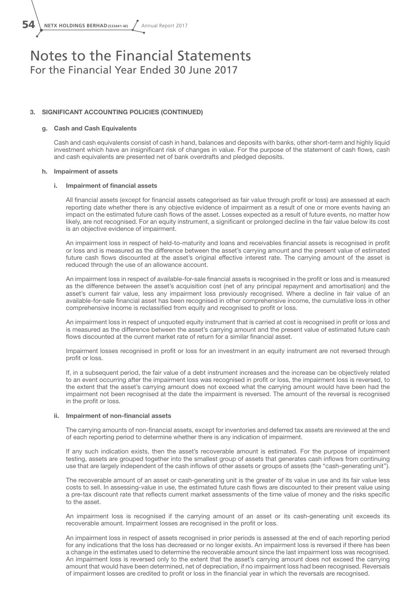$\mathbf{54} \setminus \mathbf{N}$  **NETX HOLDINGS BERHAD** (533441-W)  $\sqrt{\phantom{a}}$  Annual Report 2017

### Notes to the Financial Statements For the Financial Year Ended 30 June 2017

#### 3. SIGNIFICANT ACCOUNTING POLICIES (CONTINUED)

#### g. Cash and Cash Equivalents

Cash and cash equivalents consist of cash in hand, balances and deposits with banks, other short-term and highly liquid investment which have an insignificant risk of changes in value. For the purpose of the statement of cash flows, cash and cash equivalents are presented net of bank overdrafts and pledged deposits.

#### h. Impairment of assets

#### i. Impairment of financial assets

All financial assets (except for financial assets categorised as fair value through profit or loss) are assessed at each reporting date whether there is any objective evidence of impairment as a result of one or more events having an impact on the estimated future cash flows of the asset. Losses expected as a result of future events, no matter how likely, are not recognised. For an equity instrument, a significant or prolonged decline in the fair value below its cost is an objective evidence of impairment.

An impairment loss in respect of held-to-maturity and loans and receivables financial assets is recognised in profit or loss and is measured as the difference between the asset's carrying amount and the present value of estimated future cash flows discounted at the asset's original effective interest rate. The carrying amount of the asset is reduced through the use of an allowance account.

An impairment loss in respect of available-for-sale financial assets is recognised in the profit or loss and is measured as the difference between the asset's acquisition cost (net of any principal repayment and amortisation) and the asset's current fair value, less any impairment loss previously recognised. Where a decline in fair value of an available-for-sale financial asset has been recognised in other comprehensive income, the cumulative loss in other comprehensive income is reclassified from equity and recognised to profit or loss.

An impairment loss in respect of unquoted equity instrument that is carried at cost is recognised in profit or loss and is measured as the difference between the asset's carrying amount and the present value of estimated future cash flows discounted at the current market rate of return for a similar financial asset.

Impairment losses recognised in profit or loss for an investment in an equity instrument are not reversed through profit or loss.

If, in a subsequent period, the fair value of a debt instrument increases and the increase can be objectively related to an event occurring after the impairment loss was recognised in profit or loss, the impairment loss is reversed, to the extent that the asset's carrying amount does not exceed what the carrying amount would have been had the impairment not been recognised at the date the impairment is reversed. The amount of the reversal is recognised in the profit or loss.

#### ii. Impairment of non-financial assets

The carrying amounts of non-financial assets, except for inventories and deferred tax assets are reviewed at the end of each reporting period to determine whether there is any indication of impairment.

If any such indication exists, then the asset's recoverable amount is estimated. For the purpose of impairment testing, assets are grouped together into the smallest group of assets that generates cash inflows from continuing use that are largely independent of the cash inflows of other assets or groups of assets (the "cash-generating unit'').

The recoverable amount of an asset or cash-generating unit is the greater of its value in use and its fair value less costs to sell. In assessing-value in use, the estimated future cash flows are discounted to their present value using a pre-tax discount rate that reflects current market assessments of the time value of money and the risks specific to the asset.

An impairment loss is recognised if the carrying amount of an asset or its cash-generating unit exceeds its recoverable amount. Impairment losses are recognised in the profit or loss.

An impairment loss in respect of assets recognised in prior periods is assessed at the end of each reporting period for any indications that the loss has decreased or no longer exists. An impairment loss is reversed if there has been a change in the estimates used to determine the recoverable amount since the last impairment loss was recognised. An impairment loss is reversed only to the extent that the asset's carrying amount does not exceed the carrying amount that would have been determined, net of depreciation, if no impairment loss had been recognised. Reversals of impairment losses are credited to profit or loss in the financial year in which the reversals are recognised.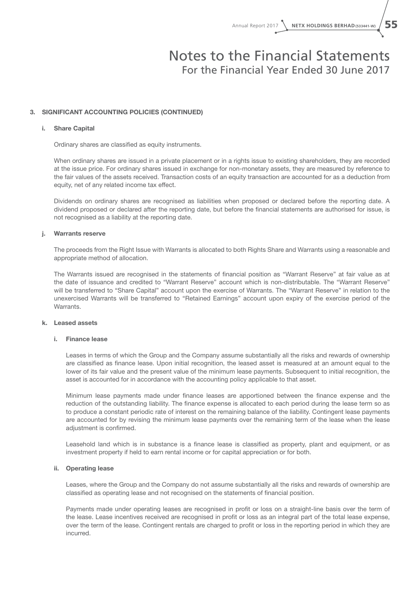#### 3. SIGNIFICANT ACCOUNTING POLICIES (CONTINUED)

#### i. Share Capital

Ordinary shares are classified as equity instruments.

When ordinary shares are issued in a private placement or in a rights issue to existing shareholders, they are recorded at the issue price. For ordinary shares issued in exchange for non-monetary assets, they are measured by reference to the fair values of the assets received. Transaction costs of an equity transaction are accounted for as a deduction from equity, net of any related income tax effect.

Dividends on ordinary shares are recognised as liabilities when proposed or declared before the reporting date. A dividend proposed or declared after the reporting date, but before the financial statements are authorised for issue, is not recognised as a liability at the reporting date.

#### j. Warrants reserve

The proceeds from the Right Issue with Warrants is allocated to both Rights Share and Warrants using a reasonable and appropriate method of allocation.

The Warrants issued are recognised in the statements of financial position as "Warrant Reserve" at fair value as at the date of issuance and credited to "Warrant Reserve" account which is non-distributable. The "Warrant Reserve" will be transferred to "Share Capital" account upon the exercise of Warrants. The "Warrant Reserve" in relation to the unexercised Warrants will be transferred to "Retained Earnings" account upon expiry of the exercise period of the Warrants.

#### k. Leased assets

#### i. Finance lease

Leases in terms of which the Group and the Company assume substantially all the risks and rewards of ownership are classified as finance lease. Upon initial recognition, the leased asset is measured at an amount equal to the lower of its fair value and the present value of the minimum lease payments. Subsequent to initial recognition, the asset is accounted for in accordance with the accounting policy applicable to that asset.

Minimum lease payments made under finance leases are apportioned between the finance expense and the reduction of the outstanding liability. The finance expense is allocated to each period during the lease term so as to produce a constant periodic rate of interest on the remaining balance of the liability. Contingent lease payments are accounted for by revising the minimum lease payments over the remaining term of the lease when the lease adjustment is confirmed.

Leasehold land which is in substance is a finance lease is classified as property, plant and equipment, or as investment property if held to earn rental income or for capital appreciation or for both.

#### ii. Operating lease

Leases, where the Group and the Company do not assume substantially all the risks and rewards of ownership are classified as operating lease and not recognised on the statements of financial position.

Payments made under operating leases are recognised in profit or loss on a straight-line basis over the term of the lease. Lease incentives received are recognised in profit or loss as an integral part of the total lease expense, over the term of the lease. Contingent rentals are charged to profit or loss in the reporting period in which they are incurred.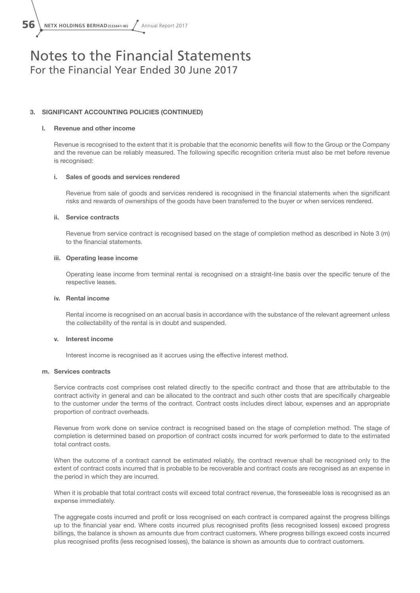$\overline{56}$  **NETX HOLDINGS BERHAD(533441-W)**  $\sqrt{ }$  Annual Report 2017

### Notes to the Financial Statements For the Financial Year Ended 30 June 2017

#### 3. SIGNIFICANT ACCOUNTING POLICIES (CONTINUED)

#### l. Revenue and other income

Revenue is recognised to the extent that it is probable that the economic benefits will flow to the Group or the Company and the revenue can be reliably measured. The following specific recognition criteria must also be met before revenue is recognised:

#### i. Sales of goods and services rendered

Revenue from sale of goods and services rendered is recognised in the financial statements when the significant risks and rewards of ownerships of the goods have been transferred to the buyer or when services rendered.

#### ii. Service contracts

Revenue from service contract is recognised based on the stage of completion method as described in Note 3 (m) to the financial statements.

#### iii. Operating lease income

Operating lease income from terminal rental is recognised on a straight-line basis over the specific tenure of the respective leases.

#### iv. Rental income

Rental income is recognised on an accrual basis in accordance with the substance of the relevant agreement unless the collectability of the rental is in doubt and suspended.

#### v. Interest income

Interest income is recognised as it accrues using the effective interest method.

#### m. Services contracts

Service contracts cost comprises cost related directly to the specific contract and those that are attributable to the contract activity in general and can be allocated to the contract and such other costs that are specifically chargeable to the customer under the terms of the contract. Contract costs includes direct labour, expenses and an appropriate proportion of contract overheads.

Revenue from work done on service contract is recognised based on the stage of completion method. The stage of completion is determined based on proportion of contract costs incurred for work performed to date to the estimated total contract costs.

When the outcome of a contract cannot be estimated reliably, the contract revenue shall be recognised only to the extent of contract costs incurred that is probable to be recoverable and contract costs are recognised as an expense in the period in which they are incurred.

When it is probable that total contract costs will exceed total contract revenue, the foreseeable loss is recognised as an expense immediately.

The aggregate costs incurred and profit or loss recognised on each contract is compared against the progress billings up to the financial year end. Where costs incurred plus recognised profits (less recognised losses) exceed progress billings, the balance is shown as amounts due from contract customers. Where progress billings exceed costs incurred plus recognised profits (less recognised losses), the balance is shown as amounts due to contract customers.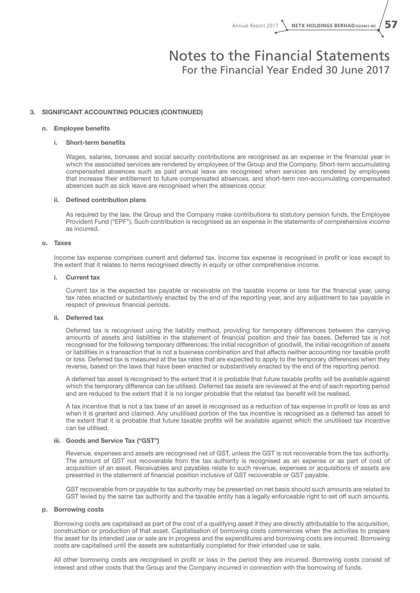#### 3. SIGNIFICANT ACCOUNTING POLICIES (CONTINUED)

#### n. Employee benefits

#### i. Short-term benefits

Wages, salaries, bonuses and social security contributions are recognised as an expense in the financial year in which the associated services are rendered by employees of the Group and the Company. Short-term accumulating compensated absences such as paid annual leave are recognised when services are rendered by employees that increase their entitlement to future compensated absences, and short-term non-accumulating compensated absences such as sick leave are recognised when the absences occur.

#### ii. Defined contribution plans

As required by the law, the Group and the Company make contributions to statutory pension funds, the Employee Provident Fund ("EPF"). Such contribution is recognised as an expense in the statements of comprehensive income as incurred.

#### o. Taxes

Income tax expense comprises current and deferred tax. Income tax expense is recognised in profit or loss except to the extent that it relates to items recognised directly in equity or other comprehensive income.

#### i. Current tax

Current tax is the expected tax payable or receivable on the taxable income or loss for the financial year, using tax rates enacted or substantively enacted by the end of the reporting year, and any adjustment to tax payable in respect of previous financial periods.

#### ii. Deferred tax

Deferred tax is recognised using the liability method, providing for temporary differences between the carrying amounts of assets and liabilities in the statement of financial position and their tax bases. Deferred tax is not recognised for the following temporary differences: the initial recognition of goodwill, the initial recognition of assets or liabilities in a transaction that is not a business combination and that affects neither accounting nor taxable profit or loss. Deferred tax is measured at the tax rates that are expected to apply to the temporary differences when they reverse, based on the laws that have been enacted or substantively enacted by the end of the reporting period.

A deferred tax asset is recognised to the extent that it is probable that future taxable profits will be available against which the temporary difference can be utilised. Deferred tax assets are reviewed at the end of each reporting period and are reduced to the extent that it is no longer probable that the related tax benefit will be realised.

A tax incentive that is not a tax base of an asset is recognised as a reduction of tax expense in profit or loss as and when it is granted and claimed. Any unutilised portion of the tax incentive is recognised as a deferred tax asset to the extent that it is probable that future taxable profits will be available against which the unutilised tax incentive can be utilised.

#### iii. Goods and Service Tax ("GST")

Revenue, expenses and assets are recognised net of GST, unless the GST is not recoverable from the tax authority. The amount of GST not recoverable from the tax authority is recognised as an expense or as part of cost of acquisition of an asset. Receivables and payables relate to such revenue, expenses or acquisitions of assets are presented in the statement of financial position inclusive of GST recoverable or GST payable.

GST recoverable from or payable to tax authority may be presented on net basis should such amounts are related to GST levied by the same tax authority and the taxable entity has a legally enforceable right to set off such amounts.

#### p. Borrowing costs

Borrowing costs are capitalised as part of the cost of a qualifying asset if they are directly attributable to the acquisition, construction or production of that asset. Capitalisation of borrowing costs commences when the activities to prepare the asset for its intended use or sale are in progress and the expenditures and borrowing costs are incurred. Borrowing costs are capitalised until the assets are substantially completed for their intended use or sale.

All other borrowing costs are recognised in profit or loss in the period they are incurred. Borrowing costs consist of interest and other costs that the Group and the Company incurred in connection with the borrowing of funds.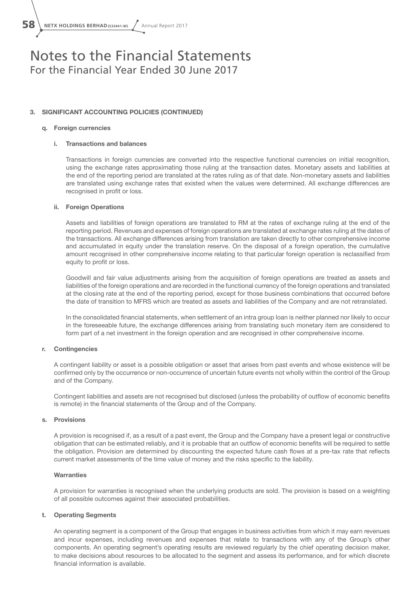**58** NETX HOLDINGS BERHAD (533441-W) / Annual Report 2017

## Notes to the Financial Statements For the Financial Year Ended 30 June 2017

#### 3. SIGNIFICANT ACCOUNTING POLICIES (CONTINUED)

#### q. Foreign currencies

#### i. Transactions and balances

Transactions in foreign currencies are converted into the respective functional currencies on initial recognition, using the exchange rates approximating those ruling at the transaction dates. Monetary assets and liabilities at the end of the reporting period are translated at the rates ruling as of that date. Non-monetary assets and liabilities are translated using exchange rates that existed when the values were determined. All exchange differences are recognised in profit or loss.

#### ii. Foreign Operations

Assets and liabilities of foreign operations are translated to RM at the rates of exchange ruling at the end of the reporting period. Revenues and expenses of foreign operations are translated at exchange rates ruling at the dates of the transactions. All exchange differences arising from translation are taken directly to other comprehensive income and accumulated in equity under the translation reserve. On the disposal of a foreign operation, the cumulative amount recognised in other comprehensive income relating to that particular foreign operation is reclassified from equity to profit or loss.

Goodwill and fair value adjustments arising from the acquisition of foreign operations are treated as assets and liabilities of the foreign operations and are recorded in the functional currency of the foreign operations and translated at the closing rate at the end of the reporting period, except for those business combinations that occurred before the date of transition to MFRS which are treated as assets and liabilities of the Company and are not retranslated.

In the consolidated financial statements, when settlement of an intra group loan is neither planned nor likely to occur in the foreseeable future, the exchange differences arising from translating such monetary item are considered to form part of a net investment in the foreign operation and are recognised in other comprehensive income.

#### r. Contingencies

A contingent liability or asset is a possible obligation or asset that arises from past events and whose existence will be confirmed only by the occurrence or non-occurrence of uncertain future events not wholly within the control of the Group and of the Company.

Contingent liabilities and assets are not recognised but disclosed (unless the probability of outflow of economic benefits is remote) in the financial statements of the Group and of the Company.

#### s. Provisions

A provision is recognised if, as a result of a past event, the Group and the Company have a present legal or constructive obligation that can be estimated reliably, and it is probable that an outflow of economic benefits will be required to settle the obligation. Provision are determined by discounting the expected future cash flows at a pre-tax rate that reflects current market assessments of the time value of money and the risks specific to the liability.

#### **Warranties**

A provision for warranties is recognised when the underlying products are sold. The provision is based on a weighting of all possible outcomes against their associated probabilities.

#### t. Operating Segments

An operating segment is a component of the Group that engages in business activities from which it may earn revenues and incur expenses, including revenues and expenses that relate to transactions with any of the Group's other components. An operating segment's operating results are reviewed regularly by the chief operating decision maker, to make decisions about resources to be allocated to the segment and assess its performance, and for which discrete financial information is available.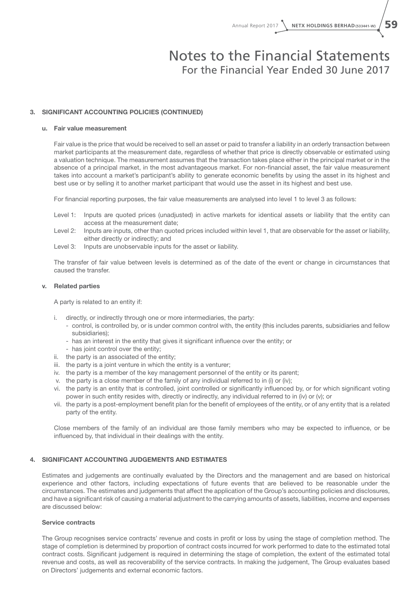#### 3. SIGNIFICANT ACCOUNTING POLICIES (CONTINUED)

#### u. Fair value measurement

Fair value is the price that would be received to sell an asset or paid to transfer a liability in an orderly transaction between market participants at the measurement date, regardless of whether that price is directly observable or estimated using a valuation technique. The measurement assumes that the transaction takes place either in the principal market or in the absence of a principal market, in the most advantageous market. For non-financial asset, the fair value measurement takes into account a market's participant's ability to generate economic benefits by using the asset in its highest and best use or by selling it to another market participant that would use the asset in its highest and best use.

For financial reporting purposes, the fair value measurements are analysed into level 1 to level 3 as follows:

- Level 1: Inputs are quoted prices (unadjusted) in active markets for identical assets or liability that the entity can access at the measurement date;
- Level 2: Inputs are inputs, other than quoted prices included within level 1, that are observable for the asset or liability, either directly or indirectly; and
- Level 3: Inputs are unobservable inputs for the asset or liability.

The transfer of fair value between levels is determined as of the date of the event or change in circumstances that caused the transfer.

#### v. Related parties

A party is related to an entity if:

- i. directly, or indirectly through one or more intermediaries, the party:
	- control, is controlled by, or is under common control with, the entity (this includes parents, subsidiaries and fellow subsidiaries);
	- has an interest in the entity that gives it significant influence over the entity; or
	- has joint control over the entity;
- ii. the party is an associated of the entity;
- iii. the party is a joint venture in which the entity is a venturer;
- iv. the party is a member of the key management personnel of the entity or its parent;
- v. the party is a close member of the family of any individual referred to in (i) or (iv);
- vi. the party is an entity that is controlled, joint controlled or significantly influenced by, or for which significant voting power in such entity resides with, directly or indirectly, any individual referred to in (iv) or (v); or
- vii. the party is a post-employment benefit plan for the benefit of employees of the entity, or of any entity that is a related party of the entity.

Close members of the family of an individual are those family members who may be expected to influence, or be influenced by, that individual in their dealings with the entity.

#### 4. SIGNIFICANT ACCOUNTING JUDGEMENTS AND ESTIMATES

Estimates and judgements are continually evaluated by the Directors and the management and are based on historical experience and other factors, including expectations of future events that are believed to be reasonable under the circumstances. The estimates and judgements that affect the application of the Group's accounting policies and disclosures, and have a significant risk of causing a material adjustment to the carrying amounts of assets, liabilities, income and expenses are discussed below:

#### Service contracts

The Group recognises service contracts' revenue and costs in profit or loss by using the stage of completion method. The stage of completion is determined by proportion of contract costs incurred for work performed to date to the estimated total contract costs. Significant judgement is required in determining the stage of completion, the extent of the estimated total revenue and costs, as well as recoverability of the service contracts. In making the judgement, The Group evaluates based on Directors' judgements and external economic factors.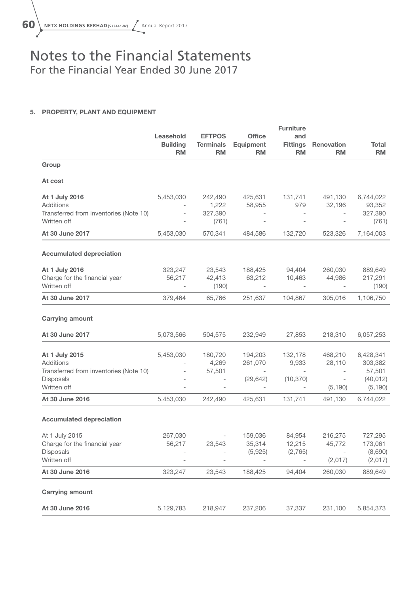### 5. PROPERTY, PLANT AND EQUIPMENT

|                                        |                              |                               |                          | <b>Furniture</b>             |                          |                      |
|----------------------------------------|------------------------------|-------------------------------|--------------------------|------------------------------|--------------------------|----------------------|
|                                        | Leasehold                    | <b>EFTPOS</b>                 | <b>Office</b>            | and                          |                          |                      |
|                                        | <b>Building</b><br><b>RM</b> | <b>Terminals</b><br><b>RM</b> | Equipment<br><b>RM</b>   | <b>Fittings</b><br><b>RM</b> | Renovation<br><b>RM</b>  | Total<br><b>RM</b>   |
| Group                                  |                              |                               |                          |                              |                          |                      |
| At cost                                |                              |                               |                          |                              |                          |                      |
| At 1 July 2016                         | 5,453,030                    | 242,490                       | 425,631                  | 131,741                      | 491,130                  | 6,744,022            |
| Additions                              |                              | 1,222                         | 58,955                   | 979                          | 32,196                   | 93,352               |
| Transferred from inventories (Note 10) |                              | 327,390                       |                          |                              |                          | 327,390              |
| Written off                            |                              | (761)                         |                          | $\bar{ }$                    | $\qquad \qquad -$        | (761)                |
| At 30 June 2017                        | 5,453,030                    | 570,341                       | 484,586                  | 132,720                      | 523,326                  | 7,164,003            |
| <b>Accumulated depreciation</b>        |                              |                               |                          |                              |                          |                      |
| At 1 July 2016                         | 323,247                      | 23,543                        | 188,425                  | 94,404                       | 260,030                  | 889,649              |
| Charge for the financial year          | 56,217                       | 42,413                        | 63,212                   | 10,463                       | 44,986                   | 217,291              |
| Written off                            | $\overline{\phantom{a}}$     | (190)                         | $\overline{\phantom{a}}$ | $\overline{\phantom{a}}$     | $\sim$                   | (190)                |
| At 30 June 2017                        | 379,464                      | 65,766                        | 251,637                  | 104,867                      | 305,016                  | 1,106,750            |
| <b>Carrying amount</b>                 |                              |                               |                          |                              |                          |                      |
| At 30 June 2017                        | 5,073,566                    | 504,575                       | 232,949                  | 27,853                       | 218,310                  | 6,057,253            |
|                                        | 5,453,030                    |                               |                          |                              |                          |                      |
| At 1 July 2015<br>Additions            | $\overline{\phantom{a}}$     | 180,720<br>4,269              | 194,203<br>261,070       | 132,178<br>9,933             | 468,210<br>28,110        | 6,428,341<br>303,382 |
| Transferred from inventories (Note 10) |                              | 57,501                        | $\sim$                   | $\overline{\phantom{a}}$     | $\overline{\phantom{a}}$ | 57,501               |
| Disposals                              |                              | $\overline{\phantom{a}}$      | (29, 642)                | (10, 370)                    | $\overline{\phantom{a}}$ | (40, 012)            |
| Written off                            |                              | $\qquad \qquad -$             | $\overline{\phantom{a}}$ | $\overline{\phantom{a}}$     | (5, 190)                 | (5, 190)             |
| At 30 June 2016                        | 5,453,030                    | 242,490                       | 425,631                  | 131,741                      | 491,130                  | 6,744,022            |
|                                        |                              |                               |                          |                              |                          |                      |
| <b>Accumulated depreciation</b>        |                              |                               |                          |                              |                          |                      |
| At 1 July 2015                         | 267,030                      | $\overline{\phantom{a}}$      | 159,036                  | 84,954                       | 216,275                  | 727,295              |
| Charge for the financial year          | 56,217                       | 23,543                        | 35,314                   | 12,215                       | 45,772                   | 173,061              |
| Disposals                              |                              |                               | (5,925)                  | (2,765)                      |                          | (8,690)              |
| Written off                            | $\overline{\phantom{0}}$     | $\overline{\phantom{a}}$      | $\overline{\phantom{a}}$ | $\bar{ }$                    | (2,017)                  | (2,017)              |
| At 30 June 2016                        | 323,247                      | 23,543                        | 188,425                  | 94,404                       | 260,030                  | 889,649              |
| <b>Carrying amount</b>                 |                              |                               |                          |                              |                          |                      |
| At 30 June 2016                        | 5,129,783                    | 218,947                       | 237,206                  | 37,337                       | 231,100                  | 5,854,373            |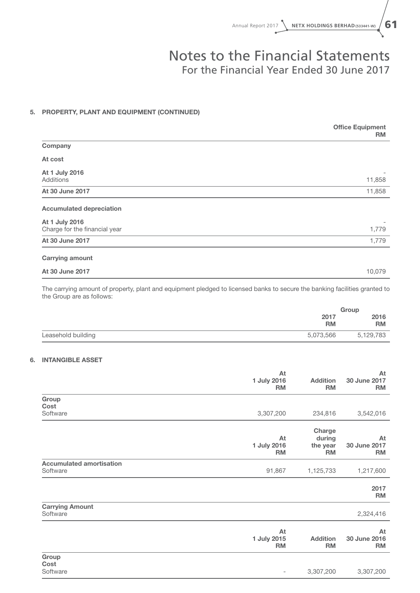### 5. PROPERTY, PLANT AND EQUIPMENT (CONTINUED)

|                                                 | <b>Office Equipment</b><br><b>RM</b> |
|-------------------------------------------------|--------------------------------------|
| Company                                         |                                      |
| At cost                                         |                                      |
| At 1 July 2016<br>Additions                     | 11,858                               |
| At 30 June 2017                                 | 11,858                               |
| <b>Accumulated depreciation</b>                 |                                      |
| At 1 July 2016<br>Charge for the financial year | 1,779                                |
| At 30 June 2017                                 | 1,779                                |
| <b>Carrying amount</b>                          |                                      |
| At 30 June 2017                                 | 10,079                               |

The carrying amount of property, plant and equipment pledged to licensed banks to secure the banking facilities granted to the Group are as follows:

|                                 | Group     |
|---------------------------------|-----------|
| 2017                            | 2016      |
| <b>RM</b>                       | <b>RM</b> |
| Leasehold building<br>5,073,566 | 5,129,783 |

#### 6. INTANGIBLE ASSET

|                                             | At<br>1 July 2016<br><b>RM</b> | <b>Addition</b><br><b>RM</b>              | At<br>30 June 2017<br><b>RM</b> |
|---------------------------------------------|--------------------------------|-------------------------------------------|---------------------------------|
| Group                                       |                                |                                           |                                 |
| Cost                                        |                                |                                           |                                 |
| Software                                    | 3,307,200                      | 234,816                                   | 3,542,016                       |
|                                             | At<br>1 July 2016<br><b>RM</b> | Charge<br>during<br>the year<br><b>RM</b> | At<br>30 June 2017<br><b>RM</b> |
| <b>Accumulated amortisation</b><br>Software | 91,867                         | 1,125,733                                 | 1,217,600                       |
|                                             |                                |                                           | 2017<br><b>RM</b>               |
| <b>Carrying Amount</b><br>Software          |                                |                                           | 2,324,416                       |
|                                             | At<br>1 July 2015<br><b>RM</b> | <b>Addition</b><br><b>RM</b>              | At<br>30 June 2016<br><b>RM</b> |
| Group<br>Cost<br>Software                   | $\overline{\phantom{a}}$       | 3,307,200                                 | 3,307,200                       |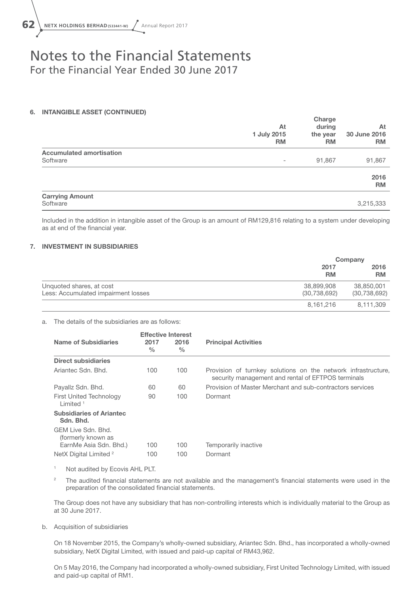

#### 6. INTANGIBLE ASSET (CONTINUED)

|                                             | At<br>1 July 2015<br><b>RM</b> | Charge<br>during<br>the year<br><b>RM</b> | At<br>30 June 2016<br><b>RM</b> |
|---------------------------------------------|--------------------------------|-------------------------------------------|---------------------------------|
| <b>Accumulated amortisation</b><br>Software | $\overline{\phantom{a}}$       | 91,867                                    | 91,867                          |
|                                             |                                |                                           | 2016<br><b>RM</b>               |
| <b>Carrying Amount</b><br>Software          |                                |                                           | 3,215,333                       |

Included in the addition in intangible asset of the Group is an amount of RM129,816 relating to a system under developing as at end of the financial year.

#### 7. INVESTMENT IN SUBSIDIARIES

|                                                                 |                              | Company                      |
|-----------------------------------------------------------------|------------------------------|------------------------------|
|                                                                 | 2017<br><b>RM</b>            | 2016<br><b>RM</b>            |
| Unquoted shares, at cost<br>Less: Accumulated impairment losses | 38,899,908<br>(30, 738, 692) | 38,850,001<br>(30, 738, 692) |
|                                                                 | 8,161,216                    | 8,111,309                    |

#### a. The details of the subsidiaries are as follows:

|                                              | <b>Effective Interest</b> |                       |                                                                                                                     |  |
|----------------------------------------------|---------------------------|-----------------------|---------------------------------------------------------------------------------------------------------------------|--|
| Name of Subsidiaries                         | 2017<br>$\frac{0}{0}$     | 2016<br>$\frac{0}{0}$ | <b>Principal Activities</b>                                                                                         |  |
| <b>Direct subsidiaries</b>                   |                           |                       |                                                                                                                     |  |
| Ariantec Sdn. Bhd.                           | 100                       | 100                   | Provision of turnkey solutions on the network infrastructure.<br>security management and rental of EFTPOS terminals |  |
| Payallz Sdn. Bhd.                            | 60                        | 60                    | Provision of Master Merchant and sub-contractors services                                                           |  |
| <b>First United Technology</b><br>I imited 1 | 90                        | 100                   | Dormant                                                                                                             |  |
| <b>Subsidiaries of Ariantec</b><br>Sdn. Bhd. |                           |                       |                                                                                                                     |  |
| GFM Live Sdn, Bhd.<br>(formerly known as     |                           |                       |                                                                                                                     |  |
| EarnMe Asia Sdn. Bhd.)                       | 100                       | 100                   | Temporarily inactive                                                                                                |  |
| NetX Digital Limited <sup>2</sup>            | 100                       | 100                   | Dormant                                                                                                             |  |

<sup>1</sup> Not audited by Ecovis AHL PLT.

<sup>2</sup> The audited financial statements are not available and the management's financial statements were used in the preparation of the consolidated financial statements.

The Group does not have any subsidiary that has non-controlling interests which is individually material to the Group as at 30 June 2017.

#### b. Acquisition of subsidiaries

On 18 November 2015, the Company's wholly-owned subsidiary, Ariantec Sdn. Bhd., has incorporated a wholly-owned subsidiary, NetX Digital Limited, with issued and paid-up capital of RM43,962.

On 5 May 2016, the Company had incorporated a wholly-owned subsidiary, First United Technology Limited, with issued and paid-up capital of RM1.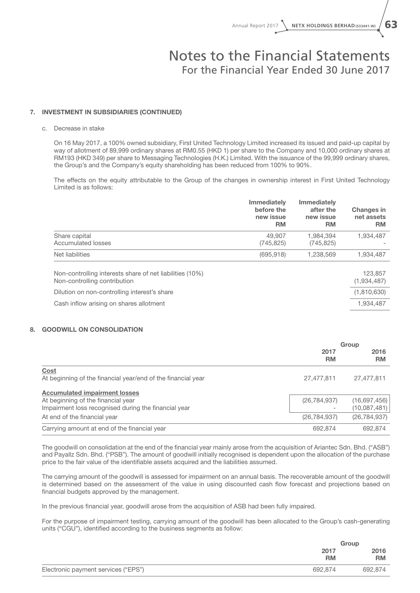#### 7. INVESTMENT IN SUBSIDIARIES (CONTINUED)

#### c. Decrease in stake

On 16 May 2017, a 100% owned subsidiary, First United Technology Limited increased its issued and paid-up capital by way of allotment of 89,999 ordinary shares at RM0.55 (HKD 1) per share to the Company and 10,000 ordinary shares at RM193 (HKD 349) per share to Messaging Technologies (H.K.) Limited. With the issuance of the 99,999 ordinary shares, the Group's and the Company's equity shareholding has been reduced from 100% to 90%.

The effects on the equity attributable to the Group of the changes in ownership interest in First United Technology Limited is as follows:

|                                                                                          | <b>Immediately</b><br>before the<br>new issue<br><b>RM</b> | <b>Immediately</b><br>after the<br>new issue<br><b>RM</b> | <b>Changes in</b><br>net assets<br><b>RM</b> |
|------------------------------------------------------------------------------------------|------------------------------------------------------------|-----------------------------------------------------------|----------------------------------------------|
| Share capital                                                                            | 49,907                                                     | 1.984.394                                                 | 1,934,487                                    |
| Accumulated losses                                                                       | (745, 825)                                                 | (745, 825)                                                |                                              |
| Net liabilities                                                                          | (695, 918)                                                 | 1,238,569                                                 | 1,934,487                                    |
| Non-controlling interests share of net liabilities (10%)<br>Non-controlling contribution |                                                            |                                                           | 123,857<br>(1,934,487)                       |
| Dilution on non-controlling interest's share                                             |                                                            |                                                           | (1,810,630)                                  |
| Cash inflow arising on shares allotment                                                  |                                                            |                                                           | 1,934,487                                    |

#### 8. GOODWILL ON CONSOLIDATION

|                                                              | Group             |                   |
|--------------------------------------------------------------|-------------------|-------------------|
|                                                              | 2017<br><b>RM</b> | 2016<br><b>RM</b> |
| Cost                                                         |                   |                   |
| At beginning of the financial year/end of the financial year | 27,477,811        | 27,477,811        |
| <b>Accumulated impairment losses</b>                         |                   |                   |
| At beginning of the financial year                           | (26, 784, 937)    | (16,697,456)      |
| Impairment loss recognised during the financial year         |                   | (10,087,481)      |
| At end of the financial year                                 | (26, 784, 937)    | (26, 784, 937)    |
| Carrying amount at end of the financial year                 | 692.874           | 692,874           |

The goodwill on consolidation at the end of the financial year mainly arose from the acquisition of Ariantec Sdn. Bhd. ("ASB") and Payallz Sdn. Bhd. ("PSB"). The amount of goodwill initially recognised is dependent upon the allocation of the purchase price to the fair value of the identifiable assets acquired and the liabilities assumed.

The carrying amount of the goodwill is assessed for impairment on an annual basis. The recoverable amount of the goodwill is determined based on the assessment of the value in using discounted cash flow forecast and projections based on financial budgets approved by the management.

In the previous financial year, goodwill arose from the acquisition of ASB had been fully impaired.

For the purpose of impairment testing, carrying amount of the goodwill has been allocated to the Group's cash-generating units ("CGU"), identified according to the business segments as follow:

|                                     |                   | Group             |
|-------------------------------------|-------------------|-------------------|
|                                     | 2017<br><b>RM</b> | 2016<br><b>RM</b> |
| Electronic payment services ("EPS") | 692,874           | 692,874           |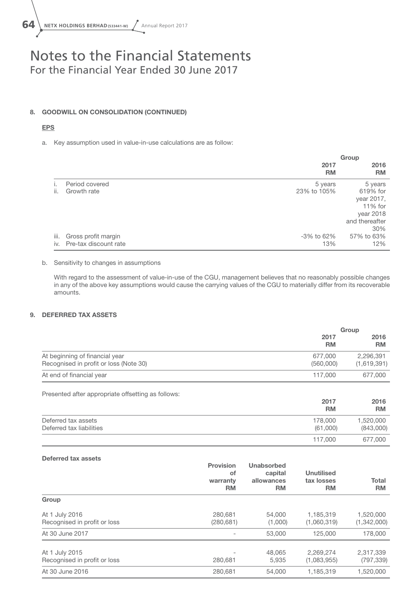

#### 8. GOODWILL ON CONSOLIDATION (CONTINUED)

#### EPS

a. Key assumption used in value-in-use calculations are as follow:

|      |                       |                   | Group             |
|------|-----------------------|-------------------|-------------------|
|      |                       | 2017<br><b>RM</b> | 2016<br><b>RM</b> |
|      | Period covered        | 5 years           | 5 years           |
| ii.  | Growth rate           | 23% to 105%       | 619% for          |
|      |                       |                   | year 2017,        |
|      |                       |                   | $11\%$ for        |
|      |                       |                   | year 2018         |
|      |                       |                   | and thereafter    |
|      |                       |                   | 30%               |
| iii. | Gross profit margin   | -3% to 62%        | 57% to 63%        |
| iv.  | Pre-tax discount rate | 13%               | 12%               |

#### b. Sensitivity to changes in assumptions

With regard to the assessment of value-in-use of the CGU, management believes that no reasonably possible changes in any of the above key assumptions would cause the carrying values of the CGU to materially differ from its recoverable amounts.

#### 9. DEFERRED TAX ASSETS

|                                                                          | Group                |                          |
|--------------------------------------------------------------------------|----------------------|--------------------------|
|                                                                          | 2017<br><b>RM</b>    | 2016<br><b>RM</b>        |
| At beginning of financial year<br>Recognised in profit or loss (Note 30) | 677.000<br>(560,000) | 2,296,391<br>(1,619,391) |
| At end of financial year                                                 | 117,000              | 677,000                  |
|                                                                          |                      |                          |

Presented after appropriate offsetting as follows:

|                          | 2017<br><b>RM</b> | 2016<br><b>RM</b> |
|--------------------------|-------------------|-------------------|
| Deferred tax assets      | 178,000           | 1,520,000         |
| Deferred tax liabilities | (61,000)          | (843,000)         |
|                          | 117,000           | 677,000           |

#### Deferred tax assets

|                                                | <b>Provision</b><br>οf<br>warranty<br><b>RM</b> | Unabsorbed<br>capital<br>allowances<br><b>RM</b> | <b>Unutilised</b><br>tax losses<br><b>RM</b> | Total<br><b>RM</b>       |
|------------------------------------------------|-------------------------------------------------|--------------------------------------------------|----------------------------------------------|--------------------------|
| Group                                          |                                                 |                                                  |                                              |                          |
| At 1 July 2016<br>Recognised in profit or loss | 280,681<br>(280, 681)                           | 54,000<br>(1,000)                                | 1.185.319<br>(1,060,319)                     | 1,520,000<br>(1,342,000) |
| At 30 June 2017                                | -                                               | 53,000                                           | 125,000                                      | 178,000                  |
| At 1 July 2015<br>Recognised in profit or loss | 280,681                                         | 48,065<br>5,935                                  | 2.269.274<br>(1,083,955)                     | 2,317,339<br>(797, 339)  |
| At 30 June 2016                                | 280,681                                         | 54,000                                           | 1,185,319                                    | 1,520,000                |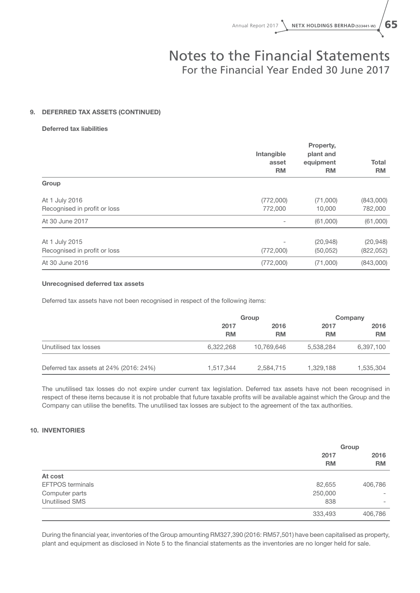#### 9. DEFERRED TAX ASSETS (CONTINUED)

#### Deferred tax liabilities

|                                                | Intangible<br>asset<br><b>RM</b> | Property,<br>plant and<br>equipment<br><b>RM</b> | <b>Total</b><br><b>RM</b> |
|------------------------------------------------|----------------------------------|--------------------------------------------------|---------------------------|
| Group                                          |                                  |                                                  |                           |
| At 1 July 2016<br>Recognised in profit or loss | (772,000)<br>772,000             | (71,000)<br>10,000                               | (843,000)<br>782,000      |
| At 30 June 2017                                |                                  | (61,000)                                         | (61,000)                  |
| At 1 July 2015<br>Recognised in profit or loss | (772,000)                        | (20, 948)<br>(50, 052)                           | (20, 948)<br>(822, 052)   |
| At 30 June 2016                                | (772,000)                        | (71,000)                                         | (843,000)                 |

#### Unrecognised deferred tax assets

Deferred tax assets have not been recognised in respect of the following items:

|                                        | Group             |                   |                   | Company           |  |
|----------------------------------------|-------------------|-------------------|-------------------|-------------------|--|
|                                        | 2017<br><b>RM</b> | 2016<br><b>RM</b> | 2017<br><b>RM</b> | 2016<br><b>RM</b> |  |
| Unutilised tax losses                  | 6,322,268         | 10,769,646        | 5,538,284         | 6,397,100         |  |
| Deferred tax assets at 24% (2016: 24%) | 1,517,344         | 2,584,715         | 1,329,188         | 1,535,304         |  |

The unutilised tax losses do not expire under current tax legislation. Deferred tax assets have not been recognised in respect of these items because it is not probable that future taxable profits will be available against which the Group and the Company can utilise the benefits. The unutilised tax losses are subject to the agreement of the tax authorities.

#### 10. INVENTORIES

|                         |         | Group                          |
|-------------------------|---------|--------------------------------|
|                         | 2017    | 2016<br><b>RM</b><br><b>RM</b> |
|                         |         |                                |
| At cost                 |         |                                |
| <b>EFTPOS</b> terminals | 82,655  | 406,786                        |
| Computer parts          | 250,000 | $\qquad \qquad$                |
| <b>Unutilised SMS</b>   | 838     | $\qquad \qquad$                |
|                         | 333,493 | 406,786                        |

During the financial year, inventories of the Group amounting RM327,390 (2016: RM57,501) have been capitalised as property, plant and equipment as disclosed in Note 5 to the financial statements as the inventories are no longer held for sale.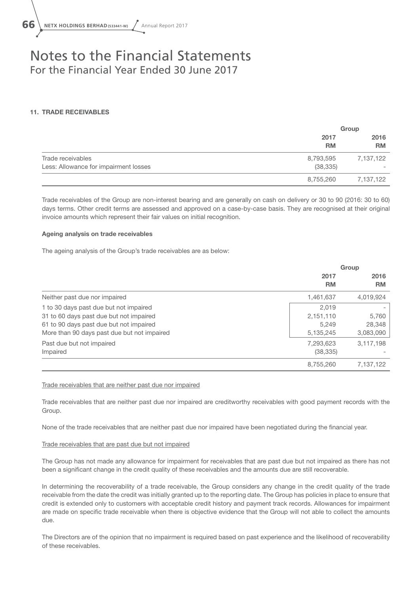

#### 11. TRADE RECEIVABLES

|                                       |                   | Group             |
|---------------------------------------|-------------------|-------------------|
|                                       | 2017<br><b>RM</b> | 2016<br><b>RM</b> |
| Trade receivables                     | 8,793,595         | 7,137,122         |
| Less: Allowance for impairment losses | (38, 335)         |                   |
|                                       | 8,755,260         | 7,137,122         |

Trade receivables of the Group are non-interest bearing and are generally on cash on delivery or 30 to 90 (2016: 30 to 60) days terms. Other credit terms are assessed and approved on a case-by-case basis. They are recognised at their original invoice amounts which represent their fair values on initial recognition.

#### Ageing analysis on trade receivables

The ageing analysis of the Group's trade receivables are as below:

|                                             | Group       |           |
|---------------------------------------------|-------------|-----------|
|                                             | 2017        | 2016      |
|                                             | <b>RM</b>   | <b>RM</b> |
| Neither past due nor impaired               | 1,461,637   | 4,019,924 |
| 1 to 30 days past due but not impaired      | 2.019       |           |
| 31 to 60 days past due but not impaired     | 2,151,110   | 5,760     |
| 61 to 90 days past due but not impaired     | 5.249       | 28,348    |
| More than 90 days past due but not impaired | 5, 135, 245 | 3,083,090 |
| Past due but not impaired                   | 7,293,623   | 3,117,198 |
| Impaired                                    | (38, 335)   |           |
|                                             | 8,755,260   | 7.137.122 |

Trade receivables that are neither past due nor impaired

Trade receivables that are neither past due nor impaired are creditworthy receivables with good payment records with the Group.

None of the trade receivables that are neither past due nor impaired have been negotiated during the financial year.

#### Trade receivables that are past due but not impaired

The Group has not made any allowance for impairment for receivables that are past due but not impaired as there has not been a significant change in the credit quality of these receivables and the amounts due are still recoverable.

In determining the recoverability of a trade receivable, the Group considers any change in the credit quality of the trade receivable from the date the credit was initially granted up to the reporting date. The Group has policies in place to ensure that credit is extended only to customers with acceptable credit history and payment track records. Allowances for impairment are made on specific trade receivable when there is objective evidence that the Group will not able to collect the amounts due.

The Directors are of the opinion that no impairment is required based on past experience and the likelihood of recoverability of these receivables.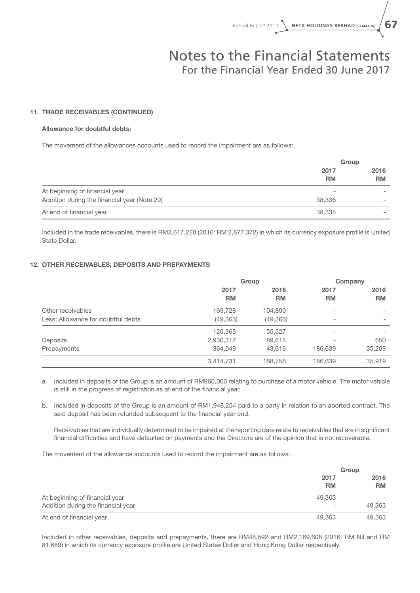#### 11. TRADE RECEIVABLES (CONTINUED)

#### Allowance for doubtful debts:

The movement of the allowances accounts used to record the impairment are as follows:

|                                              | Group             |           |
|----------------------------------------------|-------------------|-----------|
|                                              | 2017<br><b>RM</b> | 2016      |
|                                              |                   | <b>RM</b> |
| At beginning of financial year               | -                 |           |
| Addition during the financial year (Note 29) | 38,335            |           |
| At end of financial year                     | 38,335            |           |

Included in the trade receivables, there is RM3,617,220 (2016: RM 2,877,372) in which its currency exposure profile is United State Dollar.

#### 12. OTHER RECEIVABLES, DEPOSITS AND PREPAYMENTS

|                                    | Group     |           |                          | Company   |
|------------------------------------|-----------|-----------|--------------------------|-----------|
|                                    | 2017      | 2016      | 2017                     | 2016      |
|                                    | <b>RM</b> | <b>RM</b> | <b>RM</b>                | <b>RM</b> |
| Other receivables                  | 169,728   | 104,890   | ۰                        |           |
| Less: Allowance for doubtful debts | (49, 363) | (49, 363) | $\overline{\phantom{0}}$ | -         |
|                                    | 120,365   | 55,527    |                          |           |
| Deposits                           | 2,930,317 | 89,615    |                          | 650       |
| Prepayments                        | 364.049   | 43,616    | 186,639                  | 35,269    |
|                                    | 3,414,731 | 188,758   | 186,639                  | 35,919    |

a. Included in deposits of the Group is an amount of RM960,000 relating to purchase of a motor vehicle. The motor vehicle is still in the progress of registration as at end of the financial year.

b. Included in deposits of the Group is an amount of RM1,948,254 paid to a party in relation to an aborted contract. The said deposit has been refunded subsequent to the financial year end.

Receivables that are individually determined to be impaired at the reporting date relate to receivables that are in significant financial difficulties and have defaulted on payments and the Directors are of the opinion that is not recoverable.

The movement of the allowance accounts used to record the impairment are as follows:

|                                    |                   | Group             |
|------------------------------------|-------------------|-------------------|
|                                    | 2017<br><b>RM</b> | 2016<br><b>RM</b> |
| At beginning of financial year     | 49.363            |                   |
| Addition during the financial year | $\qquad \qquad$   | 49,363            |
| At end of financial year           | 49.363            | 49,363            |

Included in other receivables, deposits and prepayments, there are RM48,592 and RM2,169,608 (2016: RM Nil and RM 81,689) in which its currency exposure profile are United States Dollar and Hong Kong Dollar respectively.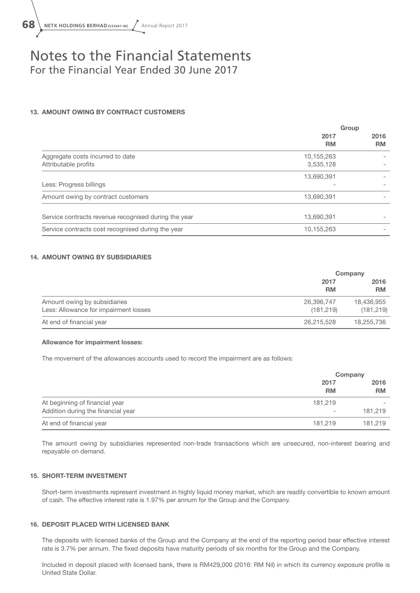

#### 13. AMOUNT OWING BY CONTRACT CUSTOMERS

|                                                          | Group                   |                   |
|----------------------------------------------------------|-------------------------|-------------------|
|                                                          | 2017<br><b>RM</b>       | 2016<br><b>RM</b> |
| Aggregate costs incurred to date<br>Attributable profits | 10,155,263<br>3,535,128 |                   |
|                                                          | 13,690,391              |                   |
| Less: Progress billings                                  |                         |                   |
| Amount owing by contract customers                       | 13,690,391              |                   |
| Service contracts revenue recognised during the year     | 13,690,391              |                   |
| Service contracts cost recognised during the year        | 10,155,263              |                   |

#### 14. AMOUNT OWING BY SUBSIDIARIES

|                                       |                   | Company           |
|---------------------------------------|-------------------|-------------------|
|                                       | 2017<br><b>RM</b> | 2016<br><b>RM</b> |
| Amount owing by subsidiaries          | 26,396,747        | 18,436,955        |
| Less: Allowance for impairment losses | (181, 219)        | (181, 219)        |
| At end of financial year              | 26,215,528        | 18,255,736        |

#### Allowance for impairment losses:

The movement of the allowances accounts used to record the impairment are as follows:

|                                    |                   | Company           |
|------------------------------------|-------------------|-------------------|
|                                    | 2017<br><b>RM</b> | 2016<br><b>RM</b> |
| At beginning of financial year     | 181.219           |                   |
| Addition during the financial year | $\qquad \qquad$   | 181.219           |
| At end of financial year           | 181.219           | 181,219           |

The amount owing by subsidiaries represented non-trade transactions which are unsecured, non-interest bearing and repayable on demand.

#### 15. SHORT-TERM INVESTMENT

Short-term investments represent investment in highly liquid money market, which are readily convertible to known amount of cash. The effective interest rate is 1.97% per annum for the Group and the Company.

#### 16. DEPOSIT PLACED WITH LICENSED BANK

The deposits with licensed banks of the Group and the Company at the end of the reporting period bear effective interest rate is 3.7% per annum. The fixed deposits have maturity periods of six months for the Group and the Company.

Included in deposit placed with licensed bank, there is RM429,000 (2016: RM Nil) in which its currency exposure profile is United State Dollar.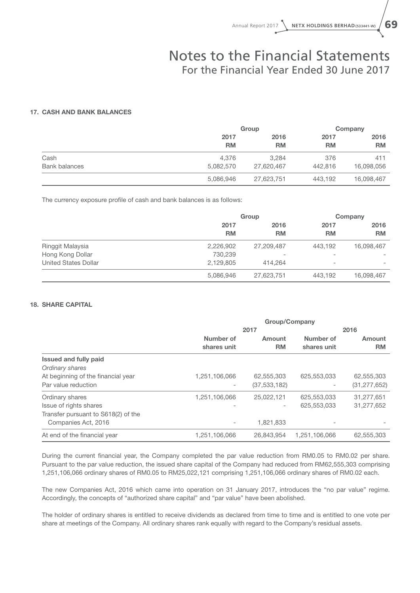#### 17. CASH AND BANK BALANCES

|                      |           | Group      |           | Company    |  |
|----------------------|-----------|------------|-----------|------------|--|
|                      | 2017      | 2016       | 2017      | 2016       |  |
|                      | <b>RM</b> | RM         | <b>RM</b> | <b>RM</b>  |  |
| Cash                 | 4.376     | 3.284      | 376       | 411        |  |
| <b>Bank balances</b> | 5,082,570 | 27,620,467 | 442,816   | 16,098,056 |  |
|                      | 5,086,946 | 27,623,751 | 443.192   | 16,098,467 |  |

The currency exposure profile of cash and bank balances is as follows:

|                             | Group     |                          |                          | Company                  |  |
|-----------------------------|-----------|--------------------------|--------------------------|--------------------------|--|
|                             | 2017      | 2016                     | 2017                     | 2016                     |  |
|                             | <b>RM</b> | <b>RM</b>                | <b>RM</b>                | <b>RM</b>                |  |
| Ringgit Malaysia            | 2,226,902 | 27,209,487               | 443.192                  | 16,098,467               |  |
| Hong Kong Dollar            | 730,239   | $\overline{\phantom{0}}$ | $\overline{\phantom{a}}$ |                          |  |
| <b>United States Dollar</b> | 2,129,805 | 414.264                  | $\overline{\phantom{0}}$ | $\overline{\phantom{a}}$ |  |
|                             | 5,086,946 | 27,623,751               | 443.192                  | 16,098,467               |  |

#### 18. SHARE CAPITAL

|                                     | Group/Company            |                          |                          |                     |  |
|-------------------------------------|--------------------------|--------------------------|--------------------------|---------------------|--|
|                                     | 2017                     |                          |                          | 2016                |  |
|                                     | Number of<br>shares unit | Amount<br><b>RM</b>      | Number of<br>shares unit | Amount<br><b>RM</b> |  |
| <b>Issued and fully paid</b>        |                          |                          |                          |                     |  |
| Ordinary shares                     |                          |                          |                          |                     |  |
| At beginning of the financial year  | 1,251,106,066            | 62,555,303               | 625,553,033              | 62,555,303          |  |
| Par value reduction                 |                          | (37, 533, 182)           |                          | (31, 277, 652)      |  |
| Ordinary shares                     | 1,251,106,066            | 25.022.121               | 625,553,033              | 31,277,651          |  |
| Issue of rights shares              |                          | $\overline{\phantom{a}}$ | 625,553,033              | 31,277,652          |  |
| Transfer pursuant to S618(2) of the |                          |                          |                          |                     |  |
| Companies Act, 2016                 |                          | 1,821,833                |                          |                     |  |
| At end of the financial year        | 1,251,106,066            | 26,843,954               | 1,251,106,066            | 62,555,303          |  |

During the current financial year, the Company completed the par value reduction from RM0.05 to RM0.02 per share. Pursuant to the par value reduction, the issued share capital of the Company had reduced from RM62,555,303 comprising 1,251,106,066 ordinary shares of RM0.05 to RM25,022,121 comprising 1,251,106,066 ordinary shares of RM0.02 each.

The new Companies Act, 2016 which came into operation on 31 January 2017, introduces the "no par value" regime. Accordingly, the concepts of "authorized share capital" and "par value" have been abolished.

The holder of ordinary shares is entitled to receive dividends as declared from time to time and is entitled to one vote per share at meetings of the Company. All ordinary shares rank equally with regard to the Company's residual assets.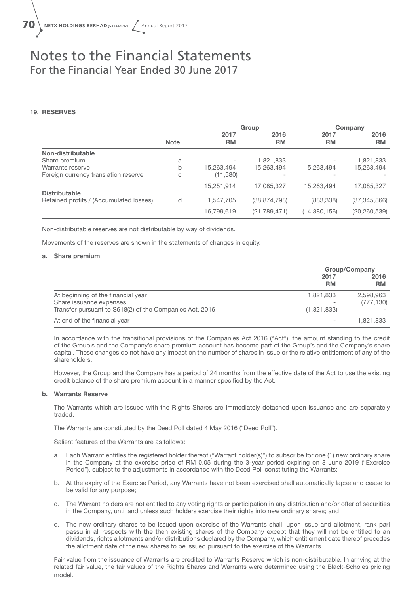#### 19. RESERVES

|                                         |             | Group      |                          | Company        |                |
|-----------------------------------------|-------------|------------|--------------------------|----------------|----------------|
|                                         |             | 2017       | 2016                     | 2017           | 2016           |
|                                         | <b>Note</b> | RM         | <b>RM</b>                | <b>RM</b>      | <b>RM</b>      |
| Non-distributable                       |             |            |                          |                |                |
| Share premium                           | a           |            | 1,821,833                |                | 1,821,833      |
| Warrants reserve                        | b           | 15,263,494 | 15,263,494               | 15,263,494     | 15,263,494     |
| Foreign currency translation reserve    | С           | (11,580)   | $\overline{\phantom{a}}$ |                |                |
|                                         |             | 15,251,914 | 17,085,327               | 15,263,494     | 17,085,327     |
| <b>Distributable</b>                    |             |            |                          |                |                |
| Retained profits / (Accumulated losses) | d           | 1,547,705  | (38, 874, 798)           | (883, 338)     | (37, 345, 866) |
|                                         |             | 16,799,619 | (21, 789, 471)           | (14, 380, 156) | (20, 260, 539) |

Non-distributable reserves are not distributable by way of dividends.

Movements of the reserves are shown in the statements of changes in equity.

#### a. Share premium

|                                                         | <b>Group/Company</b>     |                   |
|---------------------------------------------------------|--------------------------|-------------------|
|                                                         | 2017<br><b>RM</b>        | 2016<br><b>RM</b> |
| At beginning of the financial year                      | 1,821,833                | 2,598,963         |
| Share issuance expenses                                 |                          | (777, 130)        |
| Transfer pursuant to S618(2) of the Companies Act, 2016 | (1,821,833)              |                   |
| At end of the financial year                            | $\overline{\phantom{0}}$ | 1.821.833         |

In accordance with the transitional provisions of the Companies Act 2016 ("Act"), the amount standing to the credit of the Group's and the Company's share premium account has become part of the Group's and the Company's share capital. These changes do not have any impact on the number of shares in issue or the relative entitlement of any of the shareholders.

However, the Group and the Company has a period of 24 months from the effective date of the Act to use the existing credit balance of the share premium account in a manner specified by the Act.

#### b. Warrants Reserve

The Warrants which are issued with the Rights Shares are immediately detached upon issuance and are separately traded.

The Warrants are constituted by the Deed Poll dated 4 May 2016 ("Deed Poll").

Salient features of the Warrants are as follows:

- a. Each Warrant entitles the registered holder thereof ("Warrant holder(s)") to subscribe for one (1) new ordinary share in the Company at the exercise price of RM 0.05 during the 3-year period expiring on 8 June 2019 ("Exercise Period"), subject to the adjustments in accordance with the Deed Poll constituting the Warrants;
- b. At the expiry of the Exercise Period, any Warrants have not been exercised shall automatically lapse and cease to be valid for any purpose;
- c. The Warrant holders are not entitled to any voting rights or participation in any distribution and/or offer of securities in the Company, until and unless such holders exercise their rights into new ordinary shares; and
- d. The new ordinary shares to be issued upon exercise of the Warrants shall, upon issue and allotment, rank pari passu in all respects with the then existing shares of the Company except that they will not be entitled to an dividends, rights allotments and/or distributions declared by the Company, which entitlement date thereof precedes the allotment date of the new shares to be issued pursuant to the exercise of the Warrants.

Fair value from the issuance of Warrants are credited to Warrants Reserve which is non-distributable. In arriving at the related fair value, the fair values of the Rights Shares and Warrants were determined using the Black-Scholes pricing model.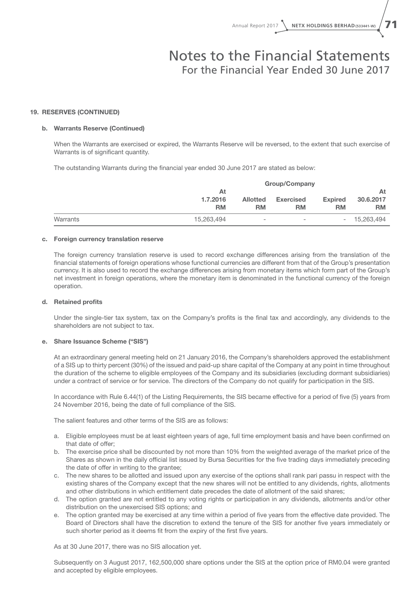#### 19. RESERVES (CONTINUED)

#### b. Warrants Reserve (Continued)

When the Warrants are exercised or expired, the Warrants Reserve will be reversed, to the extent that such exercise of Warrants is of significant quantity.

The outstanding Warrants during the financial year ended 30 June 2017 are stated as below:

|          |            | <b>Group/Company</b>     |                          |                          |            |
|----------|------------|--------------------------|--------------------------|--------------------------|------------|
|          | At         |                          |                          |                          | At         |
|          | 1.7.2016   | <b>Allotted</b>          | <b>Exercised</b>         | <b>Expired</b>           | 30.6.2017  |
|          | <b>RM</b>  | <b>RM</b>                | <b>RM</b>                | <b>RM</b>                | <b>RM</b>  |
| Warrants | 15.263.494 | $\overline{\phantom{0}}$ | $\overline{\phantom{a}}$ | $\overline{\phantom{0}}$ | 15.263.494 |

#### c. Foreign currency translation reserve

The foreign currency translation reserve is used to record exchange differences arising from the translation of the financial statements of foreign operations whose functional currencies are different from that of the Group's presentation currency. It is also used to record the exchange differences arising from monetary items which form part of the Group's net investment in foreign operations, where the monetary item is denominated in the functional currency of the foreign operation.

#### d. Retained profits

Under the single-tier tax system, tax on the Company's profits is the final tax and accordingly, any dividends to the shareholders are not subject to tax.

#### e. Share Issuance Scheme ("SIS")

At an extraordinary general meeting held on 21 January 2016, the Company's shareholders approved the establishment of a SIS up to thirty percent (30%) of the issued and paid-up share capital of the Company at any point in time throughout the duration of the scheme to eligible employees of the Company and its subsidiaries (excluding dormant subsidiaries) under a contract of service or for service. The directors of the Company do not qualify for participation in the SIS.

In accordance with Rule 6.44(1) of the Listing Requirements, the SIS became effective for a period of five (5) years from 24 November 2016, being the date of full compliance of the SIS.

The salient features and other terms of the SIS are as follows:

- a. Eligible employees must be at least eighteen years of age, full time employment basis and have been confirmed on that date of offer;
- b. The exercise price shall be discounted by not more than 10% from the weighted average of the market price of the Shares as shown in the daily official list issued by Bursa Securities for the five trading days immediately preceding the date of offer in writing to the grantee;
- c. The new shares to be allotted and issued upon any exercise of the options shall rank pari passu in respect with the existing shares of the Company except that the new shares will not be entitled to any dividends, rights, allotments and other distributions in which entitlement date precedes the date of allotment of the said shares;
- d. The option granted are not entitled to any voting rights or participation in any dividends, allotments and/or other distribution on the unexercised SIS options; and
- e. The option granted may be exercised at any time within a period of five years from the effective date provided. The Board of Directors shall have the discretion to extend the tenure of the SIS for another five years immediately or such shorter period as it deems fit from the expiry of the first five years.

As at 30 June 2017, there was no SIS allocation yet.

Subsequently on 3 August 2017, 162,500,000 share options under the SIS at the option price of RM0.04 were granted and accepted by eligible employees.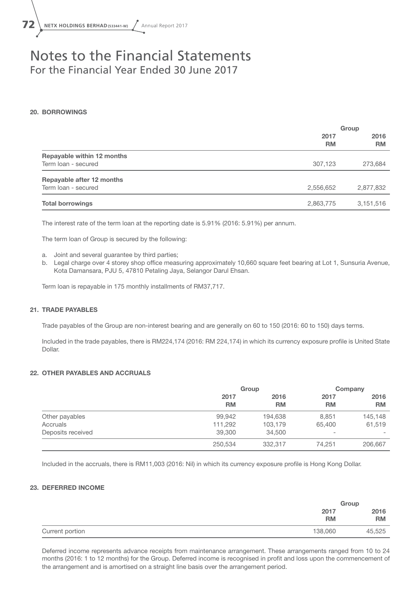

#### 20. BORROWINGS

|                            | Group             |                   |
|----------------------------|-------------------|-------------------|
|                            | 2017<br><b>RM</b> | 2016<br><b>RM</b> |
| Repayable within 12 months |                   |                   |
| Term loan - secured        | 307,123           | 273,684           |
| Repayable after 12 months  |                   |                   |
| Term loan - secured        | 2,556,652         | 2,877,832         |
| <b>Total borrowings</b>    | 2,863,775         | 3,151,516         |

The interest rate of the term loan at the reporting date is 5.91% (2016: 5.91%) per annum.

The term loan of Group is secured by the following:

- a. Joint and several guarantee by third parties;
- b. Legal charge over 4 storey shop office measuring approximately 10,660 square feet bearing at Lot 1, Sunsuria Avenue, Kota Damansara, PJU 5, 47810 Petaling Jaya, Selangor Darul Ehsan.

Term loan is repayable in 175 monthly installments of RM37,717.

#### 21. TRADE PAYABLES

Trade payables of the Group are non-interest bearing and are generally on 60 to 150 (2016: 60 to 150) days terms.

Included in the trade payables, there is RM224,174 (2016: RM 224,174) in which its currency exposure profile is United State Dollar.

#### 22. OTHER PAYABLES AND ACCRUALS

|                   | Group             |                   |                          | Company           |  |
|-------------------|-------------------|-------------------|--------------------------|-------------------|--|
|                   | 2017<br><b>RM</b> | 2016<br><b>RM</b> | 2017<br><b>RM</b>        | 2016<br><b>RM</b> |  |
| Other payables    | 99,942            | 194,638           | 8,851                    | 145,148           |  |
| Accruals          | 111,292           | 103,179           | 65.400                   | 61,519            |  |
| Deposits received | 39,300            | 34,500            | $\overline{\phantom{0}}$ |                   |  |
|                   | 250,534           | 332,317           | 74,251                   | 206,667           |  |

Included in the accruals, there is RM11,003 (2016: Nil) in which its currency exposure profile is Hong Kong Dollar.

#### 23. DEFERRED INCOME

|                 |                   | Group             |
|-----------------|-------------------|-------------------|
|                 | 2017<br><b>RM</b> | 2016<br><b>RM</b> |
| Current portion | 138,060           | 45,525            |

Deferred income represents advance receipts from maintenance arrangement. These arrangements ranged from 10 to 24 months (2016: 1 to 12 months) for the Group. Deferred income is recognised in profit and loss upon the commencement of the arrangement and is amortised on a straight line basis over the arrangement period.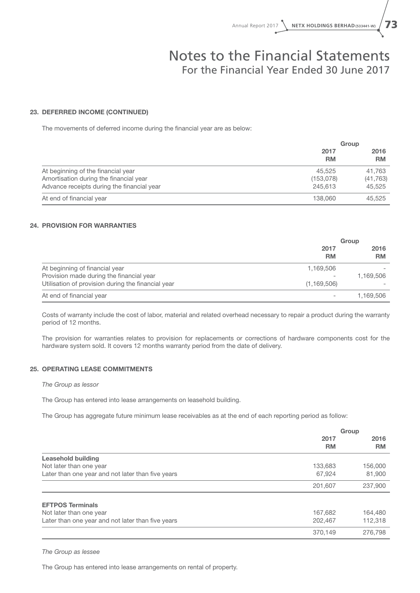#### 23. DEFERRED INCOME (CONTINUED)

The movements of deferred income during the financial year are as below:

|                                            |           | Group     |
|--------------------------------------------|-----------|-----------|
|                                            | 2017      | 2016      |
|                                            | <b>RM</b> | <b>RM</b> |
| At beginning of the financial year         | 45.525    | 41.763    |
| Amortisation during the financial year     | (153,078) | (41, 763) |
| Advance receipts during the financial year | 245,613   | 45.525    |
| At end of financial year                   | 138,060   | 45.525    |

#### 24. PROVISION FOR WARRANTIES

|                                                    | Group             |                   |
|----------------------------------------------------|-------------------|-------------------|
|                                                    | 2017<br><b>RM</b> | 2016<br><b>RM</b> |
| At beginning of financial year                     | 1,169,506         |                   |
| Provision made during the financial year           |                   | 1,169,506         |
| Utilisation of provision during the financial year | (1, 169, 506)     |                   |
| At end of financial year                           |                   | 1,169,506         |

Costs of warranty include the cost of labor, material and related overhead necessary to repair a product during the warranty period of 12 months.

The provision for warranties relates to provision for replacements or corrections of hardware components cost for the hardware system sold. It covers 12 months warranty period from the date of delivery.

#### 25. OPERATING LEASE COMMITMENTS

*The Group as lessor*

The Group has entered into lease arrangements on leasehold building.

The Group has aggregate future minimum lease receivables as at the end of each reporting period as follow:

|                                                   | Group             |                   |
|---------------------------------------------------|-------------------|-------------------|
|                                                   | 2017<br><b>RM</b> | 2016<br><b>RM</b> |
| <b>Leasehold building</b>                         |                   |                   |
| Not later than one year                           | 133,683           | 156,000           |
| Later than one year and not later than five years | 67.924            | 81,900            |
|                                                   | 201,607           | 237,900           |
| <b>EFTPOS Terminals</b>                           |                   |                   |
| Not later than one year                           | 167,682           | 164,480           |
| Later than one year and not later than five years | 202,467           | 112.318           |
|                                                   | 370,149           | 276,798           |

*The Group as lessee*

The Group has entered into lease arrangements on rental of property.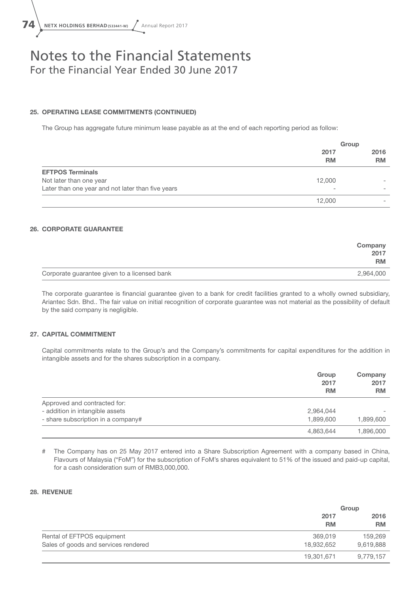#### 25. OPERATING LEASE COMMITMENTS (CONTINUED)

The Group has aggregate future minimum lease payable as at the end of each reporting period as follow:

|                                                   |                          | Group             |
|---------------------------------------------------|--------------------------|-------------------|
|                                                   | 2017<br><b>RM</b>        | 2016<br><b>RM</b> |
| <b>EFTPOS Terminals</b>                           |                          |                   |
| Not later than one year                           | 12,000                   |                   |
| Later than one year and not later than five years | $\overline{\phantom{a}}$ |                   |
|                                                   | 12,000                   |                   |

#### 26. CORPORATE GUARANTEE

|                                              | Company<br>2017<br><b>RM</b> |
|----------------------------------------------|------------------------------|
| Corporate guarantee given to a licensed bank | 2,964,000                    |

The corporate guarantee is financial guarantee given to a bank for credit facilities granted to a wholly owned subsidiary, Ariantec Sdn. Bhd.. The fair value on initial recognition of corporate guarantee was not material as the possibility of default by the said company is negligible.

#### 27. CAPITAL COMMITMENT

Capital commitments relate to the Group's and the Company's commitments for capital expenditures for the addition in intangible assets and for the shares subscription in a company.

|                                    | Group<br>2017<br><b>RM</b> | Company<br>2017<br><b>RM</b> |
|------------------------------------|----------------------------|------------------------------|
| Approved and contracted for:       |                            |                              |
| - addition in intangible assets    | 2,964,044                  |                              |
| - share subscription in a company# | 1,899,600                  | 1,899,600                    |
|                                    | 4,863,644                  | 1.896.000                    |

# The Company has on 25 May 2017 entered into a Share Subscription Agreement with a company based in China, Flavours of Malaysia ("FoM") for the subscription of FoM's shares equivalent to 51% of the issued and paid-up capital, for a cash consideration sum of RMB3,000,000.

#### 28. REVENUE

|                                      | Group             |                   |  |
|--------------------------------------|-------------------|-------------------|--|
|                                      | 2017<br><b>RM</b> | 2016<br><b>RM</b> |  |
| Rental of EFTPOS equipment           | 369,019           | 159,269           |  |
| Sales of goods and services rendered | 18,932,652        | 9,619,888         |  |
|                                      | 19,301,671        | 9,779,157         |  |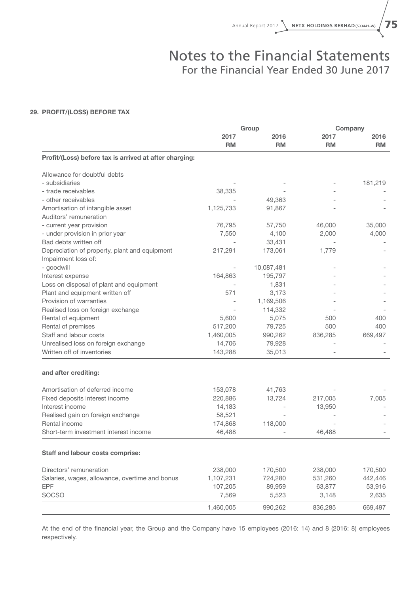#### 29. PROFIT/(LOSS) BEFORE TAX

|                                                        | Group     |            | Company   |           |
|--------------------------------------------------------|-----------|------------|-----------|-----------|
|                                                        | 2017      | 2016       | 2017      | 2016      |
|                                                        | <b>RM</b> | <b>RM</b>  | <b>RM</b> | <b>RM</b> |
| Profit/(Loss) before tax is arrived at after charging: |           |            |           |           |
| Allowance for doubtful debts                           |           |            |           |           |
| - subsidiaries                                         |           |            |           | 181,219   |
| - trade receivables                                    | 38,335    |            |           |           |
| - other receivables                                    |           | 49,363     |           |           |
| Amortisation of intangible asset                       | 1,125,733 | 91,867     |           |           |
| Auditors' remuneration                                 |           |            |           |           |
| - current year provision                               | 76,795    | 57,750     | 46,000    | 35,000    |
| - under provision in prior year                        | 7,550     | 4,100      | 2,000     | 4,000     |
| Bad debts written off                                  |           | 33,431     |           |           |
| Depreciation of property, plant and equipment          | 217,291   | 173,061    | 1,779     |           |
| Impairment loss of:                                    |           |            |           |           |
| - goodwill                                             |           | 10,087,481 |           |           |
| Interest expense                                       | 164,863   | 195,797    |           |           |
| Loss on disposal of plant and equipment                |           | 1,831      |           |           |
| Plant and equipment written off                        | 571       | 3,173      |           |           |
| Provision of warranties                                |           | 1,169,506  |           |           |
| Realised loss on foreign exchange                      |           | 114,332    |           |           |
| Rental of equipment                                    | 5.600     | 5,075      | 500       | 400       |
| Rental of premises                                     | 517,200   | 79,725     | 500       | 400       |
| Staff and labour costs                                 | 1,460,005 | 990,262    | 836,285   | 669,497   |
| Unrealised loss on foreign exchange                    | 14,706    | 79,928     |           |           |
| Written off of inventories                             | 143,288   | 35,013     |           |           |
| and after crediting:                                   |           |            |           |           |
| Amortisation of deferred income                        | 153,078   | 41,763     |           |           |
| Fixed deposits interest income                         | 220,886   | 13,724     | 217,005   | 7,005     |
| Interest income                                        | 14,183    |            | 13,950    |           |
| Realised gain on foreign exchange                      | 58,521    |            |           |           |
| Rental income                                          | 174,868   | 118,000    |           |           |
| Short-term investment interest income                  | 46,488    |            | 46,488    |           |
|                                                        |           |            |           |           |
| Staff and labour costs comprise:                       |           |            |           |           |
| Directors' remuneration                                | 238,000   | 170,500    | 238,000   | 170,500   |
| Salaries, wages, allowance, overtime and bonus         | 1,107,231 | 724,280    | 531,260   | 442,446   |
| EPF                                                    | 107,205   | 89,959     | 63,877    | 53,916    |
| SOCSO                                                  | 7,569     | 5,523      | 3,148     | 2,635     |
|                                                        | 1,460,005 | 990,262    | 836,285   | 669,497   |

At the end of the financial year, the Group and the Company have 15 employees (2016: 14) and 8 (2016: 8) employees respectively.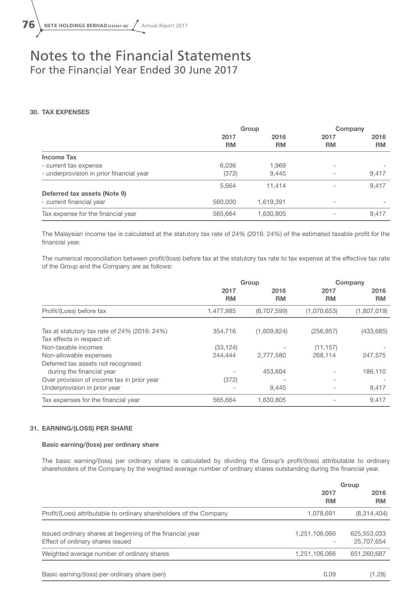#### 30. TAX EXPENSES

|                                          | Group     |           | Company                  |           |
|------------------------------------------|-----------|-----------|--------------------------|-----------|
|                                          | 2017      | 2016      | 2017                     | 2016      |
|                                          | <b>RM</b> | <b>RM</b> | <b>RM</b>                | <b>RM</b> |
| <b>Income Tax</b>                        |           |           |                          |           |
| - current tax expense                    | 6,036     | 1,969     |                          |           |
| - underprovision in prior financial year | (372)     | 9.445     | ۰                        | 9,417     |
|                                          | 5,664     | 11.414    | $\overline{\phantom{0}}$ | 9,417     |
| Deferred tax assets (Note 9)             |           |           |                          |           |
| - current financial year                 | 560,000   | 1,619,391 | ۰                        |           |
| Tax expense for the financial year       | 565,664   | 1,630,805 | $\overline{\phantom{0}}$ | 9,417     |

The Malaysian income tax is calculated at the statutory tax rate of 24% (2016: 24%) of the estimated taxable profit for the financial year.

The numerical reconciliation between profit/(loss) before tax at the statutory tax rate to tax expense at the effective tax rate of the Group and the Company are as follows:

|                                                 | Group     |             |             | Company     |
|-------------------------------------------------|-----------|-------------|-------------|-------------|
|                                                 | 2017      | 2016        | 2017        | 2016        |
|                                                 | <b>RM</b> | <b>RM</b>   | <b>RM</b>   | <b>RM</b>   |
| Profit/(Loss) before tax                        | 1,477,985 | (6,707,599) | (1,070,653) | (1,807,019) |
|                                                 |           |             |             |             |
| Tax at statutory tax rate of $24\%$ (2016: 24%) | 354.716   | (1,609,824) | (256, 957)  | (433, 685)  |
| Tax effects in respect of:                      |           |             |             |             |
| Non-taxable incomes                             | (33, 124) |             | (11, 157)   |             |
| Non-allowable expenses                          | 244.444   | 2,777,580   | 268.114     | 247,575     |
| Deferred tax assets not recognised              |           |             |             |             |
| during the financial year                       |           | 453.604     |             | 186,110     |
| Over provision of income tax in prior year      | (372)     |             |             |             |
| Underprovision in prior year                    |           | 9,445       |             | 9,417       |
| Tax expenses for the financial year             | 565,664   | 1,630,805   |             | 9,417       |

#### 31. EARNING/(LOSS) PER SHARE

#### Basic earning/(loss) per ordinary share

The basic earning/(loss) per ordinary share is calculated by dividing the Group's profit/(loss) attributable to ordinary shareholders of the Company by the weighted average number of ordinary shares outstanding during the financial year.

|                                                                                               | Group         |                           |
|-----------------------------------------------------------------------------------------------|---------------|---------------------------|
|                                                                                               | 2017<br>RM    | 2016<br><b>RM</b>         |
| Profit/(Loss) attributable to ordinary shareholders of the Company                            | 1,078,691     | (8,314,404)               |
| Issued ordinary shares at beginning of the financial year<br>Effect of ordinary shares issued | 1,251,106,066 | 625,553,033<br>25,707,654 |
| Weighted average number of ordinary shares                                                    | 1,251,106,066 | 651,260,687               |
| Basic earning/(loss) per ordinary share (sen)                                                 | 0.09          | (1.28)                    |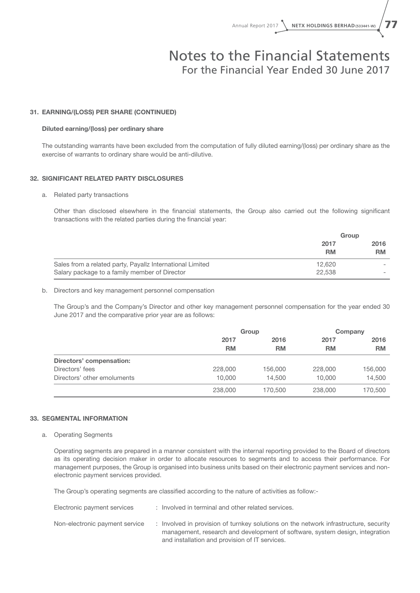#### 31. EARNING/(LOSS) PER SHARE (CONTINUED)

#### Diluted earning/(loss) per ordinary share

The outstanding warrants have been excluded from the computation of fully diluted earning/(loss) per ordinary share as the exercise of warrants to ordinary share would be anti-dilutive.

#### 32. SIGNIFICANT RELATED PARTY DISCLOSURES

#### a. Related party transactions

Other than disclosed elsewhere in the financial statements, the Group also carried out the following significant transactions with the related parties during the financial year:

|                                                           | Group     |           |
|-----------------------------------------------------------|-----------|-----------|
|                                                           | 2017      | 2016      |
|                                                           | <b>RM</b> | <b>RM</b> |
| Sales from a related party, Payallz International Limited | 12.620    |           |
| Salary package to a family member of Director             | 22,538    |           |

#### b. Directors and key management personnel compensation

The Group's and the Company's Director and other key management personnel compensation for the year ended 30 June 2017 and the comparative prior year are as follows:

|                             | Group             |                   |                   | Company           |
|-----------------------------|-------------------|-------------------|-------------------|-------------------|
|                             | 2017<br><b>RM</b> | 2016<br><b>RM</b> | 2017<br><b>RM</b> | 2016<br><b>RM</b> |
| Directors' compensation:    |                   |                   |                   |                   |
| Directors' fees             | 228,000           | 156,000           | 228,000           | 156,000           |
| Directors' other emoluments | 10,000            | 14.500            | 10,000            | 14,500            |
|                             | 238,000           | 170,500           | 238,000           | 170,500           |

#### 33. SEGMENTAL INFORMATION

#### a. Operating Segments

Operating segments are prepared in a manner consistent with the internal reporting provided to the Board of directors as its operating decision maker in order to allocate resources to segments and to access their performance. For management purposes, the Group is organised into business units based on their electronic payment services and nonelectronic payment services provided.

The Group's operating segments are classified according to the nature of activities as follow:-

| Electronic payment services    | : Involved in terminal and other related services.                                                                                                                                                                   |
|--------------------------------|----------------------------------------------------------------------------------------------------------------------------------------------------------------------------------------------------------------------|
| Non-electronic payment service | Involved in provision of turnkey solutions on the network infrastructure, security<br>management, research and development of software, system design, integration<br>and installation and provision of IT services. |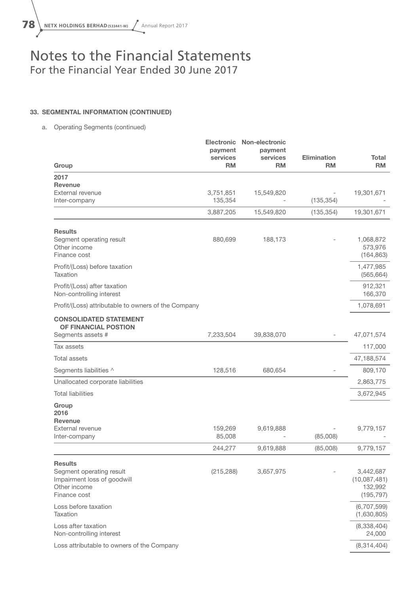

#### 33. SEGMENTAL INFORMATION (CONTINUED)

a. Operating Segments (continued)

| Group                                                                                                     | <b>Electronic</b><br>payment<br>services<br><b>RM</b> | Non-electronic<br>payment<br>services<br><b>RM</b> | <b>Elimination</b><br><b>RM</b> | Total<br><b>RM</b>                                 |
|-----------------------------------------------------------------------------------------------------------|-------------------------------------------------------|----------------------------------------------------|---------------------------------|----------------------------------------------------|
| 2017                                                                                                      |                                                       |                                                    |                                 |                                                    |
| <b>Revenue</b>                                                                                            |                                                       |                                                    |                                 |                                                    |
| External revenue<br>Inter-company                                                                         | 3,751,851<br>135,354                                  | 15,549,820                                         | (135, 354)                      | 19,301,671                                         |
|                                                                                                           | 3,887,205                                             | 15,549,820                                         | (135, 354)                      | 19,301,671                                         |
|                                                                                                           |                                                       |                                                    |                                 |                                                    |
| <b>Results</b><br>Segment operating result<br>Other income<br>Finance cost                                | 880,699                                               | 188,173                                            |                                 | 1,068,872<br>573,976<br>(164, 863)                 |
| Profit/(Loss) before taxation<br>Taxation                                                                 |                                                       |                                                    |                                 | 1,477,985<br>(565, 664)                            |
| Profit/(Loss) after taxation<br>Non-controlling interest                                                  |                                                       |                                                    |                                 | 912,321<br>166,370                                 |
| Profit/(Loss) attributable to owners of the Company                                                       |                                                       |                                                    |                                 | 1,078,691                                          |
| <b>CONSOLIDATED STATEMENT</b><br>OF FINANCIAL POSTION                                                     |                                                       |                                                    |                                 |                                                    |
| Segments assets #                                                                                         | 7,233,504                                             | 39,838,070                                         |                                 | 47,071,574                                         |
| Tax assets                                                                                                |                                                       |                                                    |                                 | 117,000                                            |
| <b>Total assets</b>                                                                                       |                                                       |                                                    |                                 | 47,188,574                                         |
| Segments liabilities ^                                                                                    | 128,516                                               | 680,654                                            |                                 | 809,170                                            |
| Unallocated corporate liabilities                                                                         |                                                       |                                                    |                                 | 2,863,775                                          |
| <b>Total liabilities</b>                                                                                  |                                                       |                                                    |                                 | 3,672,945                                          |
| Group<br>2016<br>Revenue                                                                                  |                                                       |                                                    |                                 |                                                    |
| External revenue<br>Inter-company                                                                         | 159,269<br>85,008                                     | 9,619,888                                          | (85,008)                        | 9,779,157                                          |
|                                                                                                           | 244,277                                               | 9,619,888                                          | (85,008)                        | 9,779,157                                          |
| <b>Results</b><br>Segment operating result<br>Impairment loss of goodwill<br>Other income<br>Finance cost | (215, 288)                                            | 3,657,975                                          |                                 | 3,442,687<br>(10,087,481)<br>132,992<br>(195, 797) |
| Loss before taxation<br>Taxation                                                                          |                                                       |                                                    |                                 | (6,707,599)<br>(1,630,805)                         |
| Loss after taxation<br>Non-controlling interest                                                           |                                                       |                                                    |                                 | (8,338,404)<br>24,000                              |
| Loss attributable to owners of the Company                                                                |                                                       |                                                    |                                 | (8,314,404)                                        |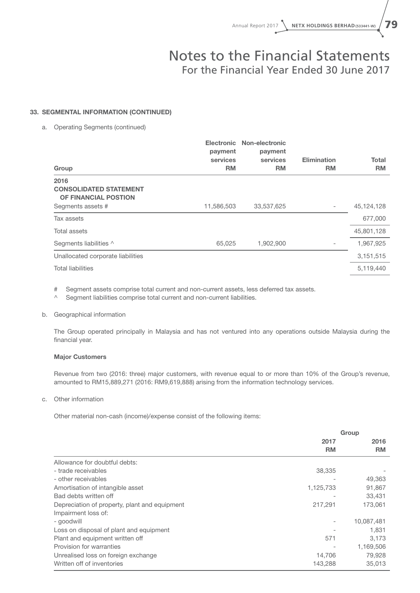#### 33. SEGMENTAL INFORMATION (CONTINUED)

a. Operating Segments (continued)

| Group                                                         | Electronic<br>payment<br>services<br><b>RM</b> | Non-electronic<br>payment<br>services<br><b>RM</b> | <b>Elimination</b><br><b>RM</b> | <b>Total</b><br><b>RM</b> |
|---------------------------------------------------------------|------------------------------------------------|----------------------------------------------------|---------------------------------|---------------------------|
| 2016<br><b>CONSOLIDATED STATEMENT</b><br>OF FINANCIAL POSTION |                                                |                                                    |                                 |                           |
| Segments assets #                                             | 11,586,503                                     | 33,537,625                                         |                                 | 45,124,128                |
| Tax assets                                                    |                                                |                                                    |                                 | 677,000                   |
| Total assets                                                  |                                                |                                                    |                                 | 45,801,128                |
| Segments liabilities ^                                        | 65,025                                         | 1,902,900                                          |                                 | 1,967,925                 |
| Unallocated corporate liabilities                             |                                                |                                                    |                                 | 3,151,515                 |
| <b>Total liabilities</b>                                      |                                                |                                                    |                                 | 5,119,440                 |
|                                                               |                                                |                                                    |                                 |                           |

# Segment assets comprise total current and non-current assets, less deferred tax assets.

^ Segment liabilities comprise total current and non-current liabilities.

#### b. Geographical information

The Group operated principally in Malaysia and has not ventured into any operations outside Malaysia during the financial year.

#### Major Customers

Revenue from two (2016: three) major customers, with revenue equal to or more than 10% of the Group's revenue, amounted to RM15,889,271 (2016: RM9,619,888) arising from the information technology services.

#### c. Other information

Other material non-cash (income)/expense consist of the following items:

|                                               | Group     |            |  |
|-----------------------------------------------|-----------|------------|--|
|                                               | 2017      | 2016       |  |
|                                               | <b>RM</b> | <b>RM</b>  |  |
| Allowance for doubtful debts:                 |           |            |  |
| - trade receivables                           | 38,335    |            |  |
| - other receivables                           |           | 49,363     |  |
| Amortisation of intangible asset              | 1,125,733 | 91,867     |  |
| Bad debts written off                         |           | 33,431     |  |
| Depreciation of property, plant and equipment | 217,291   | 173,061    |  |
| Impairment loss of:                           |           |            |  |
| - goodwill                                    |           | 10,087,481 |  |
| Loss on disposal of plant and equipment       |           | 1,831      |  |
| Plant and equipment written off               | 571       | 3,173      |  |
| Provision for warranties                      |           | 1,169,506  |  |
| Unrealised loss on foreign exchange           | 14,706    | 79,928     |  |
| Written off of inventories                    | 143,288   | 35,013     |  |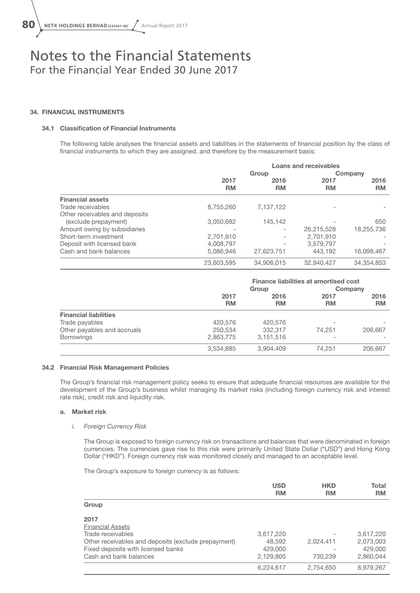#### 34. FINANCIAL INSTRUMENTS

#### 34.1 Classification of Financial Instruments

The following table analyses the financial assets and liabilities in the statements of financial position by the class of financial instruments to which they are assigned, and therefore by the measurement basis:

|                                | <b>Loans and receivables</b> |                   |                   |                   |
|--------------------------------|------------------------------|-------------------|-------------------|-------------------|
|                                |                              | Group             |                   | Company           |
|                                | 2017<br><b>RM</b>            | 2016<br><b>RM</b> | 2017<br><b>RM</b> | 2016<br><b>RM</b> |
| <b>Financial assets</b>        |                              |                   |                   |                   |
| Trade receivables              | 8,755,260                    | 7,137,122         |                   |                   |
| Other receivables and deposits |                              |                   |                   |                   |
| (exclude prepayment)           | 3,050,682                    | 145.142           |                   | 650               |
| Amount owing by subsidiaries   |                              |                   | 26.215.528        | 18,255,736        |
| Short-term investment          | 2,701,910                    |                   | 2.701.910         |                   |
| Deposit with licensed bank     | 4,008,797                    |                   | 3,579,797         |                   |
| Cash and bank balances         | 5,086,946                    | 27,623,751        | 443.192           | 16,098,467        |
|                                | 23,603,595                   | 34,906,015        | 32,940,427        | 34.354.853        |

|                              | <b>Finance liabilities at amortised cost</b> |           |                          |           |      |      |
|------------------------------|----------------------------------------------|-----------|--------------------------|-----------|------|------|
|                              | Group                                        |           |                          | Company   |      |      |
|                              | 2017                                         |           |                          | 2016      | 2017 | 2016 |
|                              | <b>RM</b>                                    | <b>RM</b> | <b>RM</b>                | <b>RM</b> |      |      |
| <b>Financial liabilities</b> |                                              |           |                          |           |      |      |
| Trade payables               | 420,576                                      | 420,576   | ۰                        |           |      |      |
| Other payables and accruals  | 250,534                                      | 332,317   | 74.251                   | 206,667   |      |      |
| <b>Borrowings</b>            | 2,863,775                                    | 3,151,516 | $\overline{\phantom{0}}$ |           |      |      |
|                              | 3,534,885                                    | 3,904,409 | 74,251                   | 206.667   |      |      |

#### 34.2 Financial Risk Management Policies

The Group's financial risk management policy seeks to ensure that adequate financial resources are available for the development of the Group's business whilst managing its market risks (including foreign currency risk and interest rate risk), credit risk and liquidity risk.

#### a. Market risk

#### *i. Foreign Currency Risk*

The Group is exposed to foreign currency risk on transactions and balances that were denominated in foreign currencies. The currencies gave rise to this risk were primarily United State Dollar ("USD") and Hong Kong Dollar ("HKD"). Foreign currency risk was monitored closely and managed to an acceptable level.

The Group's exposure to foreign currency is as follows:

|                                                     | <b>USD</b><br><b>RM</b> | <b>HKD</b><br><b>RM</b> | Total<br><b>RM</b> |
|-----------------------------------------------------|-------------------------|-------------------------|--------------------|
| Group                                               |                         |                         |                    |
| 2017                                                |                         |                         |                    |
| <b>Financial Assets</b>                             |                         |                         |                    |
| Trade receivables                                   | 3,617,220               |                         | 3,617,220          |
| Other receivables and deposits (exclude prepayment) | 48,592                  | 2,024,411               | 2,073,003          |
| Fixed deposits with licensed banks                  | 429,000                 |                         | 429,000            |
| Cash and bank balances                              | 2,129,805               | 730,239                 | 2,860,044          |
|                                                     | 6,224,617               | 2,754,650               | 8,979,267          |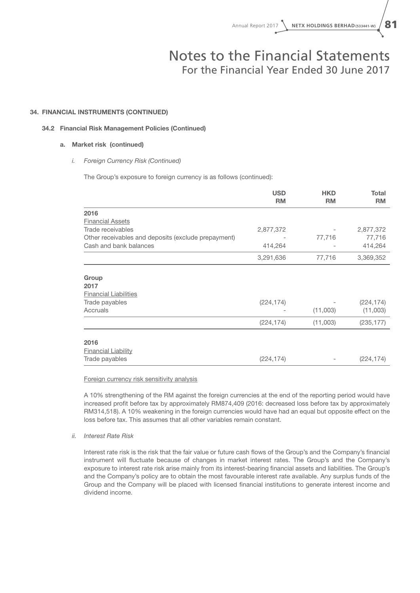#### 34. FINANCIAL INSTRUMENTS (CONTINUED)

#### 34.2 Financial Risk Management Policies (Continued)

#### a. Market risk (continued)

#### *i. Foreign Currency Risk (Continued)*

The Group's exposure to foreign currency is as follows (continued):

|                                                     | <b>USD</b><br><b>RM</b> | <b>HKD</b><br><b>RM</b> | <b>Total</b><br><b>RM</b> |
|-----------------------------------------------------|-------------------------|-------------------------|---------------------------|
| 2016                                                |                         |                         |                           |
| <b>Financial Assets</b>                             |                         |                         |                           |
| Trade receivables                                   | 2,877,372               |                         | 2,877,372                 |
| Other receivables and deposits (exclude prepayment) |                         | 77,716                  | 77,716                    |
| Cash and bank balances                              | 414,264                 |                         | 414,264                   |
|                                                     | 3,291,636               | 77,716                  | 3,369,352                 |
| Group<br>2017                                       |                         |                         |                           |
| <b>Financial Liabilities</b>                        |                         |                         |                           |
| Trade payables<br>Accruals                          | (224, 174)              | (11,003)                | (224, 174)<br>(11,003)    |
|                                                     | (224, 174)              | (11,003)                | (235, 177)                |
| 2016<br><b>Financial Liability</b>                  |                         |                         |                           |
| Trade payables                                      | (224, 174)              |                         | (224, 174)                |

Foreign currency risk sensitivity analysis

A 10% strengthening of the RM against the foreign currencies at the end of the reporting period would have increased profit before tax by approximately RM874,409 (2016: decreased loss before tax by approximately RM314,518). A 10% weakening in the foreign currencies would have had an equal but opposite effect on the loss before tax. This assumes that all other variables remain constant.

*ii. Interest Rate Risk* 

Interest rate risk is the risk that the fair value or future cash flows of the Group's and the Company's financial instrument will fluctuate because of changes in market interest rates. The Group's and the Company's exposure to interest rate risk arise mainly from its interest-bearing financial assets and liabilities. The Group's and the Company's policy are to obtain the most favourable interest rate available. Any surplus funds of the Group and the Company will be placed with licensed financial institutions to generate interest income and dividend income.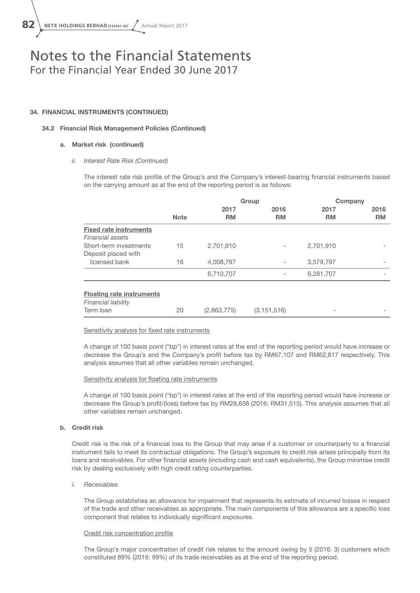#### 34. FINANCIAL INSTRUMENTS (CONTINUED)

#### 34.2 Financial Risk Management Policies (Continued)

#### a. Market risk (continued)

#### *ii. Interest Rate Risk (Continued)*

The interest rate risk profile of the Group's and the Company's interest-bearing financial instruments based on the carrying amount as at the end of the reporting period is as follows:

|                                                         |             |                   | Group                    |                   | Company           |
|---------------------------------------------------------|-------------|-------------------|--------------------------|-------------------|-------------------|
|                                                         | <b>Note</b> | 2017<br><b>RM</b> | 2016<br><b>RM</b>        | 2017<br><b>RM</b> | 2016<br><b>RM</b> |
| <b>Fixed rate instruments</b><br>Financial assets       |             |                   |                          |                   |                   |
| Short-term investments                                  | 15          | 2,701,910         |                          | 2,701,910         |                   |
| Deposit placed with                                     |             |                   |                          |                   |                   |
| licensed bank                                           | 16          | 4,008,797         | $\overline{\phantom{0}}$ | 3,579,797         |                   |
|                                                         |             | 6,710,707         |                          | 6,281,707         |                   |
| <b>Floating rate instruments</b><br>Financial liability |             |                   |                          |                   |                   |
| Term Ioan                                               | 20          | (2,863,775)       | (3, 151, 516)            |                   |                   |
|                                                         |             |                   |                          |                   |                   |

#### Sensitivity analysis for fixed rate instruments

A change of 100 basis point ("bp") in interest rates at the end of the reporting period would have increase or decrease the Group's and the Company's profit before tax by RM67,107 and RM62,817 respectively. This analysis assumes that all other variables remain unchanged.

#### Sensitivity analysis for floating rate instruments

A change of 100 basis point ("bp") in interest rates at the end of the reporting period would have increase or decrease the Group's profit/(loss) before tax by RM28,638 (2016: RM31,515). This analysis assumes that all other variables remain unchanged.

#### b. Credit risk

Credit risk is the risk of a financial loss to the Group that may arise if a customer or counterparty to a financial instrument fails to meet its contractual obligations. The Group's exposure to credit risk arises principally from its loans and receivables. For other financial assets (including cash and cash equivalents), the Group minimise credit risk by dealing exclusively with high credit rating counterparties.

#### *i. Receivables*

The Group establishes an allowance for impairment that represents its estimate of incurred losses in respect of the trade and other receivables as appropriate. The main components of this allowance are a specific loss component that relates to individually significant exposures.

#### Credit risk concentration profile

The Group's major concentration of credit risk relates to the amount owing by 5 (2016: 3) customers which constituted 89% (2016: 99%) of its trade receivables as at the end of the reporting period.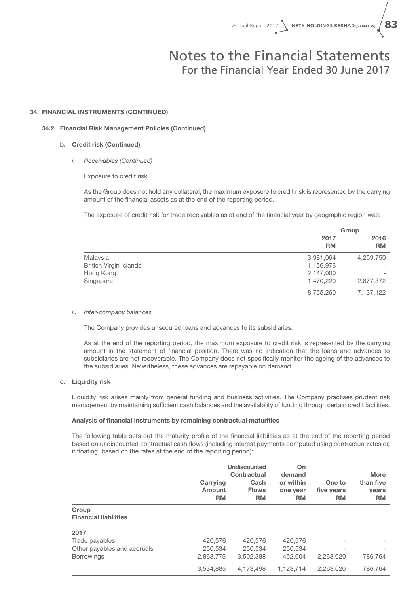#### 34. FINANCIAL INSTRUMENTS (CONTINUED)

#### 34.2 Financial Risk Management Policies (Continued)

#### b. Credit risk (Continued)

#### *i. Receivables (Continued)*

#### Exposure to credit risk

As the Group does not hold any collateral, the maximum exposure to credit risk is represented by the carrying amount of the financial assets as at the end of the reporting period.

The exposure of credit risk for trade receivables as at end of the financial year by geographic region was:

|                               | Group             |                   |  |
|-------------------------------|-------------------|-------------------|--|
|                               | 2017<br><b>RM</b> | 2016<br><b>RM</b> |  |
| Malaysia                      | 3,981,064         | 4,259,750         |  |
| <b>British Virgin Islands</b> | 1,156,976         |                   |  |
| Hong Kong                     | 2,147,000         |                   |  |
| Singapore                     | 1,470,220         | 2,877,372         |  |
|                               | 8,755,260         | 7,137,122         |  |

#### *ii. Inter-company balances*

The Company provides unsecured loans and advances to its subsidiaries.

As at the end of the reporting period, the maximum exposure to credit risk is represented by the carrying amount in the statement of financial position. There was no indication that the loans and advances to subsidiaries are not recoverable. The Company does not specifically monitor the ageing of the advances to the subsidiaries. Nevertheless, these advances are repayable on demand.

#### c. Liquidity risk

Liquidity risk arises mainly from general funding and business activities. The Company practises prudent risk management by maintaining sufficient cash balances and the availability of funding through certain credit facilities.

#### Analysis of financial instruments by remaining contractual maturities

The following table sets out the maturity profile of the financial liabilities as at the end of the reporting period based on undiscounted contractual cash flows (including interest payments computed using contractual rates or, if floating, based on the rates at the end of the reporting period):

|                                       | Carrying<br>Amount<br><b>RM</b> | Undiscounted<br>Contractual<br>Cash<br><b>Flows</b><br><b>RM</b> | On<br>demand<br>or within<br>one year<br><b>RM</b> | One to<br>five years<br><b>RM</b> | <b>More</b><br>than five<br><b>vears</b><br><b>RM</b> |
|---------------------------------------|---------------------------------|------------------------------------------------------------------|----------------------------------------------------|-----------------------------------|-------------------------------------------------------|
| Group<br><b>Financial liabilities</b> |                                 |                                                                  |                                                    |                                   |                                                       |
| 2017<br>Trade payables                | 420,576                         | 420,576                                                          | 420,576                                            | -                                 |                                                       |
| Other payables and accruals           | 250,534                         | 250,534                                                          | 250,534                                            |                                   |                                                       |
| <b>Borrowings</b>                     | 2.863.775                       | 3.502.388                                                        | 452,604                                            | 2.263.020                         | 786,764                                               |
|                                       | 3.534.885                       | 4.173.498                                                        | 1.123.714                                          | 2.263.020                         | 786.764                                               |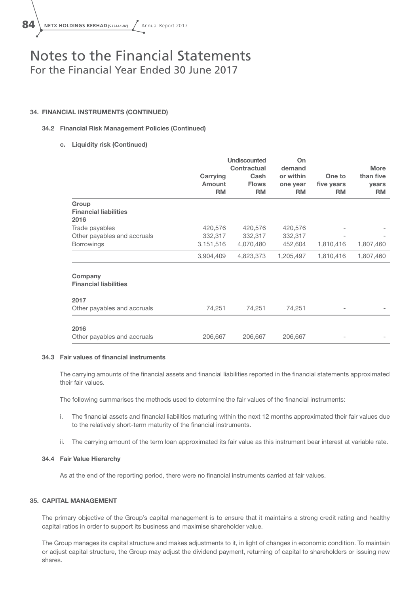#### 34. FINANCIAL INSTRUMENTS (CONTINUED)

#### 34.2 Financial Risk Management Policies (Continued)

c. Liquidity risk (Continued)

|                                         | Carrying<br>Amount<br><b>RM</b> | <b>Undiscounted</b><br><b>Contractual</b><br>Cash<br><b>Flows</b><br><b>RM</b> | On<br>demand<br>or within<br>one year<br><b>RM</b> | One to<br>five years<br><b>RM</b> | <b>More</b><br>than five<br>years<br><b>RM</b> |
|-----------------------------------------|---------------------------------|--------------------------------------------------------------------------------|----------------------------------------------------|-----------------------------------|------------------------------------------------|
| Group                                   |                                 |                                                                                |                                                    |                                   |                                                |
| <b>Financial liabilities</b><br>2016    |                                 |                                                                                |                                                    |                                   |                                                |
| Trade payables                          | 420,576                         | 420,576                                                                        | 420,576                                            |                                   |                                                |
| Other payables and accruals             | 332,317                         | 332,317                                                                        | 332,317                                            |                                   |                                                |
| Borrowings                              | 3,151,516                       | 4,070,480                                                                      | 452,604                                            | 1,810,416                         | 1,807,460                                      |
|                                         | 3,904,409                       | 4,823,373                                                                      | 1,205,497                                          | 1,810,416                         | 1,807,460                                      |
| Company<br><b>Financial liabilities</b> |                                 |                                                                                |                                                    |                                   |                                                |
| 2017                                    |                                 |                                                                                |                                                    |                                   |                                                |
| Other payables and accruals             | 74,251                          | 74,251                                                                         | 74,251                                             |                                   |                                                |
| 2016                                    |                                 |                                                                                |                                                    |                                   |                                                |
| Other payables and accruals             | 206,667                         | 206,667                                                                        | 206,667                                            |                                   |                                                |

#### 34.3 Fair values of financial instruments

The carrying amounts of the financial assets and financial liabilities reported in the financial statements approximated their fair values.

The following summarises the methods used to determine the fair values of the financial instruments:

- i. The financial assets and financial liabilities maturing within the next 12 months approximated their fair values due to the relatively short-term maturity of the financial instruments.
- ii. The carrying amount of the term loan approximated its fair value as this instrument bear interest at variable rate.

#### 34.4 Fair Value Hierarchy

As at the end of the reporting period, there were no financial instruments carried at fair values.

#### 35. CAPITAL MANAGEMENT

The primary objective of the Group's capital management is to ensure that it maintains a strong credit rating and healthy capital ratios in order to support its business and maximise shareholder value.

The Group manages its capital structure and makes adjustments to it, in light of changes in economic condition. To maintain or adjust capital structure, the Group may adjust the dividend payment, returning of capital to shareholders or issuing new shares.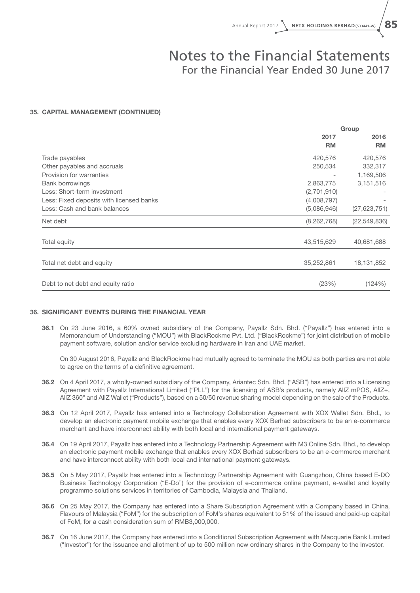#### 35. CAPITAL MANAGEMENT (CONTINUED)

|                                          | Group                    |                |
|------------------------------------------|--------------------------|----------------|
|                                          | 2017                     | 2016           |
|                                          | <b>RM</b>                | <b>RM</b>      |
| Trade payables                           | 420,576                  | 420,576        |
| Other payables and accruals              | 250,534                  | 332,317        |
| Provision for warranties                 | $\overline{\phantom{a}}$ | 1,169,506      |
| <b>Bank borrowings</b>                   | 2,863,775                | 3,151,516      |
| Less: Short-term investment              | (2,701,910)              |                |
| Less: Fixed deposits with licensed banks | (4,008,797)              |                |
| Less: Cash and bank balances             | (5,086,946)              | (27, 623, 751) |
| Net debt                                 | (8, 262, 768)            | (22, 549, 836) |
|                                          |                          |                |
| Total equity                             | 43,515,629               | 40,681,688     |
|                                          |                          |                |
| Total net debt and equity                | 35,252,861               | 18,131,852     |
|                                          |                          |                |
| Debt to net debt and equity ratio        | (23%)                    | (124%)         |

#### 36. SIGNIFICANT EVENTS DURING THE FINANCIAL YEAR

36.1 On 23 June 2016, a 60% owned subsidiary of the Company, Payallz Sdn. Bhd. ("Payallz") has entered into a Memorandum of Understanding ("MOU") with BlackRockme Pvt. Ltd. ("BlackRockme") for joint distribution of mobile payment software, solution and/or service excluding hardware in Iran and UAE market.

On 30 August 2016, Payallz and BlackRockme had mutually agreed to terminate the MOU as both parties are not able to agree on the terms of a definitive agreement.

- 36.2 On 4 April 2017, a wholly-owned subsidiary of the Company, Ariantec Sdn. Bhd. ("ASB") has entered into a Licensing Agreement with Payallz International Limited ("PLL") for the licensing of ASB's products, namely AllZ mPOS, AllZ+, AllZ 360° and AllZ Wallet ("Products"), based on a 50/50 revenue sharing model depending on the sale of the Products.
- 36.3 On 12 April 2017, Payallz has entered into a Technology Collaboration Agreement with XOX Wallet Sdn, Bhd., to develop an electronic payment mobile exchange that enables every XOX Berhad subscribers to be an e-commerce merchant and have interconnect ability with both local and international payment gateways.
- 36.4 On 19 April 2017, Payallz has entered into a Technology Partnership Agreement with M3 Online Sdn. Bhd., to develop an electronic payment mobile exchange that enables every XOX Berhad subscribers to be an e-commerce merchant and have interconnect ability with both local and international payment gateways.
- 36.5 On 5 May 2017, Payallz has entered into a Technology Partnership Agreement with Guangzhou, China based E-DO Business Technology Corporation ("E-Do") for the provision of e-commerce online payment, e-wallet and loyalty programme solutions services in territories of Cambodia, Malaysia and Thailand.
- 36.6 On 25 May 2017, the Company has entered into a Share Subscription Agreement with a Company based in China, Flavours of Malaysia ("FoM") for the subscription of FoM's shares equivalent to 51% of the issued and paid-up capital of FoM, for a cash consideration sum of RMB3,000,000.
- 36.7 On 16 June 2017, the Company has entered into a Conditional Subscription Agreement with Macquarie Bank Limited ("Investor") for the issuance and allotment of up to 500 million new ordinary shares in the Company to the Investor.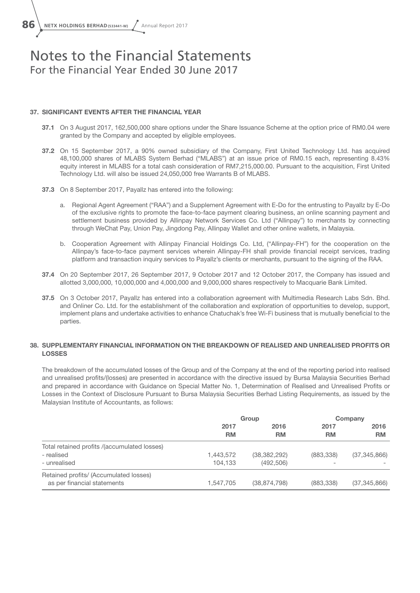86 \ NETX HOLDINGS BERHAD(533441-W) / Annual Report 2017

### Notes to the Financial Statements For the Financial Year Ended 30 June 2017

#### 37. SIGNIFICANT EVENTS AFTER THE FINANCIAL YEAR

- 37.1 On 3 August 2017, 162,500,000 share options under the Share Issuance Scheme at the option price of RM0.04 were granted by the Company and accepted by eligible employees.
- 37.2 On 15 September 2017, a 90% owned subsidiary of the Company, First United Technology Ltd. has acquired 48,100,000 shares of MLABS System Berhad ("MLABS") at an issue price of RM0.15 each, representing 8.43% equity interest in MLABS for a total cash consideration of RM7,215,000.00. Pursuant to the acquisition, First United Technology Ltd. will also be issued 24,050,000 free Warrants B of MLABS.
- 37.3 On 8 September 2017, Payallz has entered into the following:
	- a. Regional Agent Agreement ("RAA") and a Supplement Agreement with E-Do for the entrusting to Payallz by E-Do of the exclusive rights to promote the face-to-face payment clearing business, an online scanning payment and settlement business provided by Allinpay Network Services Co. Ltd ("Allinpay") to merchants by connecting through WeChat Pay, Union Pay, Jingdong Pay, Allinpay Wallet and other online wallets, in Malaysia.
	- b. Cooperation Agreement with Allinpay Financial Holdings Co. Ltd, ("Allinpay-FH") for the cooperation on the Allinpay's face-to-face payment services wherein Allinpay-FH shall provide financial receipt services, trading platform and transaction inquiry services to Payallz's clients or merchants, pursuant to the signing of the RAA.
- 37.4 On 20 September 2017, 26 September 2017, 9 October 2017 and 12 October 2017, the Company has issued and allotted 3,000,000, 10,000,000 and 4,000,000 and 9,000,000 shares respectively to Macquarie Bank Limited.
- 37.5 On 3 October 2017, Payallz has entered into a collaboration agreement with Multimedia Research Labs Sdn. Bhd. and Onliner Co. Ltd. for the establishment of the collaboration and exploration of opportunities to develop, support, implement plans and undertake activities to enhance Chatuchak's free Wi-Fi business that is mutually beneficial to the parties.

#### 38. SUPPLEMENTARY FINANCIAL INFORMATION ON THE BREAKDOWN OF REALISED AND UNREALISED PROFITS OR LOSSES

The breakdown of the accumulated losses of the Group and of the Company at the end of the reporting period into realised and unrealised profits/(losses) are presented in accordance with the directive issued by Bursa Malaysia Securities Berhad and prepared in accordance with Guidance on Special Matter No. 1, Determination of Realised and Unrealised Profits or Losses in the Context of Disclosure Pursuant to Bursa Malaysia Securities Berhad Listing Requirements, as issued by the Malaysian Institute of Accountants, as follows:

|                                              | Group     |                | Company    |                |
|----------------------------------------------|-----------|----------------|------------|----------------|
|                                              | 2017      | 2016           | 2017       | 2016           |
|                                              | <b>RM</b> | <b>RM</b>      | <b>RM</b>  | <b>RM</b>      |
| Total retained profits /(accumulated losses) |           |                |            |                |
| - realised                                   | 1,443,572 | (38, 382, 292) | (883, 338) | (37, 345, 866) |
| - unrealised                                 | 104.133   | (492, 506)     |            |                |
| Retained profits/ (Accumulated losses)       |           |                |            |                |
| as per financial statements                  | 1,547,705 | (38, 874, 798) | (883, 338) | (37, 345, 866) |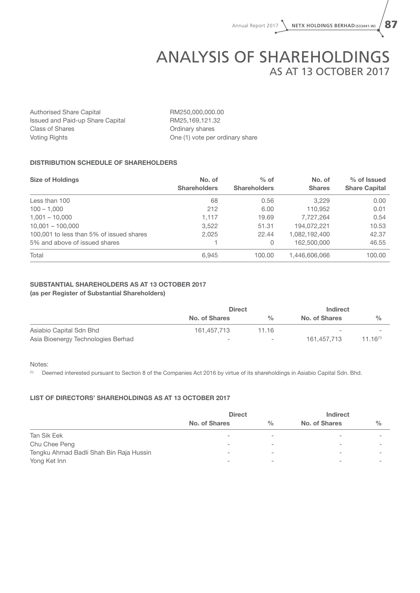# ANALYSIS OF SHAREHOLDINGS As at 13 October 2017

Authorised Share Capital RM250,000,000.00 Issued and Paid-up Share Capital RM25,169,121.32 Class of Shares **Ordinary shares** Ordinary shares Voting Rights **One (1)** vote per ordinary share

#### DISTRIBUTION SCHEDULE OF SHAREHOLDERS

| <b>Size of Holdings</b>                  | No. of<br><b>Shareholders</b> | $%$ of<br><b>Shareholders</b> | No. of<br><b>Shares</b> | % of Issued<br><b>Share Capital</b> |
|------------------------------------------|-------------------------------|-------------------------------|-------------------------|-------------------------------------|
| Less than 100                            | 68                            | 0.56                          | 3.229                   | 0.00                                |
| $100 - 1,000$                            | 212                           | 6.00                          | 110.952                 | 0.01                                |
| $1,001 - 10,000$                         | 1.117                         | 19.69                         | 7,727,264               | 0.54                                |
| $10.001 - 100.000$                       | 3,522                         | 51.31                         | 194,072,221             | 10.53                               |
| 100,001 to less than 5% of issued shares | 2,025                         | 22.44                         | 1,082,192,400           | 42.37                               |
| 5% and above of issued shares            |                               | 0                             | 162,500,000             | 46.55                               |
| Total                                    | 6,945                         | 100.00                        | 1,446,606,066           | 100.00                              |

#### SUBSTANTIAL SHAREHOLDERS AS AT 13 OCTOBER 2017 (as per Register of Substantial Shareholders)

|                                    | <b>Direct</b>            |                          | <b>Indirect</b>          |               |
|------------------------------------|--------------------------|--------------------------|--------------------------|---------------|
|                                    | No. of Shares            | $\frac{0}{0}$            | No. of Shares            | $\frac{0}{0}$ |
| Asiabio Capital Sdn Bhd            | 161.457.713              | 11.16                    | $\overline{\phantom{a}}$ |               |
| Asia Bioenergy Technologies Berhad | $\overline{\phantom{0}}$ | $\overline{\phantom{a}}$ | 161.457.713              | $11.16^{(1)}$ |

#### Notes:

(1) Deemed interested pursuant to Section 8 of the Companies Act 2016 by virtue of its shareholdings in Asiabio Capital Sdn. Bhd.

#### LIST OF DIRECTORS' SHAREHOLDINGS AS AT 13 OCTOBER 2017

|                                         | <b>Direct</b>            |                          | <b>Indirect</b>          |               |
|-----------------------------------------|--------------------------|--------------------------|--------------------------|---------------|
|                                         | No. of Shares            | $\frac{0}{0}$            | No. of Shares            | $\frac{0}{0}$ |
| Tan Sik Eek                             | $\overline{\phantom{a}}$ | $\overline{\phantom{a}}$ | $\overline{\phantom{0}}$ |               |
| Chu Chee Peng                           | $\,$                     | $\overline{\phantom{a}}$ | $\overline{\phantom{a}}$ |               |
| Tengku Ahmad Badli Shah Bin Raja Hussin | $\sim$                   | $\overline{\phantom{0}}$ | $\overline{\phantom{a}}$ |               |
| Yong Ket Inn                            | $\overline{\phantom{a}}$ | $\overline{\phantom{0}}$ | $\overline{\phantom{0}}$ |               |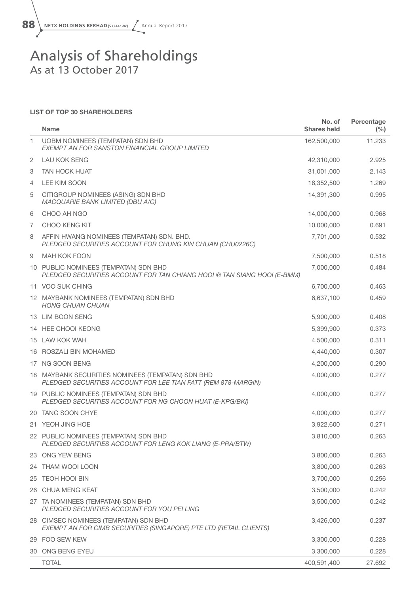

### Analysis of Shareholdings As at 13 October 2017

#### LIST OF TOP 30 SHAREHOLDERS

|    | <b>Name</b>                                                                                                        | No. of<br><b>Shares held</b> | Percentage<br>(%) |
|----|--------------------------------------------------------------------------------------------------------------------|------------------------------|-------------------|
| 1  | <b>UOBM NOMINEES (TEMPATAN) SDN BHD</b><br><b>EXEMPT AN FOR SANSTON FINANCIAL GROUP LIMITED</b>                    | 162,500,000                  | 11.233            |
| 2  | <b>LAU KOK SENG</b>                                                                                                | 42,310,000                   | 2.925             |
| 3  | <b>TAN HOCK HUAT</b>                                                                                               | 31,001,000                   | 2.143             |
| 4  | LEE KIM SOON                                                                                                       | 18,352,500                   | 1.269             |
| 5  | CITIGROUP NOMINEES (ASING) SDN BHD<br><b>MACQUARIE BANK LIMITED (DBU A/C)</b>                                      | 14,391,300                   | 0.995             |
| 6  | CHOO AH NGO                                                                                                        | 14,000,000                   | 0.968             |
| 7  | CHOO KENG KIT                                                                                                      | 10,000,000                   | 0.691             |
| 8  | AFFIN HWANG NOMINEES (TEMPATAN) SDN. BHD.<br>PLEDGED SECURITIES ACCOUNT FOR CHUNG KIN CHUAN (CHU0226C)             | 7,701,000                    | 0.532             |
| 9  | <b>MAH KOK FOON</b>                                                                                                | 7,500,000                    | 0.518             |
|    | 10 PUBLIC NOMINEES (TEMPATAN) SDN BHD<br>PLEDGED SECURITIES ACCOUNT FOR TAN CHIANG HOOI @ TAN SIANG HOOI (E-BMM)   | 7,000,000                    | 0.484             |
|    | 11 VOO SUK CHING                                                                                                   | 6,700,000                    | 0.463             |
|    | 12 MAYBANK NOMINEES (TEMPATAN) SDN BHD<br><b>HONG CHUAN CHUAN</b>                                                  | 6,637,100                    | 0.459             |
|    | 13 LIM BOON SENG                                                                                                   | 5,900,000                    | 0.408             |
|    | 14 HEE CHOOI KEONG                                                                                                 | 5,399,900                    | 0.373             |
|    | 15 LAW KOK WAH                                                                                                     | 4,500,000                    | 0.311             |
|    | 16 ROSZALI BIN MOHAMED                                                                                             | 4,440,000                    | 0.307             |
|    | 17 NG SOON BENG                                                                                                    | 4,200,000                    | 0.290             |
|    | 18 MAYBANK SECURITIES NOMINEES (TEMPATAN) SDN BHD<br>PLEDGED SECURITIES ACCOUNT FOR LEE TIAN FATT (REM 878-MARGIN) | 4,000,000                    | 0.277             |
|    | 19 PUBLIC NOMINEES (TEMPATAN) SDN BHD<br>PLEDGED SECURITIES ACCOUNT FOR NG CHOON HUAT (E-KPG/BKI)                  | 4,000,000                    | 0.277             |
|    | 20 TANG SOON CHYE                                                                                                  | 4,000,000                    | 0.277             |
|    | 21 YEOH JING HOE                                                                                                   | 3,922,600                    | 0.271             |
|    | 22 PUBLIC NOMINEES (TEMPATAN) SDN BHD<br>PLEDGED SECURITIES ACCOUNT FOR LENG KOK LIANG (E-PRA/BTW)                 | 3,810,000                    | 0.263             |
|    | 23 ONG YEW BENG                                                                                                    | 3,800,000                    | 0.263             |
|    | 24 THAM WOOI LOON                                                                                                  | 3,800,000                    | 0.263             |
| 25 | <b>TEOH HOOI BIN</b>                                                                                               | 3,700,000                    | 0.256             |
| 26 | <b>CHUA MENG KEAT</b>                                                                                              | 3,500,000                    | 0.242             |
|    | 27 TA NOMINEES (TEMPATAN) SDN BHD<br>PLEDGED SECURITIES ACCOUNT FOR YOU PEI LING                                   | 3,500,000                    | 0.242             |
|    | 28 CIMSEC NOMINEES (TEMPATAN) SDN BHD<br>EXEMPT AN FOR CIMB SECURITIES (SINGAPORE) PTE LTD (RETAIL CLIENTS)        | 3,426,000                    | 0.237             |
|    | 29 FOO SEW KEW                                                                                                     | 3,300,000                    | 0.228             |
|    | 30 ONG BENG EYEU                                                                                                   | 3,300,000                    | 0.228             |
|    | <b>TOTAL</b>                                                                                                       | 400,591,400                  | 27.692            |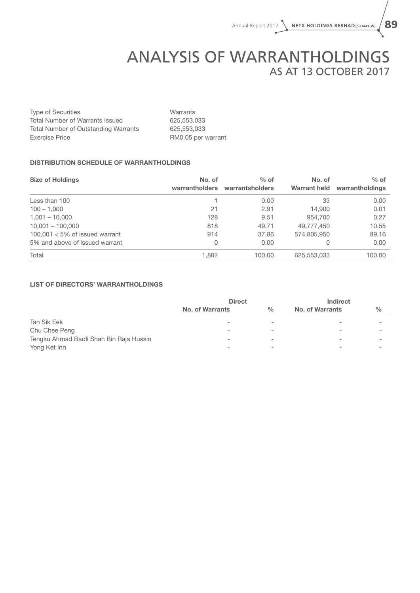# ANALYSIS OF WARRANTHOLDINGS As at 13 October 2017

Type of Securities **Warrants** Total Number of Warrants Issued 625,553,033 Total Number of Outstanding Warrants 625,553,033 Exercise Price **RM0.05** per warrant

#### DISTRIBUTION SCHEDULE OF WARRANTHOLDINGS

| <b>Size of Holdings</b>           | No. of<br>warrantholders | $%$ of<br>warrantsholders | No. of<br><b>Warrant held</b> | $%$ of<br>warrantholdings |
|-----------------------------------|--------------------------|---------------------------|-------------------------------|---------------------------|
| Less than 100                     |                          | 0.00                      | 33                            | 0.00                      |
| $100 - 1,000$                     | 21                       | 2.91                      | 14.900                        | 0.01                      |
| $1,001 - 10,000$                  | 128                      | 9.51                      | 954.700                       | 0.27                      |
| $10.001 - 100.000$                | 818                      | 49.71                     | 49,777,450                    | 10.55                     |
| $100,001 < 5\%$ of issued warrant | 914                      | 37.86                     | 574,805,950                   | 89.16                     |
| 5% and above of issued warrant    | $\overline{0}$           | 0.00                      | 0                             | 0.00                      |
| Total                             | 1,882                    | 100.00                    | 625,553,033                   | 100.00                    |

#### LIST OF DIRECTORS' WARRANTHOLDINGS

|                                         | <b>Direct</b>   |                          | <b>Indirect</b>          |               |
|-----------------------------------------|-----------------|--------------------------|--------------------------|---------------|
|                                         | No. of Warrants | $\%$                     | <b>No. of Warrants</b>   | $\frac{0}{0}$ |
| Tan Sik Eek                             | -               | -                        |                          |               |
| Chu Chee Peng                           | ۰               | $\overline{\phantom{a}}$ | -                        |               |
| Tengku Ahmad Badli Shah Bin Raja Hussin | ۰               | $\overline{\phantom{a}}$ |                          |               |
| Yong Ket Inn                            | ۰               | $\overline{\phantom{a}}$ | $\overline{\phantom{a}}$ |               |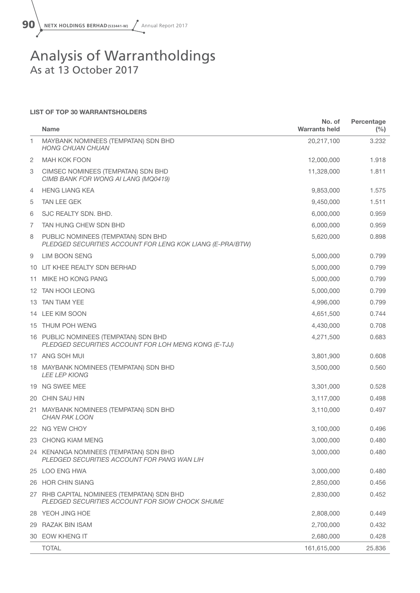

### Analysis of Warrantholdings As at 13 October 2017

#### LIST OF TOP 30 WARRANTSHOLDERS

|    | <b>Name</b>                                                                                     | No. of<br><b>Warrants held</b> | Percentage<br>$(\%)$ |
|----|-------------------------------------------------------------------------------------------------|--------------------------------|----------------------|
| 1  | MAYBANK NOMINEES (TEMPATAN) SDN BHD<br><b>HONG CHUAN CHUAN</b>                                  | 20,217,100                     | 3.232                |
| 2  | <b>MAH KOK FOON</b>                                                                             | 12,000,000                     | 1.918                |
| 3  | CIMSEC NOMINEES (TEMPATAN) SDN BHD<br>CIMB BANK FOR WONG AI LANG (MQ0419)                       | 11,328,000                     | 1.811                |
| 4  | <b>HENG LIANG KEA</b>                                                                           | 9,853,000                      | 1.575                |
| 5  | <b>TAN LEE GEK</b>                                                                              | 9,450,000                      | 1.511                |
| 6  | SJC REALTY SDN, BHD.                                                                            | 6,000,000                      | 0.959                |
| 7  | TAN HUNG CHEW SDN BHD                                                                           | 6,000,000                      | 0.959                |
| 8  | PUBLIC NOMINEES (TEMPATAN) SDN BHD<br>PLEDGED SECURITIES ACCOUNT FOR LENG KOK LIANG (E-PRA/BTW) | 5,620,000                      | 0.898                |
| 9  | LIM BOON SENG                                                                                   | 5,000,000                      | 0.799                |
|    | 10 LIT KHEE REALTY SDN BERHAD                                                                   | 5,000,000                      | 0.799                |
| 11 | MIKE HO KONG PANG                                                                               | 5,000,000                      | 0.799                |
|    | 12 TAN HOOI LEONG                                                                               | 5,000,000                      | 0.799                |
|    | 13 TAN TIAM YEE                                                                                 | 4,996,000                      | 0.799                |
|    | 14 LEE KIM SOON                                                                                 | 4,651,500                      | 0.744                |
|    | 15 THUM POH WENG                                                                                | 4,430,000                      | 0.708                |
|    | 16 PUBLIC NOMINEES (TEMPATAN) SDN BHD<br>PLEDGED SECURITIES ACCOUNT FOR LOH MENG KONG (E-TJJ)   | 4,271,500                      | 0.683                |
|    | 17 ANG SOH MUI                                                                                  | 3,801,900                      | 0.608                |
|    | 18 MAYBANK NOMINEES (TEMPATAN) SDN BHD<br><b>LEE LEP KIONG</b>                                  | 3,500,000                      | 0.560                |
|    | 19 NG SWEE MEE                                                                                  | 3,301,000                      | 0.528                |
|    | 20 CHIN SAU HIN                                                                                 | 3,117,000                      | 0.498                |
|    | 21 MAYBANK NOMINEES (TEMPATAN) SDN BHD<br><b>CHAN PAK LOON</b>                                  | 3,110,000                      | 0.497                |
|    | 22 NG YEW CHOY                                                                                  | 3,100,000                      | 0.496                |
|    | 23 CHONG KIAM MENG                                                                              | 3,000,000                      | 0.480                |
|    | 24 KENANGA NOMINEES (TEMPATAN) SDN BHD<br>PLEDGED SECURITIES ACCOUNT FOR PANG WAN LIH           | 3,000,000                      | 0.480                |
|    | 25 LOO ENG HWA                                                                                  | 3,000,000                      | 0.480                |
|    | 26 HOR CHIN SIANG                                                                               | 2,850,000                      | 0.456                |
|    | 27 RHB CAPITAL NOMINEES (TEMPATAN) SDN BHD<br>PLEDGED SECURITIES ACCOUNT FOR SIOW CHOCK SHUME   | 2,830,000                      | 0.452                |
|    | 28 YEOH JING HOE                                                                                | 2,808,000                      | 0.449                |
|    | 29 RAZAK BIN ISAM                                                                               | 2,700,000                      | 0.432                |
|    | 30 EOW KHENG IT                                                                                 | 2,680,000                      | 0.428                |
|    | <b>TOTAL</b>                                                                                    | 161,615,000                    | 25.836               |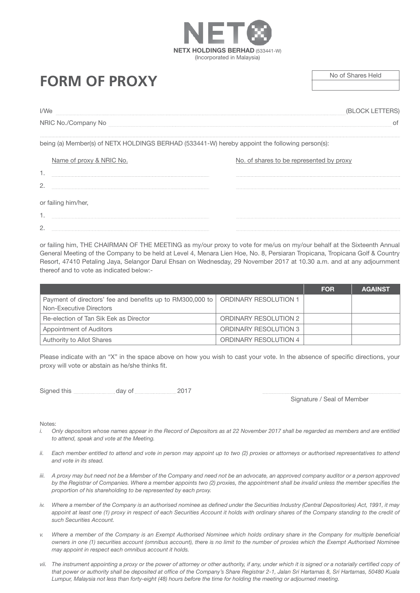# **FORM OF PROXY** No of Shares Held

| I/We                |  |
|---------------------|--|
| NRIC No./Company No |  |
|                     |  |

NETX HOLDINGS BERHAD (533441-W) (Incorporated in Malaysia)

being (a) Member(s) of NETX HOLDINGS BERHAD (533441-W) hereby appoint the following person(s):

|             | Name of proxy & NRIC No. | No. of shares to be represented by proxy |
|-------------|--------------------------|------------------------------------------|
|             |                          |                                          |
| ◠<br>$\sim$ |                          |                                          |
|             | or failing him/her,      |                                          |
| . .         |                          |                                          |
| <u>_</u>    |                          |                                          |

or failing him, THE CHAIRMAN OF THE MEETING as my/our proxy to vote for me/us on my/our behalf at the Sixteenth Annual General Meeting of the Company to be held at Level 4, Menara Lien Hoe, No. 8, Persiaran Tropicana, Tropicana Golf & Country Resort, 47410 Petaling Jaya, Selangor Darul Ehsan on Wednesday, 29 November 2017 at 10.30 a.m. and at any adjournment thereof and to vote as indicated below:-

|                                                                                      |                              | <b>FOR</b> | <b>AGAINST</b> |
|--------------------------------------------------------------------------------------|------------------------------|------------|----------------|
| Payment of directors' fee and benefits up to RM300,000 to<br>Non-Executive Directors | <b>ORDINARY RESOLUTION 1</b> |            |                |
| Re-election of Tan Sik Eek as Director                                               | <b>ORDINARY RESOLUTION 2</b> |            |                |
| Appointment of Auditors                                                              | <b>ORDINARY RESOLUTION 3</b> |            |                |
| Authority to Allot Shares                                                            | <b>ORDINARY RESOLUTION 4</b> |            |                |

Please indicate with an "X" in the space above on how you wish to cast your vote. In the absence of specific directions, your proxy will vote or abstain as he/she thinks fit.

Signed this day of 2017

Signature / Seal of Member

#### Notes:

- *i.* Only depositors whose names appear in the Record of Depositors as at 22 November 2017 shall be regarded as members and are entitled *to attend, speak and vote at the Meeting.*
- *ii.* Each member entitled to attend and vote in person may appoint up to two (2) proxies or attorneys or authorised representatives to attend *and vote in its stead.*
- *iii.* A proxy may but need not be a Member of the Company and need not be an advocate, an approved company auditor or a person approved *by the Registrar of Companies. Where a member appoints two (2) proxies, the appointment shall be invalid unless the member specifies the proportion of his shareholding to be represented by each proxy.*
- *iv. Where a member of the Company is an authorised nominee as defined under the Securities Industry (Central Depositories) Act, 1991, it may*  appoint at least one (1) proxy in respect of each Securities Account it holds with ordinary shares of the Company standing to the credit of *such Securities Account.*
- *v. Where a member of the Company is an Exempt Authorised Nominee which holds ordinary share in the Company for multiple beneficial owners in one (1) securities account (omnibus account), there is no limit to the number of proxies which the Exempt Authorised Nominee may appoint in respect each omnibus account it holds.*
- vii. The instrument appointing a proxy or the power of attorney or other authority, if any, under which it is signed or a notarially certified copy of *that power or authority shall be deposited at office of the Company's Share Registrar 2-1, Jalan Sri Hartamas 8, Sri Hartamas, 50480 Kuala Lumpur, Malaysia not less than forty-eight (48) hours before the time for holding the meeting or adjourned meeting.*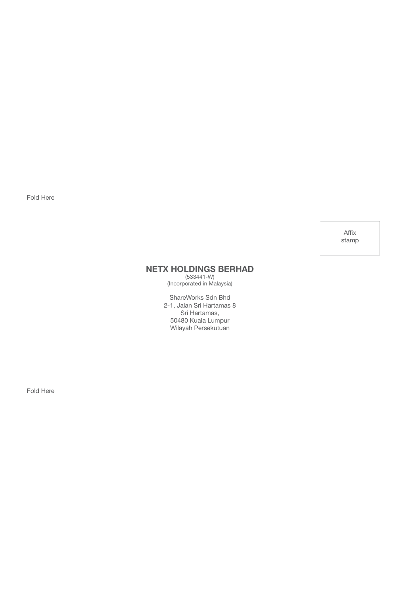Fold Here

Affix stamp

### NETX HOLDINGS BERHAD

(533441-W) (Incorporated in Malaysia)

ShareWorks Sdn Bhd 2-1, Jalan Sri Hartamas 8 Sri Hartamas, 50480 Kuala Lumpur Wilayah Persekutuan

Fold Here